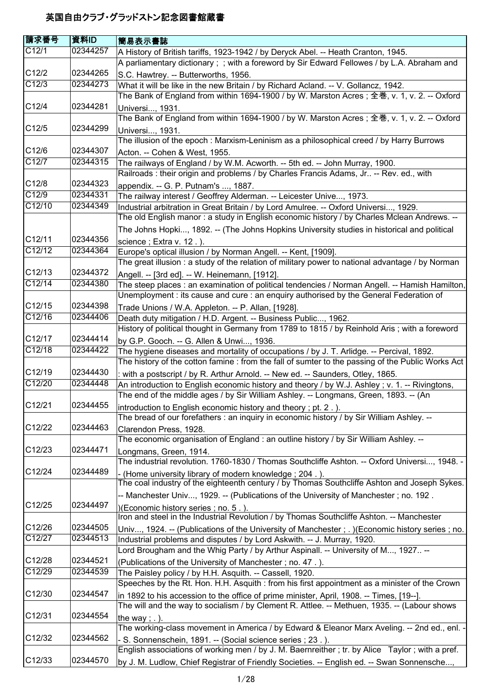| 請求番号             | 資料ID                 | 簡易表示書誌                                                                                                                                                                                        |
|------------------|----------------------|-----------------------------------------------------------------------------------------------------------------------------------------------------------------------------------------------|
| C12/1            | 02344257             | A History of British tariffs, 1923-1942 / by Deryck Abel. -- Heath Cranton, 1945.                                                                                                             |
|                  |                      | A parliamentary dictionary; ; with a foreword by Sir Edward Fellowes / by L.A. Abraham and                                                                                                    |
| C12/2            | 02344265             | S.C. Hawtrey. -- Butterworths, 1956.                                                                                                                                                          |
| C12/3            | 02344273             | What it will be like in the new Britain / by Richard Acland. -- V. Gollancz, 1942.                                                                                                            |
|                  |                      | The Bank of England from within 1694-1900 / by W. Marston Acres ; 全巻, v. 1, v. 2. -- Oxford                                                                                                   |
| C12/4            | 02344281             | Universi, 1931.                                                                                                                                                                               |
|                  |                      | The Bank of England from within 1694-1900 / by W. Marston Acres; 全巻, v. 1, v. 2. -- Oxford                                                                                                    |
| C12/5            | 02344299             | Universi, 1931.                                                                                                                                                                               |
|                  |                      | The illusion of the epoch: Marxism-Leninism as a philosophical creed / by Harry Burrows                                                                                                       |
| C12/6            | 02344307             | Acton. -- Cohen & West, 1955.                                                                                                                                                                 |
| C12/7            | 02344315             | The railways of England / by W.M. Acworth. -- 5th ed. -- John Murray, 1900.                                                                                                                   |
|                  |                      | Railroads : their origin and problems / by Charles Francis Adams, Jr -- Rev. ed., with                                                                                                        |
| C12/8            | 02344323             | appendix. -- G. P. Putnam's , 1887.                                                                                                                                                           |
| C12/9            | 02344331             | The railway interest / Geoffrey Alderman. -- Leicester Unive, 1973.                                                                                                                           |
| C12/10           | 02344349             | Industrial arbitration in Great Britain / by Lord Amulree. -- Oxford Universi, 1929.                                                                                                          |
|                  |                      | The old English manor: a study in English economic history / by Charles Mclean Andrews. --                                                                                                    |
|                  |                      | The Johns Hopki, 1892. -- (The Johns Hopkins University studies in historical and political                                                                                                   |
| C12/11           | 02344356             |                                                                                                                                                                                               |
| C12/12           | 02344364             | science; Extra v. 12.).<br>Europe's optical illusion / by Norman Angell. -- Kent, [1909].                                                                                                     |
|                  |                      | The great illusion: a study of the relation of military power to national advantage / by Norman                                                                                               |
| C12/13           | 02344372             | Angell. -- [3rd ed]. -- W. Heinemann, [1912].                                                                                                                                                 |
| C12/14           | 02344380             | The steep places : an examination of political tendencies / Norman Angell. -- Hamish Hamilton,                                                                                                |
|                  |                      | Unemployment : its cause and cure : an enquiry authorised by the General Federation of                                                                                                        |
| C12/15           | 02344398             |                                                                                                                                                                                               |
| C12/16           | 02344406             | Trade Unions / W.A. Appleton. -- P. Allan, [1928].<br>Death duty mitigation / H.D. Argent. -- Business Public, 1962.                                                                          |
|                  |                      | History of political thought in Germany from 1789 to 1815 / by Reinhold Aris; with a foreword                                                                                                 |
| C12/17           | 02344414             |                                                                                                                                                                                               |
| C12/18           | 02344422             | by G.P. Gooch. -- G. Allen & Unwi, 1936.                                                                                                                                                      |
|                  |                      | The hygiene diseases and mortality of occupations / by J. T. Arlidge. -- Percival, 1892.<br>The history of the cotton famine : from the fall of sumter to the passing of the Public Works Act |
| C12/19           | 02344430             |                                                                                                                                                                                               |
| C12/20           | 02344448             | : with a postscript / by R. Arthur Arnold. -- New ed. -- Saunders, Otley, 1865.                                                                                                               |
|                  |                      | An introduction to English economic history and theory / by W.J. Ashley; v. 1. -- Rivingtons,<br>The end of the middle ages / by Sir William Ashley. -- Longmans, Green, 1893. -- (An         |
| C12/21           | 02344455             |                                                                                                                                                                                               |
|                  |                      | introduction to English economic history and theory; pt. 2.).<br>The bread of our forefathers : an inquiry in economic history / by Sir William Ashley. --                                    |
| C12/22           | 02344463             |                                                                                                                                                                                               |
|                  |                      | Clarendon Press, 1928.<br>The economic organisation of England : an outline history / by Sir William Ashley. --                                                                               |
| C12/23           | 02344471             |                                                                                                                                                                                               |
|                  |                      | Longmans, Green, 1914.<br>The industrial revolution. 1760-1830 / Thomas Southcliffe Ashton. -- Oxford Universi, 1948. -                                                                       |
| C12/24           | 02344489             |                                                                                                                                                                                               |
|                  |                      | - (Home university library of modern knowledge; 204.).<br>The coal industry of the eighteenth century / by Thomas Southcliffe Ashton and Joseph Sykes.                                        |
|                  |                      |                                                                                                                                                                                               |
| C12/25           | 02344497             | -- Manchester Univ, 1929. -- (Publications of the University of Manchester; no. 192.                                                                                                          |
|                  |                      | )(Economic history series; no. 5.).<br>Iron and steel in the Industrial Revolution / by Thomas Southcliffe Ashton. -- Manchester                                                              |
| C12/26           | 02344505             |                                                                                                                                                                                               |
| C12/27           | 02344513             | Univ, 1924. -- (Publications of the University of Manchester; .) (Economic history series; no.                                                                                                |
|                  |                      | Industrial problems and disputes / by Lord Askwith. -- J. Murray, 1920.                                                                                                                       |
|                  |                      | Lord Brougham and the Whig Party / by Arthur Aspinall. -- University of M, 1927 --                                                                                                            |
| C12/28<br>C12/29 | 02344521<br>02344539 | (Publications of the University of Manchester; no. 47.).                                                                                                                                      |
|                  |                      | The Paisley policy / by H.H. Asquith. -- Cassell, 1920.                                                                                                                                       |
| C12/30           | 02344547             | Speeches by the Rt. Hon. H.H. Asquith : from his first appointment as a minister of the Crown                                                                                                 |
|                  |                      | in 1892 to his accession to the office of prime minister, April, 1908. -- Times, [19--].                                                                                                      |
|                  |                      | The will and the way to socialism / by Clement R. Attlee. -- Methuen, 1935. -- (Labour shows                                                                                                  |
| C12/31           | 02344554             | the way; $.$ ).                                                                                                                                                                               |
| C12/32           | 02344562             | The working-class movement in America / by Edward & Eleanor Marx Aveling. -- 2nd ed., enl. -                                                                                                  |
|                  |                      | S. Sonnenschein, 1891. -- (Social science series ; 23.).                                                                                                                                      |
|                  |                      | English associations of working men / by J. M. Baernreither; tr. by Alice Taylor; with a pref.                                                                                                |
| C12/33           | 02344570             | by J. M. Ludlow, Chief Registrar of Friendly Societies. -- English ed. -- Swan Sonnensche,                                                                                                    |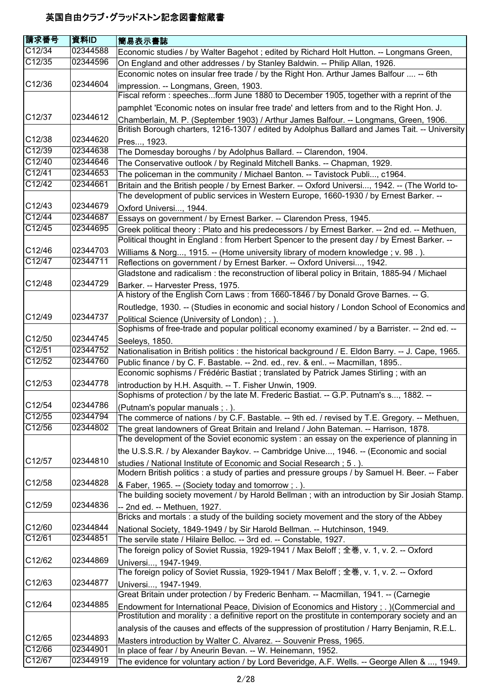| <b>請求番号</b>         | 資料ID                 | 簡易表示書誌                                                                                                                                                                  |
|---------------------|----------------------|-------------------------------------------------------------------------------------------------------------------------------------------------------------------------|
| C12/34              | 02344588             | Economic studies / by Walter Bagehot ; edited by Richard Holt Hutton. -- Longmans Green,                                                                                |
| C12/35              | 02344596             | On England and other addresses / by Stanley Baldwin. -- Philip Allan, 1926.                                                                                             |
|                     |                      | Economic notes on insular free trade / by the Right Hon. Arthur James Balfour  -- 6th                                                                                   |
| C12/36              | 02344604             | impression. -- Longmans, Green, 1903.                                                                                                                                   |
|                     |                      | Fiscal reform : speechesform June 1880 to December 1905, together with a reprint of the                                                                                 |
|                     |                      | pamphlet 'Economic notes on insular free trade' and letters from and to the Right Hon. J.                                                                               |
| C12/37              | 02344612             | Chamberlain, M. P. (September 1903) / Arthur James Balfour. -- Longmans, Green, 1906.                                                                                   |
|                     |                      | British Borough charters, 1216-1307 / edited by Adolphus Ballard and James Tait. -- University                                                                          |
| C12/38              | 02344620             | Pres, 1923.                                                                                                                                                             |
| C12/39              | 02344638             | The Domesday boroughs / by Adolphus Ballard. -- Clarendon, 1904.                                                                                                        |
| C12/40              | 02344646             | The Conservative outlook / by Reginald Mitchell Banks. -- Chapman, 1929.                                                                                                |
| C12/41              | 02344653             | The policeman in the community / Michael Banton. -- Tavistock Publi, c1964.                                                                                             |
| C12/42              | 02344661             | Britain and the British people / by Ernest Barker. -- Oxford Universi, 1942. -- (The World to-                                                                          |
|                     |                      | The development of public services in Western Europe, 1660-1930 / by Ernest Barker. --                                                                                  |
| C12/43              | 02344679             | Oxford Universi, 1944.                                                                                                                                                  |
| C12/44              | 02344687             | Essays on government / by Ernest Barker. -- Clarendon Press, 1945.                                                                                                      |
| C12/45              | 02344695             | Greek political theory: Plato and his predecessors / by Ernest Barker. -- 2nd ed. -- Methuen,                                                                           |
|                     |                      | Political thought in England: from Herbert Spencer to the present day / by Ernest Barker. --                                                                            |
| C12/46              | 02344703             | Williams & Norg, 1915. -- (Home university library of modern knowledge; v. 98.).                                                                                        |
| C12/47              | 02344711             | Reflections on government / by Ernest Barker. -- Oxford Universi, 1942.                                                                                                 |
|                     |                      | Gladstone and radicalism : the reconstruction of liberal policy in Britain, 1885-94 / Michael                                                                           |
| C12/48              | 02344729             | Barker. -- Harvester Press, 1975.                                                                                                                                       |
|                     |                      | A history of the English Corn Laws: from 1660-1846 / by Donald Grove Barnes. -- G.                                                                                      |
|                     |                      | Routledge, 1930. -- (Studies in economic and social history / London School of Economics and                                                                            |
| C12/49              | 02344737             | Political Science (University of London); .).                                                                                                                           |
| C12/50              |                      | Sophisms of free-trade and popular political economy examined / by a Barrister. -- 2nd ed. --                                                                           |
| C12/51              | 02344745<br>02344752 | Seeleys, 1850.                                                                                                                                                          |
| C12/52              | 02344760             | Nationalisation in British politics : the historical background / E. Eldon Barry. -- J. Cape, 1965.                                                                     |
|                     |                      | Public finance / by C. F. Bastable. -- 2nd. ed., rev. & enl -- Macmillan, 1895<br>Economic sophisms / Frédéric Bastiat ; translated by Patrick James Stirling ; with an |
| C12/53              | 02344778             |                                                                                                                                                                         |
|                     |                      | introduction by H.H. Asquith. -- T. Fisher Unwin, 1909.<br>Sophisms of protection / by the late M. Frederic Bastiat. -- G.P. Putnam's s, 1882. --                       |
| C12/54              | 02344786             | (Putnam's popular manuals ; . ).                                                                                                                                        |
| C12/55              | 02344794             | The commerce of nations / by C.F. Bastable. -- 9th ed. / revised by T.E. Gregory. -- Methuen,                                                                           |
| C12/56              | 02344802             | The great landowners of Great Britain and Ireland / John Bateman. -- Harrison, 1878.                                                                                    |
|                     |                      | The development of the Soviet economic system : an essay on the experience of planning in                                                                               |
|                     |                      | the U.S.S.R. / by Alexander Baykov. -- Cambridge Unive, 1946. -- (Economic and social                                                                                   |
| C12/57              | 02344810             | studies / National Institute of Economic and Social Research; 5.).                                                                                                      |
|                     |                      | Modern British politics : a study of parties and pressure groups / by Samuel H. Beer. -- Faber                                                                          |
| C12/58              | 02344828             | & Faber, 1965. -- (Society today and tomorrow; .).                                                                                                                      |
|                     |                      | The building society movement / by Harold Bellman; with an introduction by Sir Josiah Stamp.                                                                            |
| C12/59              | 02344836             | -- 2nd ed. -- Methuen, 1927.                                                                                                                                            |
|                     |                      | Bricks and mortals : a study of the building society movement and the story of the Abbey                                                                                |
| C12/60              | 02344844             | National Society, 1849-1949 / by Sir Harold Bellman. -- Hutchinson, 1949.                                                                                               |
| C12/61              | 02344851             | The servile state / Hilaire Belloc. -- 3rd ed. -- Constable, 1927.                                                                                                      |
|                     |                      | The foreign policy of Soviet Russia, 1929-1941 / Max Beloff ; 全巻, v. 1, v. 2. -- Oxford                                                                                 |
| C12/62              | 02344869             | Universi, 1947-1949.                                                                                                                                                    |
|                     |                      | The foreign policy of Soviet Russia, 1929-1941 / Max Beloff ; 全巻, v. 1, v. 2. -- Oxford                                                                                 |
| C <sub>12</sub> /63 | 02344877             | Universi, 1947-1949.                                                                                                                                                    |
|                     |                      | Great Britain under protection / by Frederic Benham. -- Macmillan, 1941. -- (Carnegie                                                                                   |
| C12/64              | 02344885             | Endowment for International Peace, Division of Economics and History ; . )(Commercial and                                                                               |
|                     |                      | Prostitution and morality: a definitive report on the prostitute in contemporary society and an                                                                         |
|                     |                      | analysis of the causes and effects of the suppression of prostitution / Harry Benjamin, R.E.L.                                                                          |
| C12/65              | 02344893             | Masters introduction by Walter C. Alvarez. -- Souvenir Press, 1965.                                                                                                     |
| C12/66              | 02344901             | In place of fear / by Aneurin Bevan. -- W. Heinemann, 1952.                                                                                                             |
| C12/67              | 02344919             | The evidence for voluntary action / by Lord Beveridge, A.F. Wells. -- George Allen & , 1949.                                                                            |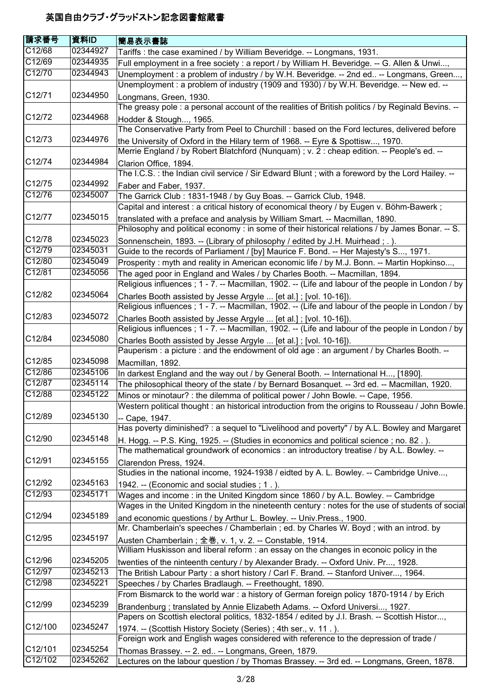| 請求番号                | 資料ID     | 簡易表示書誌                                                                                                                                                                                |
|---------------------|----------|---------------------------------------------------------------------------------------------------------------------------------------------------------------------------------------|
| C12/68              | 02344927 | Tariffs: the case examined / by William Beveridge. -- Longmans, 1931.                                                                                                                 |
| C12/69              | 02344935 | Full employment in a free society : a report / by William H. Beveridge. -- G. Allen & Unwi,                                                                                           |
| C12/70              | 02344943 | Unemployment : a problem of industry / by W.H. Beveridge. -- 2nd ed -- Longmans, Green,                                                                                               |
|                     |          | Unemployment: a problem of industry (1909 and 1930) / by W.H. Beveridge. -- New ed. --                                                                                                |
| C12/71              | 02344950 | Longmans, Green, 1930.                                                                                                                                                                |
|                     |          | The greasy pole : a personal account of the realities of British politics / by Reginald Bevins. --                                                                                    |
| C12/72              | 02344968 | Hodder & Stough, 1965.                                                                                                                                                                |
|                     |          | The Conservative Party from Peel to Churchill : based on the Ford lectures, delivered before                                                                                          |
| C <sub>12</sub> /73 | 02344976 | the University of Oxford in the Hilary term of 1968. -- Eyre & Spottisw, 1970.                                                                                                        |
|                     |          | Merrie England / by Robert Blatchford (Nunquam) ; v. 2 : cheap edition. -- People's ed. --                                                                                            |
| C12/74              | 02344984 | Clarion Office, 1894.                                                                                                                                                                 |
|                     |          | The I.C.S.: the Indian civil service / Sir Edward Blunt; with a foreword by the Lord Hailey. --                                                                                       |
| C12/75              | 02344992 | Faber and Faber, 1937.                                                                                                                                                                |
| C12/76              | 02345007 | The Garrick Club: 1831-1948 / by Guy Boas. -- Garrick Club, 1948.                                                                                                                     |
|                     |          | Capital and interest: a critical history of economical theory / by Eugen v. Böhm-Bawerk;                                                                                              |
| C12/77              | 02345015 |                                                                                                                                                                                       |
|                     |          | translated with a preface and analysis by William Smart. -- Macmillan, 1890.<br>Philosophy and political economy : in some of their historical relations / by James Bonar. -- S.      |
| C12/78              | 02345023 |                                                                                                                                                                                       |
| C12/79              | 02345031 | Sonnenschein, 1893. -- (Library of philosophy / edited by J.H. Muirhead; .).<br>Guide to the records of Parliament / [by] Maurice F. Bond. -- Her Majesty's S, 1971.                  |
| C12/80              | 02345049 | Prosperity: myth and reality in American economic life / by M.J. Bonn. -- Martin Hopkinso,                                                                                            |
| C12/81              | 02345056 | The aged poor in England and Wales / by Charles Booth. -- Macmillan, 1894.                                                                                                            |
|                     |          | Religious influences; 1 - 7. -- Macmillan, 1902. -- (Life and labour of the people in London / by                                                                                     |
| C12/82              | 02345064 |                                                                                                                                                                                       |
|                     |          | Charles Booth assisted by Jesse Argyle  [et al.]; [vol. 10-16]).<br>Religious influences; 1 - 7. -- Macmillan, 1902. -- (Life and labour of the people in London / by                 |
| C12/83              | 02345072 |                                                                                                                                                                                       |
|                     |          | Charles Booth assisted by Jesse Argyle  [et al.]; [vol. 10-16]).<br>Religious influences; 1 - 7. -- Macmillan, 1902. -- (Life and labour of the people in London / by                 |
| C12/84              | 02345080 |                                                                                                                                                                                       |
|                     |          | Charles Booth assisted by Jesse Argyle  [et al.]; [vol. 10-16]).<br>Pauperism : a picture : and the endowment of old age : an argument / by Charles Booth. --                         |
| C12/85              | 02345098 |                                                                                                                                                                                       |
| C12/86              | 02345106 | Macmillan, 1892.                                                                                                                                                                      |
| C12/87              | 02345114 | In darkest England and the way out / by General Booth. -- International H, [1890].                                                                                                    |
| C12/88              | 02345122 | The philosophical theory of the state / by Bernard Bosanquet. -- 3rd ed. -- Macmillan, 1920.                                                                                          |
|                     |          | Minos or minotaur? : the dilemma of political power / John Bowle. -- Cape, 1956.<br>Western political thought : an historical introduction from the origins to Rousseau / John Bowle. |
| C12/89              | 02345130 |                                                                                                                                                                                       |
|                     |          | -- Cape, 1947.<br>Has poverty diminished? : a sequel to "Livelihood and poverty" / by A.L. Bowley and Margaret                                                                        |
| C12/90              | 02345148 |                                                                                                                                                                                       |
|                     |          | H. Hogg. -- P.S. King, 1925. -- (Studies in economics and political science; no. 82.).                                                                                                |
| C12/91              | 02345155 | The mathematical groundwork of economics : an introductory treatise / by A.L. Bowley. --                                                                                              |
|                     |          | Clarendon Press, 1924.<br>Studies in the national income, 1924-1938 / eidted by A. L. Bowley. -- Cambridge Unive,                                                                     |
| C12/92              | 02345163 |                                                                                                                                                                                       |
| C12/93              | 02345171 | 1942. -- (Economic and social studies; 1.).                                                                                                                                           |
|                     |          | Wages and income: in the United Kingdom since 1860 / by A.L. Bowley. -- Cambridge<br>Wages in the United Kingdom in the nineteenth century : notes for the use of students of social  |
| C12/94              | 02345189 |                                                                                                                                                                                       |
|                     |          | and economic questions / by Arthur L. Bowley. -- Univ. Press., 1900.<br>Mr. Chamberlain's speeches / Chamberlain ; ed. by Charles W. Boyd ; with an introd. by                        |
| C12/95              | 02345197 |                                                                                                                                                                                       |
|                     |          | Austen Chamberlain; 全巻, v. 1, v. 2. -- Constable, 1914.<br>William Huskisson and liberal reform : an essay on the changes in econoic policy in the                                    |
| C12/96              | 02345205 |                                                                                                                                                                                       |
| C12/97              | 02345213 | twenties of the ninteenth century / by Alexander Brady. -- Oxford Univ. Pr, 1928.                                                                                                     |
| C12/98              | 02345221 | The British Labour Party: a short history / Carl F. Brand. -- Stanford Univer, 1964.                                                                                                  |
|                     |          | Speeches / by Charles Bradlaugh. -- Freethought, 1890.<br>From Bismarck to the world war: a history of German foreign policy 1870-1914 / by Erich                                     |
| C12/99              | 02345239 |                                                                                                                                                                                       |
|                     |          | Brandenburg ; translated by Annie Elizabeth Adams. -- Oxford Universi, 1927.<br>Papers on Scottish electoral politics, 1832-1854 / edited by J.I. Brash. -- Scottish Histor,          |
| C12/100             | 02345247 |                                                                                                                                                                                       |
|                     |          | 1974. -- (Scottish History Society (Series); 4th ser., v. 11.).<br>Foreign work and English wages considered with reference to the depression of trade /                              |
| C12/101             | 02345254 |                                                                                                                                                                                       |
| C12/102             | 02345262 | Thomas Brassey. -- 2. ed -- Longmans, Green, 1879.<br>Lectures on the labour question / by Thomas Brassey. -- 3rd ed. -- Longmans, Green, 1878.                                       |
|                     |          |                                                                                                                                                                                       |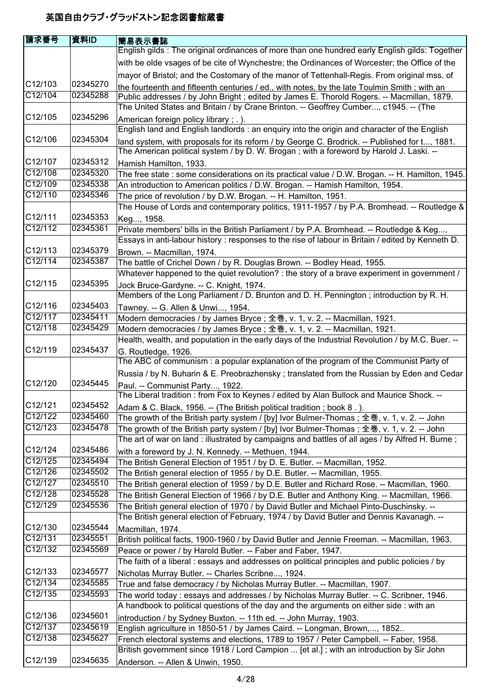| 請求番号               | 資料ID                 | <b> 簡易表示書誌</b>                                                                                                                                                                           |
|--------------------|----------------------|------------------------------------------------------------------------------------------------------------------------------------------------------------------------------------------|
|                    |                      | English gilds: The original ordinances of more than one hundred early English gilds: Together                                                                                            |
|                    |                      | with be olde vsages of be cite of Wynchestre; the Ordinances of Worcester; the Office of the                                                                                             |
|                    |                      | mayor of Bristol; and the Costomary of the manor of Tettenhall-Regis. From original mss. of                                                                                              |
| C12/103            | 02345270             | the fourteenth and fifteenth centuries / ed., with notes, by the late Toulmin Smith : with an                                                                                            |
| C12/104            | 02345288             | Public addresses / by John Bright ; edited by James E. Thorold Rogers. -- Macmillan, 1879.                                                                                               |
|                    |                      | The United States and Britain / by Crane Brinton. -- Geoffrey Cumber, c1945. -- (The                                                                                                     |
| C12/105            | 02345296             | American foreign policy library; .).                                                                                                                                                     |
|                    |                      | English land and English landlords : an enguiry into the origin and character of the English                                                                                             |
| C12/106            | 02345304             | land system, with proposals for its reform / by George C. Brodrick. -- Published for t, 1881.<br>The American political system / by D. W. Brogan; with a foreword by Harold J. Laski. -- |
| C12/107            | 02345312             | Hamish Hamilton, 1933.                                                                                                                                                                   |
| C12/108            | 02345320             | The free state : some considerations on its practical value / D.W. Brogan. -- H. Hamilton, 1945.                                                                                         |
| C12/109            | 02345338             | An introduction to American politics / D.W. Brogan. -- Hamish Hamilton, 1954.                                                                                                            |
| C12/110            | 02345346             | The price of revolution / by D.W. Brogan. -- H. Hamilton, 1951.<br>The House of Lords and contemporary politics, 1911-1957 / by P.A. Bromhead. -- Routledge &                            |
| C12/111            | 02345353             | Keg, 1958.                                                                                                                                                                               |
| C12/112            | 02345361             | Private members' bills in the British Parliament / by P.A. Bromhead. -- Routledge & Keg,                                                                                                 |
|                    |                      | Essays in anti-labour history : responses to the rise of labour in Britain / edited by Kenneth D.                                                                                        |
| C12/113            | 02345379             | Brown. -- Macmillan, 1974.                                                                                                                                                               |
| C12/114            | 02345387             | The battle of Crichel Down / by R. Douglas Brown. -- Bodley Head, 1955.                                                                                                                  |
|                    |                      | Whatever happened to the quiet revolution? : the story of a brave experiment in government /                                                                                             |
| C12/115            | 02345395             | Jock Bruce-Gardyne. -- C. Knight, 1974.                                                                                                                                                  |
|                    |                      | Members of the Long Parliament / D. Brunton and D. H. Pennington; introduction by R. H.                                                                                                  |
| C12/116            | 02345403             | Tawney. -- G. Allen & Unwi, 1954.                                                                                                                                                        |
| C12/117            | 02345411             | Modern democracies / by James Bryce; 全巻, v. 1, v. 2. -- Macmillan, 1921.                                                                                                                 |
| C12/118            | 02345429             | Modern democracies / by James Bryce; 全巻, v. 1, v. 2. -- Macmillan, 1921.<br>Health, wealth, and population in the early days of the Industrial Revolution / by M.C. Buer. --             |
| C12/119            | 02345437             | G. Routledge, 1926.                                                                                                                                                                      |
|                    |                      | The ABC of communism: a popular explanation of the program of the Communist Party of                                                                                                     |
|                    |                      | Russia / by N. Buharin & E. Preobrazhensky; translated from the Russian by Eden and Cedar                                                                                                |
| C12/120            | 02345445             | Paul. -- Communist Party, 1922.                                                                                                                                                          |
|                    |                      | The Liberal tradition: from Fox to Keynes / edited by Alan Bullock and Maurice Shock. --                                                                                                 |
| C12/121            | 02345452             | Adam & C. Black, 1956. -- (The British political tradition; book 8.).                                                                                                                    |
| C12/122            | 02345460             | The growth of the British party system / [by] Ivor Bulmer-Thomas ; 全巻, v. 1, v. 2. -- John                                                                                               |
| C12/123            | 02345478             | The growth of the British party system / [by] Ivor Bulmer-Thomas; 全巻, v. 1, v. 2. -- John                                                                                                |
|                    |                      | The art of war on land : illustrated by campaigns and battles of all ages / by Alfred H. Burne;                                                                                          |
| C12/124            | 02345486             | with a foreword by J. N. Kennedy. -- Methuen, 1944.                                                                                                                                      |
| C12/125            | 02345494             | The British General Election of 1951 / by D. E. Butler. -- Macmillan, 1952.                                                                                                              |
| C12/126            | 02345502             | The British general election of 1955 / by D.E. Butler. -- Macmillan, 1955.                                                                                                               |
| C12/127            | 02345510             | The British general election of 1959 / by D.E. Butler and Richard Rose. -- Macmillan, 1960.                                                                                              |
| C12/128            | 02345528             | The British General Election of 1966 / by D.E. Butler and Anthony King. -- Macmillan, 1966.                                                                                              |
| C12/129            | 02345536             | The British general election of 1970 / by David Butler and Michael Pinto-Duschinsky. --                                                                                                  |
|                    |                      | The British general election of February, 1974 / by David Butler and Dennis Kavanagh. --                                                                                                 |
| C12/130            | 02345544             | Macmillan, 1974.                                                                                                                                                                         |
| C12/131            | 02345551             | British political facts, 1900-1960 / by David Butler and Jennie Freeman. -- Macmillan, 1963.                                                                                             |
| C12/132            | 02345569             | Peace or power / by Harold Butler. -- Faber and Faber, 1947.                                                                                                                             |
|                    |                      | The faith of a liberal : essays and addresses on political principles and public policies / by                                                                                           |
| C12/133<br>C12/134 | 02345577<br>02345585 | Nicholas Murray Butler. -- Charles Scribne, 1924.                                                                                                                                        |
| C12/135            |                      | True and false democracy / by Nicholas Murray Butler. -- Macmillan, 1907.                                                                                                                |
|                    | 02345593             | The world today: essays and addresses / by Nicholas Murray Butler. -- C. Scribner, 1946.                                                                                                 |
| C12/136            | 02345601             | A handbook to political questions of the day and the arguments on either side : with an                                                                                                  |
| C12/137            | 02345619             | introduction / by Sydney Buxton. -- 11th ed. -- John Murray, 1903.                                                                                                                       |
| C12/138            | 02345627             | English agriculture in 1850-51 / by James Caird. -- Longman, Brown,, 1852                                                                                                                |
|                    |                      | French electoral systems and elections, 1789 to 1957 / Peter Campbell. -- Faber, 1958.<br>British government since 1918 / Lord Campion  [et al.]; with an introduction by Sir John       |
| C12/139            | 02345635             |                                                                                                                                                                                          |
|                    |                      | Anderson. -- Allen & Unwin, 1950.                                                                                                                                                        |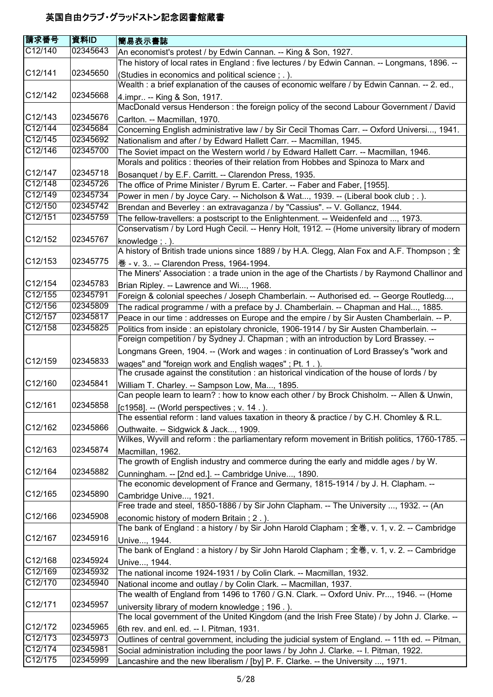| 請求番号                 | 資料ID     | 簡易表示書誌                                                                                                                                          |
|----------------------|----------|-------------------------------------------------------------------------------------------------------------------------------------------------|
| C12/140              | 02345643 | An economist's protest / by Edwin Cannan. -- King & Son, 1927.                                                                                  |
|                      |          | The history of local rates in England : five lectures / by Edwin Cannan. -- Longmans, 1896. --                                                  |
| C12/141              | 02345650 | (Studies in economics and political science; .).                                                                                                |
|                      |          | Wealth : a brief explanation of the causes of economic welfare / by Edwin Cannan. -- 2. ed.,                                                    |
| C12/142              | 02345668 | 4. impr -- King & Son, 1917.                                                                                                                    |
|                      |          | MacDonald versus Henderson : the foreign policy of the second Labour Government / David                                                         |
| C12/143              | 02345676 | Carlton. -- Macmillan, 1970.                                                                                                                    |
| C12/144              | 02345684 | Concerning English administrative law / by Sir Cecil Thomas Carr. -- Oxford Universi, 1941.                                                     |
| C12/145              | 02345692 | Nationalism and after / by Edward Hallett Carr. -- Macmillan, 1945.                                                                             |
| C12/146              | 02345700 | The Soviet impact on the Western world / by Edward Hallett Carr. -- Macmillan, 1946.                                                            |
|                      |          | Morals and politics : theories of their relation from Hobbes and Spinoza to Marx and                                                            |
| C12/147              | 02345718 | Bosanquet / by E.F. Carritt. -- Clarendon Press, 1935.                                                                                          |
| C12/148              | 02345726 | The office of Prime Minister / Byrum E. Carter. -- Faber and Faber, [1955].                                                                     |
| C12/149              | 02345734 | Power in men / by Joyce Cary. -- Nicholson & Wat, 1939. -- (Liberal book club; .).                                                              |
| C12/150              | 02345742 | Brendan and Beverley : an extravaganza / by "Cassius". -- V. Gollancz, 1944.                                                                    |
| C12/151              | 02345759 | The fellow-travellers: a postscript to the Enlightenment. -- Weidenfeld and , 1973.                                                             |
|                      |          | Conservatism / by Lord Hugh Cecil. -- Henry Holt, 1912. -- (Home university library of modern                                                   |
| C12/152              | 02345767 | knowledge; $.$ ).                                                                                                                               |
|                      |          | A history of British trade unions since 1889 / by H.A. Clegg, Alan Fox and A.F. Thompson; $\pm$                                                 |
| C12/153              | 02345775 | 卷 - v. 3 -- Clarendon Press, 1964-1994.                                                                                                         |
|                      |          | The Miners' Association : a trade union in the age of the Chartists / by Raymond Challinor and                                                  |
| C12/154              | 02345783 | Brian Ripley. -- Lawrence and Wi, 1968.                                                                                                         |
| C12/155              | 02345791 | Foreign & colonial speeches / Joseph Chamberlain. -- Authorised ed. -- George Routledg,                                                         |
| C12/156              | 02345809 | The radical programme / with a preface by J. Chamberlain. -- Chapman and Hal, 1885.                                                             |
| C12/157              | 02345817 | Peace in our time : addresses on Europe and the empire / by Sir Austen Chamberlain. -- P.                                                       |
| C12/158              | 02345825 | Politics from inside : an epistolary chronicle, 1906-1914 / by Sir Austen Chamberlain. --                                                       |
|                      |          | Foreign competition / by Sydney J. Chapman ; with an introduction by Lord Brassey. --                                                           |
|                      |          | Longmans Green, 1904. -- (Work and wages : in continuation of Lord Brassey's "work and                                                          |
| C12/159              | 02345833 | wages" and "foreign work and English wages"; Pt. 1.).                                                                                           |
|                      |          | The crusade against the constitution : an historical vindication of the house of lords / by                                                     |
| C12/160              | 02345841 | William T. Charley. -- Sampson Low, Ma, 1895.                                                                                                   |
| C12/161              | 02345858 | Can people learn to learn? : how to know each other / by Brock Chisholm. -- Allen & Unwin,                                                      |
|                      |          | [c1958]. -- (World perspectives ; v. 14.).                                                                                                      |
| C12/162              | 02345866 | The essential reform : land values taxation in theory & practice / by C.H. Chomley & R.L.                                                       |
|                      |          | Outhwaite. -- Sidgwick & Jack, 1909.<br>Wilkes, Wyvill and reform : the parliamentary reform movement in British politics, 1760-1785. --        |
| C12/163              | 02345874 |                                                                                                                                                 |
|                      |          | Macmillan, 1962.<br>The growth of English industry and commerce during the early and middle ages / by W.                                        |
| C <sub>12</sub> /164 | 02345882 |                                                                                                                                                 |
|                      |          | Cunningham. -- [2nd ed.]. -- Cambridge Unive, 1890.<br>The economic development of France and Germany, 1815-1914 / by J. H. Clapham. --         |
| C12/165              | 02345890 |                                                                                                                                                 |
|                      |          | Cambridge Unive, 1921.<br>Free trade and steel, 1850-1886 / by Sir John Clapham. -- The University , 1932. -- (An                               |
| C12/166              | 02345908 |                                                                                                                                                 |
|                      |          | economic history of modern Britain; 2.).<br>The bank of England : a history / by Sir John Harold Clapham; 全巻, v. 1, v. 2. -- Cambridge          |
| C12/167              | 02345916 |                                                                                                                                                 |
|                      |          | Unive, 1944.<br>The bank of England : a history / by Sir John Harold Clapham ; 全巻, v. 1, v. 2. -- Cambridge                                     |
| C12/168              | 02345924 |                                                                                                                                                 |
| C12/169              | 02345932 | Unive, 1944.<br>The national income 1924-1931 / by Colin Clark. -- Macmillan, 1932.                                                             |
| C12/170              | 02345940 | National income and outlay / by Colin Clark. -- Macmillan, 1937.                                                                                |
|                      |          | The wealth of England from 1496 to 1760 / G.N. Clark. -- Oxford Univ. Pr, 1946. -- (Home                                                        |
| C12/171              | 02345957 |                                                                                                                                                 |
|                      |          | university library of modern knowledge; 196.).<br>The local government of the United Kingdom (and the Irish Free State) / by John J. Clarke. -- |
| C12/172              | 02345965 | 6th rev. and enl. ed. -- I. Pitman, 1931.                                                                                                       |
| C12/173              | 02345973 | Outlines of central government, including the judicial system of England. -- 11th ed. -- Pitman,                                                |
| C12/174              | 02345981 | Social administration including the poor laws / by John J. Clarke. -- I. Pitman, 1922.                                                          |
| C12/175              | 02345999 | Lancashire and the new liberalism / [by] P. F. Clarke. -- the University , 1971.                                                                |
|                      |          |                                                                                                                                                 |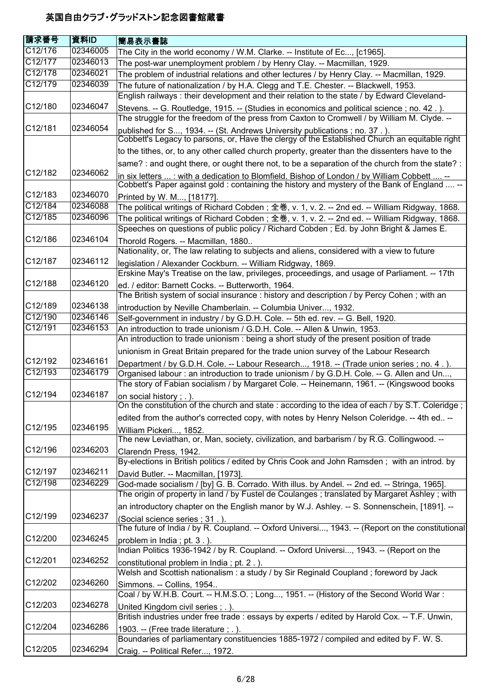| 請求番号                 | 資料ID     | 簡易表示書誌                                                                                                                     |
|----------------------|----------|----------------------------------------------------------------------------------------------------------------------------|
| C12/176              | 02346005 | The City in the world economy / W.M. Clarke. -- Institute of Ec, [c1965].                                                  |
| C12/177              | 02346013 | The post-war unemployment problem / by Henry Clay. -- Macmillan, 1929.                                                     |
| C12/178              | 02346021 | The problem of industrial relations and other lectures / by Henry Clay. -- Macmillan, 1929.                                |
| C12/179              | 02346039 | The future of nationalization / by H.A. Clegg and T.E. Chester. -- Blackwell, 1953.                                        |
|                      |          | English railways: their development and their relation to the state / by Edward Cleveland-                                 |
| C12/180              | 02346047 | Stevens. -- G. Routledge, 1915. -- (Studies in economics and political science ; no. 42.).                                 |
|                      |          | The struggle for the freedom of the press from Caxton to Cromwell / by William M. Clyde. --                                |
| C12/181              | 02346054 | published for S, 1934. -- (St. Andrews University publications ; no. 37.).                                                 |
|                      |          | Cobbett's Legacy to parsons, or, Have the clergy of the Established Church an equitable right                              |
|                      |          | to the tithes, or, to any other called church property, greater than the dissenters have to the                            |
|                      |          | same? : and ought there, or ought there not, to be a separation of the church from the state? :                            |
| C <sub>12</sub> /182 | 02346062 | in six letters  : with a dedication to Blomfield. Bishop of London / by William Cobbett  --                                |
|                      |          | Cobbett's Paper against gold: containing the history and mystery of the Bank of England  --                                |
| C12/183              | 02346070 | Printed by W. M, [1817?].                                                                                                  |
| C12/184              | 02346088 | The political writings of Richard Cobden; 全巻, v. 1, v. 2. -- 2nd ed. -- William Ridgway, 1868.                             |
| C12/185              | 02346096 | The political writings of Richard Cobden; 全巻, v. 1, v. 2. -- 2nd ed. -- William Ridgway, 1868.                             |
|                      |          | Speeches on questions of public policy / Richard Cobden ; Ed. by John Bright & James E.                                    |
| C12/186              | 02346104 | Thorold Rogers. -- Macmillan, 1880                                                                                         |
|                      |          | Nationality, or, The law relating to subjects and aliens, considered with a view to future                                 |
| C12/187              | 02346112 | legislation / Alexander Cockburn. -- William Ridgway, 1869.                                                                |
|                      |          | Erskine May's Treatise on the law, privileges, proceedings, and usage of Parliament. -- 17th                               |
| C <sub>12</sub> /188 | 02346120 | ed. / editor: Barnett Cocks. -- Butterworth, 1964.                                                                         |
|                      |          | The British system of social insurance : history and description / by Percy Cohen; with an                                 |
| C <sub>12</sub> /189 | 02346138 | introduction by Neville Chamberlain. -- Columbia Univer, 1932.                                                             |
| C12/190              | 02346146 | Self-government in industry / by G.D.H. Cole. -- 5th ed. rev. -- G. Bell, 1920.                                            |
| C12/191              | 02346153 | An introduction to trade unionism / G.D.H. Cole. -- Allen & Unwin, 1953.                                                   |
|                      |          | An introduction to trade unionism : being a short study of the present position of trade                                   |
| C <sub>12</sub> /192 | 02346161 | unionism in Great Britain prepared for the trade union survey of the Labour Research                                       |
| C12/193              | 02346179 | Department / by G.D.H. Cole. -- Labour Research, 1918. -- (Trade union series; no. 4.).                                    |
|                      |          | Organised labour: an introduction to trade unionism / by G.D.H. Cole. -- G. Allen and Un,                                  |
| C12/194              | 02346187 | The story of Fabian socialism / by Margaret Cole. -- Heinemann, 1961. -- (Kingswood books                                  |
|                      |          | on social history; .).<br>On the constitution of the church and state : according to the idea of each / by S.T. Coleridge; |
|                      |          | edited from the author's corrected copy, with notes by Henry Nelson Coleridge. -- 4th ed --                                |
| C12/195              | 02346195 |                                                                                                                            |
|                      |          | William Pickeri, 1852.<br>The new Leviathan, or, Man, society, civilization, and barbarism / by R.G. Collingwood. --       |
| C12/196              | 02346203 | Clarendn Press, 1942.                                                                                                      |
|                      |          | By-elections in British politics / edited by Chris Cook and John Ramsden; with an introd. by                               |
| C12/197              | 02346211 | David Butler. -- Macmillan, [1973].                                                                                        |
| C12/198              | 02346229 | God-made socialism / [by] G. B. Corrado. With illus. by Andel. -- 2nd ed. -- Stringa, 1965].                               |
|                      |          | The origin of property in land / by Fustel de Coulanges; translated by Margaret Ashley; with                               |
|                      |          | an introductory chapter on the English manor by W.J. Ashley. -- S. Sonnenschein, [1891]. --                                |
| C12/199              | 02346237 | (Social science series ; 31.).                                                                                             |
|                      |          | The future of India / by R. Coupland. -- Oxford Universi, 1943. -- (Report on the constitutional                           |
| C12/200              | 02346245 | problem in India; pt. 3.).                                                                                                 |
|                      |          | Indian Politics 1936-1942 / by R. Coupland. -- Oxford Universi, 1943. -- (Report on the                                    |
| C12/201              | 02346252 | constitutional problem in India; pt. 2.).                                                                                  |
|                      |          | Welsh and Scottish nationalism: a study / by Sir Reginald Coupland; foreword by Jack                                       |
| C12/202              | 02346260 | Simmons. -- Collins, 1954                                                                                                  |
|                      |          | Coal / by W.H.B. Court. -- H.M.S.O.; Long, 1951. -- (History of the Second World War:                                      |
| C12/203              | 02346278 | United Kingdom civil series; .).                                                                                           |
|                      |          | British industries under free trade : essays by experts / edited by Harold Cox. -- T.F. Unwin,                             |
| C12/204              | 02346286 | 1903. -- (Free trade literature; $\ldots$ ).                                                                               |
|                      |          | Boundaries of parliamentary constituencies 1885-1972 / compiled and edited by F. W. S.                                     |
| C12/205              | 02346294 | Craig. -- Political Refer, 1972.                                                                                           |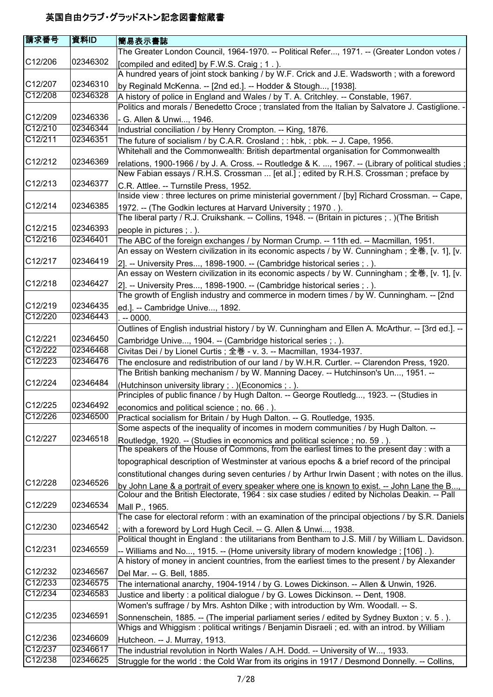| <b>請求番号</b>          | 資料ID     | <b> 簡易表示書誌</b>                                                                                                                                                                                |
|----------------------|----------|-----------------------------------------------------------------------------------------------------------------------------------------------------------------------------------------------|
|                      |          | The Greater London Council, 1964-1970. -- Political Refer, 1971. -- (Greater London votes /                                                                                                   |
| C12/206              | 02346302 | [compiled and edited] by F.W.S. Craig; 1.).<br>A hundred years of joint stock banking / by W.F. Crick and J.E. Wadsworth; with a foreword                                                     |
| C12/207              | 02346310 | by Reginald McKenna. -- [2nd ed.]. -- Hodder & Stough, [1938].                                                                                                                                |
| C12/208              | 02346328 | A history of police in England and Wales / by T. A. Critchley. -- Constable, 1967.                                                                                                            |
|                      |          | Politics and morals / Benedetto Croce ; translated from the Italian by Salvatore J. Castiglione. -                                                                                            |
| C12/209              | 02346336 | - G. Allen & Unwi, 1946.                                                                                                                                                                      |
| C12/210              | 02346344 | Industrial conciliation / by Henry Crompton. -- King, 1876.                                                                                                                                   |
| C12/211              | 02346351 | The future of socialism / by C.A.R. Crosland ; : hbk, : pbk. -- J. Cape, 1956.                                                                                                                |
|                      |          | Whitehall and the Commonwealth: British departmental organisation for Commonwealth                                                                                                            |
| C <sub>12</sub> /212 | 02346369 | relations, 1900-1966 / by J. A. Cross. -- Routledge & K. , 1967. -- (Library of political studies;<br>New Fabian essays / R.H.S. Crossman  [et al.]; edited by R.H.S. Crossman; preface by    |
| C12/213              | 02346377 | C.R. Attlee. -- Turnstile Press, 1952.<br>Inside view : three lectures on prime ministerial government / [by] Richard Crossman. -- Cape,                                                      |
| C12/214              | 02346385 | 1972. -- (The Godkin lectures at Harvard University; 1970.).                                                                                                                                  |
| C12/215              | 02346393 | The liberal party / R.J. Cruikshank. -- Collins, 1948. -- (Britain in pictures ; .) (The British                                                                                              |
| C12/216              | 02346401 | people in pictures ; . ).                                                                                                                                                                     |
|                      |          | The ABC of the foreign exchanges / by Norman Crump. -- 11th ed. -- Macmillan, 1951.                                                                                                           |
| C <sub>12</sub> /217 | 02346419 | An essay on Western civilization in its economic aspects / by W. Cunningham; 全巻, [v. 1], [v.                                                                                                  |
|                      |          | 2]. -- University Pres, 1898-1900. -- (Cambridge historical series ; . ).                                                                                                                     |
| C12/218              | 02346427 | An essay on Western civilization in its economic aspects / by W. Cunningham; 全巻, [v. 1], [v.<br>2]. -- University Pres, 1898-1900. -- (Cambridge historical series ; . ).                     |
| C12/219              | 02346435 | The growth of English industry and commerce in modern times / by W. Cunningham. -- [2nd                                                                                                       |
| C12/220              | 02346443 | ed.]. -- Cambridge Unive, 1892.                                                                                                                                                               |
|                      |          | $-0000.$<br>Outlines of English industrial history / by W. Cunningham and Ellen A. McArthur. -- [3rd ed.]. --                                                                                 |
| C <sub>12</sub> /221 | 02346450 |                                                                                                                                                                                               |
| C12/222              | 02346468 | Cambridge Unive, 1904. -- (Cambridge historical series ; . ).<br>Civitas Dei / by Lionel Curtis; 全巻 - v. 3. -- Macmillan, 1934-1937.                                                          |
| C12/223              | 02346476 | The enclosure and redistribution of our land / by W.H.R. Curtler. -- Clarendon Press, 1920.                                                                                                   |
|                      |          | The British banking mechanism / by W. Manning Dacey. -- Hutchinson's Un, 1951. --                                                                                                             |
| C12/224              | 02346484 | (Hutchinson university library ; . ) (Economics ; . ).<br>Principles of public finance / by Hugh Dalton. -- George Routledg, 1923. -- (Studies in                                             |
| C12/225              | 02346492 | economics and political science; no. 66.).                                                                                                                                                    |
| C12/226              | 02346500 | Practical socialism for Britain / by Hugh Dalton. -- G. Routledge, 1935.                                                                                                                      |
| C12/227              | 02346518 | Some aspects of the inequality of incomes in modern communities / by Hugh Dalton. --<br>Routledge, 1920. -- (Studies in economics and political science; no. 59.).                            |
|                      |          | The speakers of the House of Commons, from the earliest times to the present day : with a                                                                                                     |
|                      |          | topographical description of Westminster at various epochs & a brief record of the principal                                                                                                  |
|                      |          | constitutional changes during seven centuries / by Arthur Irwin Dasent; with notes on the illus.                                                                                              |
| C12/228              | 02346526 | by John Lane & a portrait of every speaker where one is known to exist. -- John Lane the B<br>Colour and the British Electorate, 1964 : six case studies / edited by Nicholas Deakin. -- Pall |
| C12/229              | 02346534 | Mall P., 1965.                                                                                                                                                                                |
|                      |          | The case for electoral reform : with an examination of the principal objections / by S.R. Daniels                                                                                             |
| C12/230              | 02346542 | ; with a foreword by Lord Hugh Cecil. -- G. Allen & Unwi, 1938.                                                                                                                               |
|                      |          | Political thought in England: the utilitarians from Bentham to J.S. Mill / by William L. Davidson.                                                                                            |
| C12/231              | 02346559 | -- Williams and No, 1915. -- (Home university library of modern knowledge; [106] .).                                                                                                          |
|                      |          | A history of money in ancient countries, from the earliest times to the present / by Alexander                                                                                                |
| C12/232              | 02346567 | Del Mar. -- G. Bell, 1885.                                                                                                                                                                    |
| C12/233              | 02346575 | The international anarchy, 1904-1914 / by G. Lowes Dickinson. -- Allen & Unwin, 1926.                                                                                                         |
| C12/234              | 02346583 | Justice and liberty: a political dialogue / by G. Lowes Dickinson. -- Dent, 1908.<br>Women's suffrage / by Mrs. Ashton Dilke; with introduction by Wm. Woodall. -- S.                         |
| C12/235              | 02346591 | Sonnenschein, 1885. -- (The imperial parliament series / edited by Sydney Buxton; v. 5.).<br>Whigs and Whiggism: political writings / Benjamin Disraeli; ed. with an introd. by William       |
| C12/236              | 02346609 | Hutcheon. -- J. Murray, 1913.                                                                                                                                                                 |
| C12/237              | 02346617 | The industrial revolution in North Wales / A.H. Dodd. -- University of W, 1933.                                                                                                               |
| C12/238              | 02346625 | Struggle for the world : the Cold War from its origins in 1917 / Desmond Donnelly. -- Collins,                                                                                                |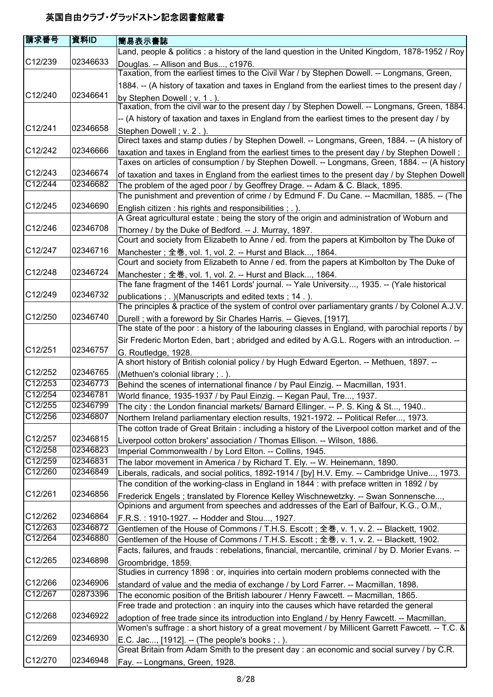| 請求番号                 | 資料ID     | 簡易表示書誌                                                                                                                                                                                           |
|----------------------|----------|--------------------------------------------------------------------------------------------------------------------------------------------------------------------------------------------------|
|                      |          | Land, people & politics : a history of the land question in the United Kingdom, 1878-1952 / Roy                                                                                                  |
| C12/239              | 02346633 | Douglas. -- Allison and Bus, c1976.<br>Taxation, from the earliest times to the Civil War / by Stephen Dowell. -- Longmans, Green,                                                               |
|                      |          | 1884. -- (A history of taxation and taxes in England from the earliest times to the present day /                                                                                                |
| C12/240              | 02346641 | by Stephen Dowell; v. 1.).                                                                                                                                                                       |
|                      |          | Taxation, from the civil war to the present day / by Stephen Dowell. -- Longmans, Green, 1884.                                                                                                   |
|                      |          | -- (A history of taxation and taxes in England from the earliest times to the present day / by                                                                                                   |
| C12/241              | 02346658 | Stephen Dowell; v. 2.).                                                                                                                                                                          |
|                      |          | Direct taxes and stamp duties / by Stephen Dowell. -- Longmans, Green, 1884. -- (A history of                                                                                                    |
| C12/242              | 02346666 | taxation and taxes in England from the earliest times to the present day / by Stephen Dowell;                                                                                                    |
|                      |          | Taxes on articles of consumption / by Stephen Dowell. -- Longmans, Green, 1884. -- (A history                                                                                                    |
| C12/243              | 02346674 | of taxation and taxes in England from the earliest times to the present day / by Stephen Dowell                                                                                                  |
| C12/244              | 02346682 | The problem of the aged poor / by Geoffrey Drage. -- Adam & C. Black, 1895.                                                                                                                      |
|                      |          | The punishment and prevention of crime / by Edmund F. Du Cane. -- Macmillan, 1885. -- (The                                                                                                       |
| C12/245              | 02346690 | English citizen : his rights and responsibilities ; . ).                                                                                                                                         |
|                      |          | A Great agricultural estate : being the story of the origin and administration of Woburn and                                                                                                     |
| C <sub>12</sub> /246 | 02346708 | Thorney / by the Duke of Bedford. -- J. Murray, 1897.                                                                                                                                            |
|                      |          | Court and society from Elizabeth to Anne / ed. from the papers at Kimbolton by The Duke of                                                                                                       |
| C12/247              | 02346716 | Manchester; 全巻, vol. 1, vol. 2. -- Hurst and Black, 1864.                                                                                                                                        |
|                      |          | Court and society from Elizabeth to Anne / ed. from the papers at Kimbolton by The Duke of                                                                                                       |
| C12/248              | 02346724 | Manchester; 全巻, vol. 1, vol. 2. -- Hurst and Black, 1864.                                                                                                                                        |
|                      |          | The fane fragment of the 1461 Lords' journal. -- Yale University, 1935. -- (Yale historical                                                                                                      |
| C12/249              | 02346732 | publications; .) (Manuscripts and edited texts; 14.).                                                                                                                                            |
|                      |          | The principles & practice of the system of control over parliamentary grants / by Colonel A.J.V.                                                                                                 |
| C <sub>12</sub> /250 | 02346740 | Durell; with a foreword by Sir Charles Harris. -- Gieves, [1917].                                                                                                                                |
|                      |          | The state of the poor: a history of the labouring classes in England, with parochial reports / by                                                                                                |
|                      |          | Sir Frederic Morton Eden, bart; abridged and edited by A.G.L. Rogers with an introduction. --                                                                                                    |
| C12/251              | 02346757 |                                                                                                                                                                                                  |
|                      |          | G. Routledge, 1928.<br>A short history of British colonial policy / by Hugh Edward Egerton. -- Methuen, 1897. --                                                                                 |
| C12/252              | 02346765 |                                                                                                                                                                                                  |
| C12/253              | 02346773 | (Methuen's colonial library; .).<br>Behind the scenes of international finance / by Paul Einzig. -- Macmillan, 1931.                                                                             |
| C12/254              | 02346781 | World finance, 1935-1937 / by Paul Einzig. -- Kegan Paul, Tre, 1937.                                                                                                                             |
| C12/255              | 02346799 | The city: the London financial markets/ Barnard Ellinger. -- P. S. King & St, 1940                                                                                                               |
| C12/256              | 02346807 | Northern Ireland parliamentary election results, 1921-1972. -- Political Refer, 1973.                                                                                                            |
|                      |          | The cotton trade of Great Britain : including a history of the Liverpool cotton market and of the                                                                                                |
| C12/257              | 02346815 | Liverpool cotton brokers' association / Thomas Ellison. -- Wilson, 1886.                                                                                                                         |
| C12/258              | 02346823 | Imperial Commonwealth / by Lord Elton. -- Collins, 1945.                                                                                                                                         |
| C12/259              | 02346831 | The labor movement in America / by Richard T. Ely. -- W. Heinemann, 1890.                                                                                                                        |
| C12/260              | 02346849 | Liberals, radicals, and social politics, 1892-1914 / [by] H.V. Emy. -- Cambridge Unive, 1973.                                                                                                    |
|                      |          | The condition of the working-class in England in 1844 : with preface written in 1892 / by                                                                                                        |
| C12/261              | 02346856 | Frederick Engels; translated by Florence Kelley Wischnewetzky. -- Swan Sonnensche,                                                                                                               |
|                      |          | Opinions and argument from speeches and addresses of the Earl of Balfour, K.G., O.M.,                                                                                                            |
| C12/262              | 02346864 |                                                                                                                                                                                                  |
| C12/263              | 02346872 | F.R.S.: 1910-1927. -- Hodder and Stou, 1927.<br>Gentlemen of the House of Commons / T.H.S. Escott; 全巻, v. 1, v. 2. -- Blackett, 1902.                                                            |
| C12/264              | 02346880 | Gentlemen of the House of Commons / T.H.S. Escott; 全巻, v. 1, v. 2. -- Blackett, 1902.                                                                                                            |
|                      |          | Facts, failures, and frauds : rebelations, financial, mercantile, criminal / by D. Morier Evans. --                                                                                              |
| C12/265              | 02346898 |                                                                                                                                                                                                  |
|                      |          | Groombridge, 1859.<br>Studies in currency 1898 : or, inquiries into certain modern problems connected with the                                                                                   |
| C12/266              | 02346906 |                                                                                                                                                                                                  |
| C12/267              | 02873396 | standard of value and the media of exchange / by Lord Farrer. -- Macmillan, 1898.<br>The economic position of the British labourer / Henry Fawcett. -- Macmillan, 1865.                          |
|                      |          | Free trade and protection : an inquiry into the causes which have retarded the general                                                                                                           |
| C12/268              | 02346922 |                                                                                                                                                                                                  |
|                      |          | adoption of free trade since its introduction into England / by Henry Fawcett. -- Macmillan,<br>Women's suffrage : a short history of a great movement / by Millicent Garrett Fawcett. -- T.C. & |
| C12/269              | 02346930 |                                                                                                                                                                                                  |
|                      |          | E.C. Jac, [1912]. -- (The people's books; .).                                                                                                                                                    |
| C12/270              | 02346948 | Great Britain from Adam Smith to the present day : an economic and social survey / by C.R.                                                                                                       |
|                      |          | Fay. -- Longmans, Green, 1928.                                                                                                                                                                   |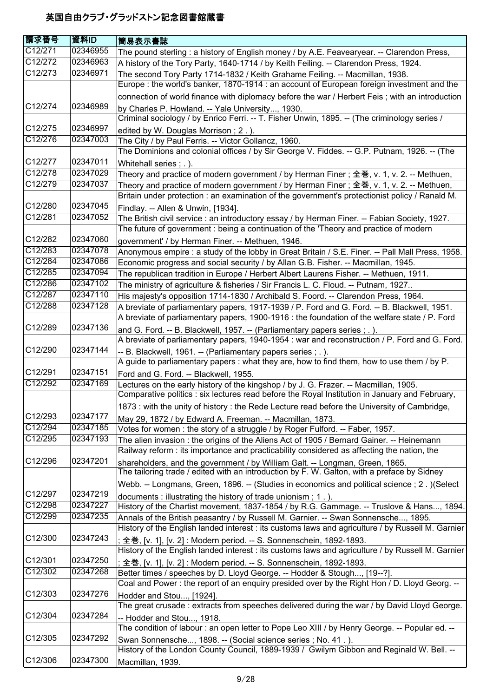| 請求番号    | 資料ID     | 簡易表示書誌                                                                                                                                                                                       |
|---------|----------|----------------------------------------------------------------------------------------------------------------------------------------------------------------------------------------------|
| C12/271 | 02346955 | The pound sterling : a history of English money / by A.E. Feavearyear. -- Clarendon Press,                                                                                                   |
| C12/272 | 02346963 | A history of the Tory Party, 1640-1714 / by Keith Feiling. -- Clarendon Press, 1924.                                                                                                         |
| C12/273 | 02346971 | The second Tory Party 1714-1832 / Keith Grahame Feiling. -- Macmillan, 1938.                                                                                                                 |
|         |          | Europe: the world's banker, 1870-1914 : an account of European foreign investment and the                                                                                                    |
| C12/274 | 02346989 | connection of world finance with diplomacy before the war / Herbert Feis; with an introduction                                                                                               |
|         |          | by Charles P. Howland. -- Yale University, 1930.<br>Criminal sociology / by Enrico Ferri. -- T. Fisher Unwin, 1895. -- (The criminology series /                                             |
| C12/275 | 02346997 | edited by W. Douglas Morrison; 2.).                                                                                                                                                          |
| C12/276 | 02347003 | The City / by Paul Ferris. -- Victor Gollancz, 1960.                                                                                                                                         |
|         |          | The Dominions and colonial offices / by Sir George V. Fiddes. -- G.P. Putnam, 1926. -- (The                                                                                                  |
| C12/277 | 02347011 | Whitehall series; .).                                                                                                                                                                        |
| C12/278 | 02347029 | Theory and practice of modern government / by Herman Finer ; 全巻, v. 1, v. 2. -- Methuen,                                                                                                     |
| C12/279 | 02347037 | Theory and practice of modern government / by Herman Finer ; 全巻, v. 1, v. 2. -- Methuen,                                                                                                     |
|         |          | Britain under protection : an examination of the government's protectionist policy / Ranald M.                                                                                               |
| C12/280 | 02347045 | Findlay. -- Allen & Unwin, [1934].                                                                                                                                                           |
| C12/281 | 02347052 | The British civil service : an introductory essay / by Herman Finer. -- Fabian Society, 1927.                                                                                                |
|         |          | The future of government : being a continuation of the 'Theory and practice of modern                                                                                                        |
| C12/282 | 02347060 | government' / by Herman Finer. -- Methuen, 1946.                                                                                                                                             |
| C12/283 | 02347078 | Anonymous empire : a study of the lobby in Great Britain / S.E. Finer. -- Pall Mall Press, 1958.                                                                                             |
| C12/284 | 02347086 | Economic progress and social security / by Allan G.B. Fisher. -- Macmillan, 1945.                                                                                                            |
| C12/285 | 02347094 |                                                                                                                                                                                              |
| C12/286 | 02347102 | The republican tradition in Europe / Herbert Albert Laurens Fisher. -- Methuen, 1911.                                                                                                        |
|         |          | The ministry of agriculture & fisheries / Sir Francis L. C. Floud. -- Putnam, 1927                                                                                                           |
| C12/287 | 02347110 | His majesty's opposition 1714-1830 / Archibald S. Foord. -- Clarendon Press, 1964.                                                                                                           |
| C12/288 | 02347128 | A breviate of parliamentary papers, 1917-1939 / P. Ford and G. Ford. -- B. Blackwell, 1951.<br>A breviate of parliamentary papers, 1900-1916 : the foundation of the welfare state / P. Ford |
| C12/289 | 02347136 | and G. Ford. -- B. Blackwell, 1957. -- (Parliamentary papers series ; . ).                                                                                                                   |
|         |          | A breviate of parliamentary papers, 1940-1954 : war and reconstruction / P. Ford and G. Ford.                                                                                                |
| C12/290 | 02347144 |                                                                                                                                                                                              |
|         |          | -- B. Blackwell, 1961. -- (Parliamentary papers series ; .).<br>A guide to parliamentary papers : what they are, how to find them, how to use them / by P.                                   |
| C12/291 | 02347151 |                                                                                                                                                                                              |
| C12/292 | 02347169 | Ford and G. Ford. -- Blackwell, 1955.                                                                                                                                                        |
|         |          | Lectures on the early history of the kingshop / by J. G. Frazer. -- Macmillan, 1905.<br>Comparative politics : six lectures read before the Royal Institution in January and February,       |
|         |          | 1873 : with the unity of history : the Rede Lecture read before the University of Cambridge,                                                                                                 |
| C12/293 | 02347177 | May 29, 1872 / by Edward A. Freeman. -- Macmillan, 1873.                                                                                                                                     |
| C12/294 | 02347185 | Votes for women: the story of a struggle / by Roger Fulford. -- Faber, 1957.                                                                                                                 |
| C12/295 | 02347193 | The alien invasion: the origins of the Aliens Act of 1905 / Bernard Gainer. -- Heinemann                                                                                                     |
|         |          | Railway reform : its importance and practicability considered as affecting the nation, the                                                                                                   |
| C12/296 | 02347201 | shareholders, and the government / by William Galt. -- Longman, Green, 1865.<br>The tailoring trade / edited with an introduction by F. W. Galton, with a preface by Sidney                  |
|         |          | Webb. -- Longmans, Green, 1896. -- (Studies in economics and political science ; 2 . ) (Select                                                                                               |
| C12/297 | 02347219 |                                                                                                                                                                                              |
| C12/298 | 02347227 | documents: illustrating the history of trade unionism; 1.).<br>History of the Chartist movement, 1837-1854 / by R.G. Gammage. -- Truslove & Hans, 1894.                                      |
| C12/299 | 02347235 | Annals of the British peasantry / by Russell M. Garnier. -- Swan Sonnensche, 1895.                                                                                                           |
|         |          | History of the English landed interest : its customs laws and agriculture / by Russell M. Garnier                                                                                            |
| C12/300 | 02347243 | ; 全巻, [v. 1], [v. 2] : Modern period. -- S. Sonnenschein, 1892-1893.                                                                                                                         |
|         |          | History of the English landed interest : its customs laws and agriculture / by Russell M. Garnier                                                                                            |
| C12/301 | 02347250 | ; 全巻, [v. 1], [v. 2] : Modern period. -- S. Sonnenschein, 1892-1893.                                                                                                                         |
| C12/302 | 02347268 | Better times / speeches by D. Lloyd George. -- Hodder & Stough, [19--?].<br>Coal and Power: the report of an enquiry presided over by the Right Hon / D. Lloyd Georg. --                     |
| C12/303 | 02347276 | Hodder and Stou, [1924].                                                                                                                                                                     |
|         |          | The great crusade: extracts from speeches delivered during the war / by David Lloyd George.                                                                                                  |
| C12/304 | 02347284 |                                                                                                                                                                                              |
|         |          | -- Hodder and Stou, 1918.<br>The condition of labour : an open letter to Pope Leo XIII / by Henry George. -- Popular ed. --                                                                  |
| C12/305 | 02347292 |                                                                                                                                                                                              |
|         |          | Swan Sonnensche, 1898. -- (Social science series ; No. 41.).<br>History of the London County Council, 1889-1939 / Gwilym Gibbon and Reginald W. Bell. --                                     |
| C12/306 | 02347300 |                                                                                                                                                                                              |
|         |          | Macmillan, 1939.                                                                                                                                                                             |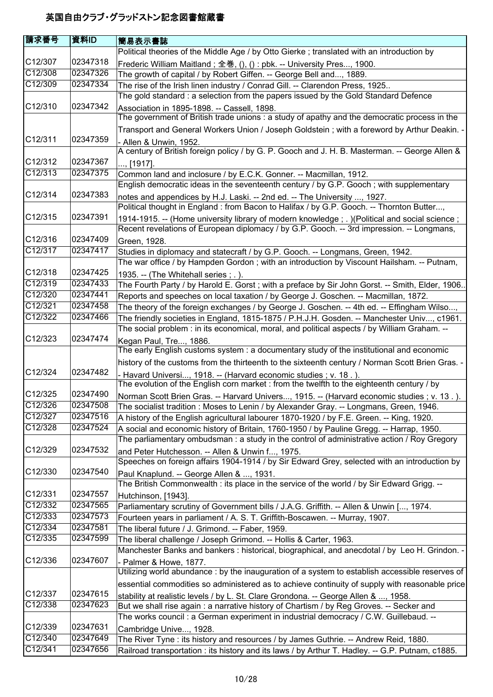| <b>請求番号</b>          | 資料ID     | 簡易表示書誌                                                                                                                                          |
|----------------------|----------|-------------------------------------------------------------------------------------------------------------------------------------------------|
|                      |          | Political theories of the Middle Age / by Otto Gierke ; translated with an introduction by                                                      |
| C12/307              | 02347318 | Frederic William Maitland; 全巻, (), () : pbk. -- University Pres, 1900.                                                                          |
| C12/308              | 02347326 | The growth of capital / by Robert Giffen. -- George Bell and, 1889.                                                                             |
| C12/309              | 02347334 | The rise of the Irish linen industry / Conrad Gill. -- Clarendon Press, 1925                                                                    |
|                      |          | The gold standard : a selection from the papers issued by the Gold Standard Defence                                                             |
| C12/310              | 02347342 |                                                                                                                                                 |
|                      |          | Association in 1895-1898. -- Cassell, 1898.<br>The government of British trade unions: a study of apathy and the democratic process in the      |
|                      |          |                                                                                                                                                 |
|                      |          | Transport and General Workers Union / Joseph Goldstein; with a foreword by Arthur Deakin. -                                                     |
| C12/311              | 02347359 | - Allen & Unwin, 1952.                                                                                                                          |
|                      |          | A century of British foreign policy / by G. P. Gooch and J. H. B. Masterman. -- George Allen &                                                  |
| C12/312              | 02347367 | , [1917].                                                                                                                                       |
| C12/313              | 02347375 | Common land and inclosure / by E.C.K. Gonner. -- Macmillan, 1912.                                                                               |
|                      |          | English democratic ideas in the seventeenth century / by G.P. Gooch; with supplementary                                                         |
| C12/314              | 02347383 | notes and appendices by H.J. Laski. -- 2nd ed. -- The University , 1927.                                                                        |
|                      |          | Political thought in England: from Bacon to Halifax / by G.P. Gooch. -- Thornton Butter,                                                        |
| C <sub>12</sub> /315 | 02347391 | 1914-1915. -- (Home university library of modern knowledge; .) (Political and social science;                                                   |
|                      |          | Recent revelations of European diplomacy / by G.P. Gooch. -- 3rd impression. -- Longmans,                                                       |
| C12/316              | 02347409 | Green, 1928.                                                                                                                                    |
| C12/317              | 02347417 | Studies in diplomacy and statecraft / by G.P. Gooch. -- Longmans, Green, 1942.                                                                  |
|                      |          | The war office / by Hampden Gordon ; with an introduction by Viscount Hailsham. -- Putnam,                                                      |
| C12/318              | 02347425 | 1935. -- (The Whitehall series; .).                                                                                                             |
| C12/319              | 02347433 | The Fourth Party / by Harold E. Gorst; with a preface by Sir John Gorst. -- Smith, Elder, 1906.                                                 |
| C12/320              | 02347441 | Reports and speeches on local taxation / by George J. Goschen. -- Macmillan, 1872.                                                              |
| C12/321              | 02347458 | The theory of the foreign exchanges / by George J. Goschen. -- 4th ed. -- Effingham Wilso,                                                      |
| C12/322              | 02347466 | The friendly societies in England, 1815-1875 / P.H.J.H. Gosden. -- Manchester Univ, c1961.                                                      |
|                      |          | The social problem : in its economical, moral, and political aspects / by William Graham. --                                                    |
| C12/323              | 02347474 | Kegan Paul, Tre, 1886.                                                                                                                          |
|                      |          | The early English customs system : a documentary study of the institutional and economic                                                        |
|                      |          | history of the customs from the thirteenth to the sixteenth century / Norman Scott Brien Gras. -                                                |
| C12/324              | 02347482 | - Havard Universi, 1918. -- (Harvard economic studies ; v. 18.).                                                                                |
|                      |          | The evolution of the English corn market : from the twelfth to the eighteenth century / by                                                      |
| C12/325              | 02347490 | Norman Scott Brien Gras. -- Harvard Univers, 1915. -- (Harvard economic studies; v. 13.).                                                       |
| C12/326              | 02347508 | The socialist tradition : Moses to Lenin / by Alexander Gray. -- Longmans, Green, 1946.                                                         |
| C12/327              | 02347516 | A history of the English agricultural labourer 1870-1920 / by F.E. Green. -- King, 1920.                                                        |
| C12/328              | 02347524 | A social and economic history of Britain, 1760-1950 / by Pauline Gregg. -- Harrap, 1950.                                                        |
|                      |          | The parliamentary ombudsman: a study in the control of administrative action / Roy Gregory                                                      |
| C12/329              | 02347532 |                                                                                                                                                 |
|                      |          | and Peter Hutchesson. -- Allen & Unwin f, 1975.<br>Speeches on foreign affairs 1904-1914 / by Sir Edward Grey, selected with an introduction by |
| C12/330              | 02347540 |                                                                                                                                                 |
|                      |          | Paul Knaplund. -- George Allen & , 1931.<br>The British Commonwealth : its place in the service of the world / by Sir Edward Grigg. --          |
| C12/331              | 02347557 |                                                                                                                                                 |
| C12/332              | 02347565 | Hutchinson, [1943].                                                                                                                             |
| C12/333              | 02347573 | Parliamentary scrutiny of Government bills / J.A.G. Griffith. -- Allen & Unwin [, 1974.                                                         |
| C12/334              |          | Fourteen years in parliament / A. S. T. Griffith-Boscawen. -- Murray, 1907.                                                                     |
|                      | 02347581 | The liberal future / J. Grimond. -- Faber, 1959.                                                                                                |
| C12/335              | 02347599 | The liberal challenge / Joseph Grimond. -- Hollis & Carter, 1963.                                                                               |
|                      |          | Manchester Banks and bankers : historical, biographical, and anecdotal / by Leo H. Grindon. -                                                   |
| C12/336              | 02347607 | - Palmer & Howe, 1877.                                                                                                                          |
|                      |          | Utilizing world abundance : by the inauguration of a system to establish accessible reserves of                                                 |
|                      |          | essential commodities so administered as to achieve continuity of supply with reasonable price                                                  |
| C12/337              | 02347615 | stability at realistic levels / by L. St. Clare Grondona. -- George Allen & , 1958.                                                             |
| C12/338              | 02347623 | But we shall rise again : a narrative history of Chartism / by Reg Groves. -- Secker and                                                        |
|                      |          | The works council : a German experiment in industrial democracy / C.W. Guillebaud. --                                                           |
| C12/339              | 02347631 | Cambridge Unive, 1928.                                                                                                                          |
| C12/340              | 02347649 | The River Tyne : its history and resources / by James Guthrie. -- Andrew Reid, 1880.                                                            |
| C12/341              | 02347656 | Railroad transportation : its history and its laws / by Arthur T. Hadley. -- G.P. Putnam, c1885.                                                |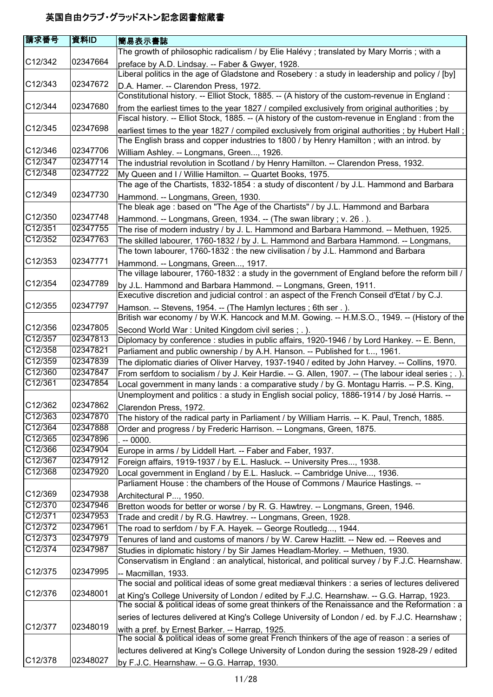| 請求番号                 | 資料ID     | 簡易表示書誌                                                                                                                                                                                             |
|----------------------|----------|----------------------------------------------------------------------------------------------------------------------------------------------------------------------------------------------------|
|                      |          | The growth of philosophic radicalism / by Elie Halévy ; translated by Mary Morris ; with a                                                                                                         |
| C <sub>12</sub> /342 | 02347664 | preface by A.D. Lindsay. -- Faber & Gwyer, 1928.                                                                                                                                                   |
|                      |          | Liberal politics in the age of Gladstone and Rosebery : a study in leadership and policy / [by]                                                                                                    |
| C12/343              | 02347672 | D.A. Hamer. -- Clarendon Press, 1972.                                                                                                                                                              |
|                      |          | Constitutional history. -- Elliot Stock, 1885. -- (A history of the custom-revenue in England :                                                                                                    |
| C12/344              | 02347680 | from the earliest times to the year 1827 / compiled exclusively from original authorities; by                                                                                                      |
|                      |          | Fiscal history. -- Elliot Stock, 1885. -- (A history of the custom-revenue in England : from the                                                                                                   |
| C12/345              | 02347698 | earliest times to the year 1827 / compiled exclusively from original authorities; by Hubert Hall;                                                                                                  |
|                      |          | The English brass and copper industries to 1800 / by Henry Hamilton; with an introd. by                                                                                                            |
| C12/346              | 02347706 | William Ashley. -- Longmans, Green, 1926.                                                                                                                                                          |
| C12/347              | 02347714 | The industrial revolution in Scotland / by Henry Hamilton. -- Clarendon Press, 1932.                                                                                                               |
| C12/348              | 02347722 | My Queen and I / Willie Hamilton. -- Quartet Books, 1975.                                                                                                                                          |
|                      |          | The age of the Chartists, 1832-1854 : a study of discontent / by J.L. Hammond and Barbara                                                                                                          |
| C12/349              | 02347730 | Hammond. -- Longmans, Green, 1930.                                                                                                                                                                 |
|                      |          | The bleak age: based on "The Age of the Chartists" / by J.L. Hammond and Barbara                                                                                                                   |
| C12/350              | 02347748 | Hammond. -- Longmans, Green, 1934. -- (The swan library ; v. 26.).                                                                                                                                 |
| C12/351              | 02347755 | The rise of modern industry / by J. L. Hammond and Barbara Hammond. -- Methuen, 1925.                                                                                                              |
| C12/352              | 02347763 | The skilled labourer, 1760-1832 / by J. L. Hammond and Barbara Hammond. -- Longmans,                                                                                                               |
|                      |          | The town labourer, 1760-1832 : the new civilisation / by J.L. Hammond and Barbara                                                                                                                  |
| C12/353              | 02347771 | Hammond. -- Longmans, Green, 1917.                                                                                                                                                                 |
|                      |          | The village labourer, 1760-1832 : a study in the government of England before the reform bill /                                                                                                    |
| C12/354              | 02347789 | by J.L. Hammond and Barbara Hammond. -- Longmans, Green, 1911.                                                                                                                                     |
| C <sub>12</sub> /355 | 02347797 | Executive discretion and judicial control : an aspect of the French Conseil d'Etat / by C.J.                                                                                                       |
|                      |          | Hamson. -- Stevens, 1954. -- (The Hamlyn lectures; 6th ser.).                                                                                                                                      |
| C <sub>12</sub> /356 | 02347805 | British war economy / by W.K. Hancock and M.M. Gowing. -- H.M.S.O., 1949. -- (History of the                                                                                                       |
| C12/357              | 02347813 | Second World War: United Kingdom civil series; .).                                                                                                                                                 |
| C12/358              | 02347821 | Diplomacy by conference : studies in public affairs, 1920-1946 / by Lord Hankey. -- E. Benn,                                                                                                       |
| C12/359              | 02347839 | Parliament and public ownership / by A.H. Hanson. -- Published for t, 1961.                                                                                                                        |
| C12/360              | 02347847 | The diplomatic diaries of Oliver Harvey, 1937-1940 / edited by John Harvey. -- Collins, 1970.                                                                                                      |
| C12/361              | 02347854 | From serfdom to socialism / by J. Keir Hardie. -- G. Allen, 1907. -- (The labour ideal series ; . ).<br>Local government in many lands : a comparative study / by G. Montagu Harris. -- P.S. King, |
|                      |          | Unemployment and politics: a study in English social policy, 1886-1914 / by José Harris. --                                                                                                        |
| C12/362              | 02347862 | Clarendon Press, 1972.                                                                                                                                                                             |
| C12/363              | 02347870 | The history of the radical party in Parliament / by William Harris. -- K. Paul, Trench, 1885.                                                                                                      |
| C12/364              | 02347888 | Order and progress / by Frederic Harrison. -- Longmans, Green, 1875.                                                                                                                               |
| C12/365              | 02347896 | $. -0000.$                                                                                                                                                                                         |
| C12/366              | 02347904 | Europe in arms / by Liddell Hart. -- Faber and Faber, 1937.                                                                                                                                        |
| C12/367              | 02347912 | Foreign affairs, 1919-1937 / by E.L. Hasluck. -- University Pres, 1938.                                                                                                                            |
| C12/368              | 02347920 | Local government in England / by E.L. Hasluck. -- Cambridge Unive, 1936.                                                                                                                           |
|                      |          | Parliament House: the chambers of the House of Commons / Maurice Hastings. --                                                                                                                      |
| C12/369              | 02347938 | Architectural P, 1950.                                                                                                                                                                             |
| C12/370              | 02347946 | Bretton woods for better or worse / by R. G. Hawtrey. -- Longmans, Green, 1946.                                                                                                                    |
| C12/371              | 02347953 | Trade and credit / by R.G. Hawtrey. -- Longmans, Green, 1928.                                                                                                                                      |
| C12/372              | 02347961 | The road to serfdom / by F.A. Hayek. -- George Routledg, 1944.                                                                                                                                     |
| C12/373              | 02347979 | Tenures of land and customs of manors / by W. Carew Hazlitt. -- New ed. -- Reeves and                                                                                                              |
| C12/374              | 02347987 | Studies in diplomatic history / by Sir James Headlam-Morley. -- Methuen, 1930.                                                                                                                     |
|                      |          | Conservatism in England : an analytical, historical, and political survey / by F.J.C. Hearnshaw.                                                                                                   |
| C <sub>12</sub> /375 | 02347995 | -- Macmillan, 1933.                                                                                                                                                                                |
|                      |          | The social and political ideas of some great mediæval thinkers : a series of lectures delivered                                                                                                    |
| C <sub>12</sub> /376 | 02348001 | at King's College University of London / edited by F.J.C. Hearnshaw. -- G.G. Harrap, 1923.                                                                                                         |
|                      |          | The social & political ideas of some great thinkers of the Renaissance and the Reformation : a                                                                                                     |
|                      |          | series of lectures delivered at King's College University of London / ed. by F.J.C. Hearnshaw;                                                                                                     |
| C12/377              | 02348019 | with a pref. by Ernest Barker. -- Harrap, 1925.                                                                                                                                                    |
|                      |          | The social & political ideas of some great French thinkers of the age of reason : a series of                                                                                                      |
|                      |          | lectures delivered at King's College University of London during the session 1928-29 / edited                                                                                                      |
| C12/378              | 02348027 | by F.J.C. Hearnshaw. -- G.G. Harrap, 1930.                                                                                                                                                         |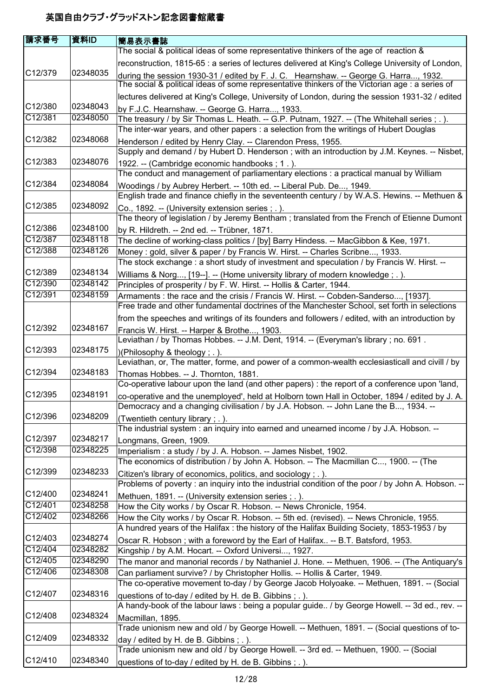| 請求番号                 | 資料ID     | 簡易表示書誌                                                                                                                                                                                  |
|----------------------|----------|-----------------------------------------------------------------------------------------------------------------------------------------------------------------------------------------|
|                      |          | The social & political ideas of some representative thinkers of the age of reaction &                                                                                                   |
|                      |          | reconstruction, 1815-65 : a series of lectures delivered at King's College University of London,                                                                                        |
| C12/379              | 02348035 | during the session 1930-31 / edited by F. J. C. Hearnshaw. -- George G. Harra, 1932.<br>The social & political ideas of some representative thinkers of the Victorian age : a series of |
|                      |          | lectures delivered at King's College, University of London, during the session 1931-32 / edited                                                                                         |
| C <sub>12</sub> /380 | 02348043 | by F.J.C. Hearnshaw. -- George G. Harra, 1933.                                                                                                                                          |
| C12/381              | 02348050 | The treasury / by Sir Thomas L. Heath. -- G.P. Putnam, 1927. -- (The Whitehall series; .).                                                                                              |
|                      |          | The inter-war years, and other papers : a selection from the writings of Hubert Douglas                                                                                                 |
| C <sub>12</sub> /382 | 02348068 | Henderson / edited by Henry Clay. -- Clarendon Press, 1955.<br>Supply and demand / by Hubert D. Henderson; with an introduction by J.M. Keynes. -- Nisbet,                              |
| C12/383              | 02348076 | 1922. -- (Cambridge economic handbooks; 1.).                                                                                                                                            |
|                      |          | The conduct and management of parliamentary elections : a practical manual by William                                                                                                   |
| C12/384              | 02348084 | Woodings / by Aubrey Herbert. -- 10th ed. -- Liberal Pub. De, 1949.                                                                                                                     |
| C12/385              | 02348092 | English trade and finance chiefly in the seventeenth century / by W.A.S. Hewins. -- Methuen &                                                                                           |
|                      |          | Co., 1892. -- (University extension series; .).                                                                                                                                         |
| C12/386              | 02348100 | The theory of legislation / by Jeremy Bentham; translated from the French of Etienne Dumont                                                                                             |
| C12/387              | 02348118 | by R. Hildreth. -- 2nd ed. -- Trübner, 1871.                                                                                                                                            |
| C12/388              | 02348126 | The decline of working-class politics / [by] Barry Hindess. -- MacGibbon & Kee, 1971.                                                                                                   |
|                      |          | Money: gold, silver & paper / by Francis W. Hirst. -- Charles Scribne, 1933.<br>The stock exchange: a short study of investment and speculation / by Francis W. Hirst. --               |
| C12/389              | 02348134 |                                                                                                                                                                                         |
| C12/390              | 02348142 | Williams & Norg, [19--]. -- (Home university library of modern knowledge; .).<br>Principles of prosperity / by F. W. Hirst. -- Hollis & Carter, 1944.                                   |
| C12/391              | 02348159 | Armaments : the race and the crisis / Francis W. Hirst. -- Cobden-Sanderso, [1937].                                                                                                     |
|                      |          | Free trade and other fundamental doctrines of the Manchester School, set forth in selections                                                                                            |
|                      |          | from the speeches and writings of its founders and followers / edited, with an introduction by                                                                                          |
| C12/392              | 02348167 |                                                                                                                                                                                         |
|                      |          | Francis W. Hirst. -- Harper & Brothe, 1903.<br>Leviathan / by Thomas Hobbes. -- J.M. Dent, 1914. -- (Everyman's library; no. 691.                                                       |
| C <sub>12</sub> /393 | 02348175 | )(Philosophy & theology; .).                                                                                                                                                            |
|                      |          | Leviathan, or, The matter, forme, and power of a common-wealth ecclesiasticall and civill / by                                                                                          |
| C12/394              | 02348183 | Thomas Hobbes. -- J. Thornton, 1881.                                                                                                                                                    |
|                      |          | Co-operative labour upon the land (and other papers) : the report of a conference upon 'land,                                                                                           |
| C12/395              | 02348191 | co-operative and the unemployed', held at Holborn town Hall in October, 1894 / edited by J. A.                                                                                          |
|                      |          | Democracy and a changing civilisation / by J.A. Hobson. -- John Lane the B, 1934. --                                                                                                    |
| C12/396              | 02348209 | (Twentieth century library; .).                                                                                                                                                         |
|                      |          | The industrial system: an inquiry into earned and unearned income / by J.A. Hobson. --                                                                                                  |
| C12/397              | 02348217 | Longmans, Green, 1909.                                                                                                                                                                  |
| C12/398              | 02348225 | Imperialism : a study / by J. A. Hobson. -- James Nisbet, 1902.                                                                                                                         |
|                      |          | The economics of distribution / by John A. Hobson. -- The Macmillan C, 1900. -- (The                                                                                                    |
| C12/399              | 02348233 | Citizen's library of economics, politics, and sociology; .).                                                                                                                            |
|                      |          | Problems of poverty : an inquiry into the industrial condition of the poor / by John A. Hobson. --                                                                                      |
| C12/400              | 02348241 | Methuen, 1891. -- (University extension series; .).                                                                                                                                     |
| C12/401              | 02348258 | How the City works / by Oscar R. Hobson. -- News Chronicle, 1954.                                                                                                                       |
| C12/402              | 02348266 | How the City works / by Oscar R. Hobson. -- 5th ed. (revised). -- News Chronicle, 1955.                                                                                                 |
|                      |          | A hundred years of the Halifax: the history of the Halifax Building Society, 1853-1953 / by                                                                                             |
| C12/403              | 02348274 | Oscar R. Hobson; with a foreword by the Earl of Halifax -- B.T. Batsford, 1953.                                                                                                         |
| C12/404              | 02348282 | Kingship / by A.M. Hocart. -- Oxford Universi, 1927.                                                                                                                                    |
| C12/405              | 02348290 | The manor and manorial records / by Nathaniel J. Hone. -- Methuen, 1906. -- (The Antiquary's                                                                                            |
| C12/406              | 02348308 | Can parliament survive? / by Christopher Hollis. -- Hollis & Carter, 1949.                                                                                                              |
|                      |          | The co-operative movement to-day / by George Jacob Holyoake. -- Methuen, 1891. -- (Social                                                                                               |
| C12/407              | 02348316 | questions of to-day / edited by H. de B. Gibbins ; . ).                                                                                                                                 |
|                      |          | A handy-book of the labour laws : being a popular guide / by George Howell. -- 3d ed., rev. --                                                                                          |
| C12/408              | 02348324 | Macmillan, 1895.                                                                                                                                                                        |
|                      |          | Trade unionism new and old / by George Howell. -- Methuen, 1891. -- (Social questions of to-                                                                                            |
| C12/409              | 02348332 | day / edited by H. de B. Gibbins; .).                                                                                                                                                   |
|                      |          | Trade unionism new and old / by George Howell. -- 3rd ed. -- Methuen, 1900. -- (Social                                                                                                  |
| C12/410              | 02348340 | questions of to-day / edited by H. de B. Gibbins ; . ).                                                                                                                                 |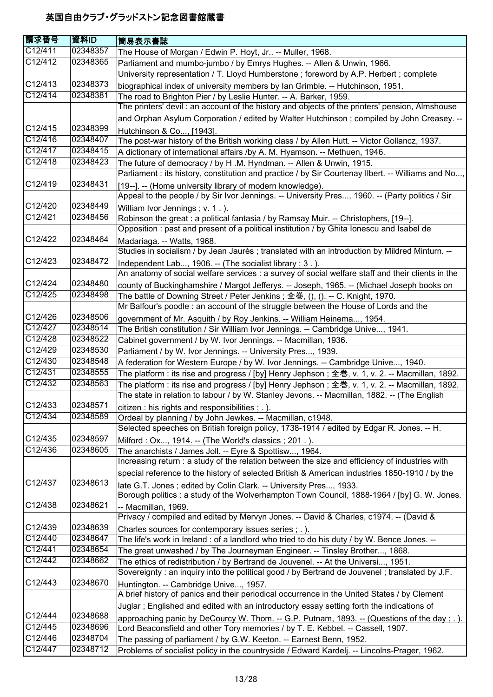| 請求番号                 | 資料ID     | 簡易表示書誌                                                                                                                                                                       |
|----------------------|----------|------------------------------------------------------------------------------------------------------------------------------------------------------------------------------|
| C12/411              | 02348357 | The House of Morgan / Edwin P. Hoyt, Jr -- Muller, 1968.                                                                                                                     |
| C12/412              | 02348365 | Parliament and mumbo-jumbo / by Emrys Hughes. -- Allen & Unwin, 1966.                                                                                                        |
|                      |          | University representation / T. Lloyd Humberstone; foreword by A.P. Herbert; complete                                                                                         |
| C12/413              | 02348373 | biographical index of university members by lan Grimble. -- Hutchinson, 1951.                                                                                                |
| C12/414              | 02348381 | The road to Brighton Pier / by Leslie Hunter. -- A. Barker, 1959.                                                                                                            |
|                      |          | The printers' devil: an account of the history and objects of the printers' pension, Almshouse                                                                               |
|                      |          | and Orphan Asylum Corporation / edited by Walter Hutchinson; compiled by John Creasey. --                                                                                    |
| C12/415              | 02348399 | Hutchinson & Co, [1943].                                                                                                                                                     |
| C12/416              | 02348407 | The post-war history of the British working class / by Allen Hutt. -- Victor Gollancz, 1937.                                                                                 |
| C12/417              | 02348415 | A dictionary of international affairs /by A. M. Hyamson. -- Methuen, 1946.                                                                                                   |
| C12/418              | 02348423 | The future of democracy / by H.M. Hyndman. -- Allen & Unwin, 1915.                                                                                                           |
|                      |          | Parliament : its history, constitution and practice / by Sir Courtenay Ilbert. -- Williams and No,                                                                           |
| C12/419              | 02348431 | [19--]. -- (Home university library of modern knowledge).                                                                                                                    |
|                      |          | Appeal to the people / by Sir Ivor Jennings. -- University Pres, 1960. -- (Party politics / Sir                                                                              |
| C12/420              | 02348449 | William Ivor Jennings; v. 1.).                                                                                                                                               |
| C12/421              | 02348456 | Robinson the great : a political fantasia / by Ramsay Muir. -- Christophers, [19--].                                                                                         |
|                      |          | Opposition: past and present of a political institution / by Ghita lonescu and Isabel de                                                                                     |
| C <sub>12</sub> /422 | 02348464 | Madariaga. -- Watts, 1968.                                                                                                                                                   |
|                      |          | Studies in socialism / by Jean Jaurès ; translated with an introduction by Mildred Minturn. --                                                                               |
| C12/423              | 02348472 | Independent Lab, 1906. -- (The socialist library ; 3.).                                                                                                                      |
|                      |          | An anatomy of social welfare services : a survey of social welfare staff and their clients in the                                                                            |
| C12/424              | 02348480 | county of Buckinghamshire / Margot Jefferys. -- Joseph, 1965. -- (Michael Joseph books on                                                                                    |
| C12/425              | 02348498 | The battle of Downing Street / Peter Jenkins ; 全巻, (), (). -- C. Knight, 1970.                                                                                               |
|                      |          | Mr Balfour's poodle: an account of the struggle between the House of Lords and the                                                                                           |
| C12/426              | 02348506 | government of Mr. Asquith / by Roy Jenkins. -- William Heinema, 1954.                                                                                                        |
| C12/427              | 02348514 | The British constitution / Sir William Ivor Jennings. -- Cambridge Unive, 1941.                                                                                              |
| C12/428              | 02348522 | Cabinet government / by W. Ivor Jennings. -- Macmillan, 1936.                                                                                                                |
| C12/429              | 02348530 | Parliament / by W. Ivor Jennings. -- University Pres, 1939.                                                                                                                  |
| C12/430              | 02348548 | A federation for Western Europe / by W. Ivor Jennings. -- Cambridge Unive, 1940.                                                                                             |
| C12/431              | 02348555 | The platform : its rise and progress / [by] Henry Jephson ; 全巻, v. 1, v. 2. -- Macmillan, 1892.                                                                              |
| C12/432              | 02348563 | The platform : its rise and progress / [by] Henry Jephson ; 全巻, v. 1, v. 2. -- Macmillan, 1892.                                                                              |
|                      |          | The state in relation to labour / by W. Stanley Jevons. -- Macmillan, 1882. -- (The English                                                                                  |
| C12/433              | 02348571 | citizen : his rights and responsibilities ; . ).                                                                                                                             |
| C12/434              | 02348589 | Ordeal by planning / by John Jewkes. -- Macmillan, c1948.                                                                                                                    |
|                      |          | Selected speeches on British foreign policy, 1738-1914 / edited by Edgar R. Jones. -- H.                                                                                     |
| C12/435<br>C12/436   | 02348597 | Milford: Ox, 1914. -- (The World's classics ; 201.).                                                                                                                         |
|                      | 02348605 | The anarchists / James Joll. -- Eyre & Spottisw, 1964.<br>Increasing return : a study of the relation between the size and efficiency of industries with                     |
|                      |          |                                                                                                                                                                              |
| C12/437              | 02348613 | special reference to the history of selected British & American industries 1850-1910 / by the                                                                                |
|                      |          | late G.T. Jones; edited by Colin Clark. -- University Pres, 1933.<br>Borough politics : a study of the Wolverhampton Town Council, 1888-1964 / [by] G. W. Jones.             |
| C12/438              | 02348621 |                                                                                                                                                                              |
|                      |          | -- Macmillan, 1969.<br>Privacy / compiled and edited by Mervyn Jones. -- David & Charles, c1974. -- (David &                                                                 |
| C12/439              | 02348639 |                                                                                                                                                                              |
| C12/440              | 02348647 | Charles sources for contemporary issues series; .).                                                                                                                          |
| C12/441              | 02348654 | The life's work in Ireland : of a landlord who tried to do his duty / by W. Bence Jones. --<br>The great unwashed / by The Journeyman Engineer. -- Tinsley Brother, 1868.    |
| C12/442              | 02348662 | The ethics of redistribution / by Bertrand de Jouvenel. -- At the Universi, 1951.                                                                                            |
|                      |          | Sovereignty: an inquiry into the political good / by Bertrand de Jouvenel; translated by J.F.                                                                                |
| C12/443              | 02348670 |                                                                                                                                                                              |
|                      |          | Huntington. -- Cambridge Unive, 1957.<br>A brief history of panics and their periodical occurrence in the United States / by Clement                                         |
|                      |          | Juglar; Englished and edited with an introductory essay setting forth the indications of                                                                                     |
| C12/444              | 02348688 |                                                                                                                                                                              |
| C12/445              | 02348696 | approaching panic by DeCourcy W. Thom. -- G.P. Putnam, 1893. -- (Questions of the day; .).<br>Lord Beaconsfield and other Tory memories / by T. E. Kebbel. -- Cassell, 1907. |
| C12/446              | 02348704 | The passing of parliament / by G.W. Keeton. -- Earnest Benn, 1952.                                                                                                           |
| C12/447              | 02348712 | Problems of socialist policy in the countryside / Edward Kardelj. -- Lincolns-Prager, 1962.                                                                                  |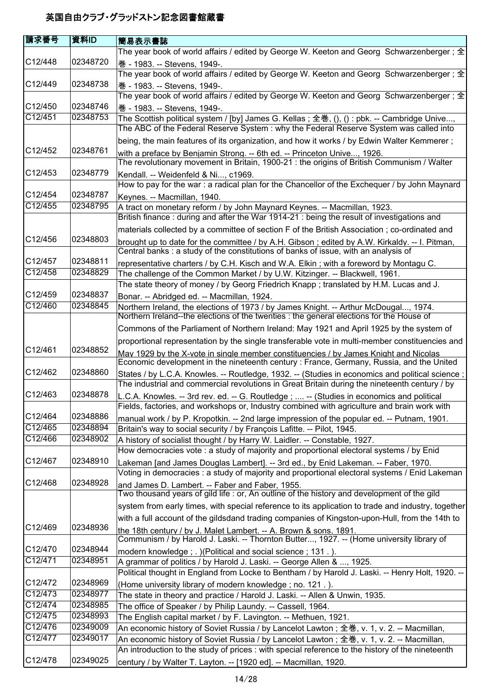| <b>請求番号</b>          | 資料ID     | 簡易表示書誌                                                                                                                                                                                   |
|----------------------|----------|------------------------------------------------------------------------------------------------------------------------------------------------------------------------------------------|
|                      |          | The year book of world affairs / edited by George W. Keeton and Georg Schwarzenberger; $\pm$                                                                                             |
| C12/448              | 02348720 | 巻 - 1983. -- Stevens, 1949-.<br>The year book of world affairs / edited by George W. Keeton and Georg Schwarzenberger; 全                                                                 |
| C12/449              | 02348738 | 巻 - 1983. -- Stevens, 1949-.<br>The year book of world affairs / edited by George W. Keeton and Georg Schwarzenberger; 全                                                                 |
| C12/450              | 02348746 | 巻 - 1983. -- Stevens, 1949-.                                                                                                                                                             |
| C12/451              | 02348753 | The Scottish political system / [by] James G. Kellas; 全巻, (), (): pbk. -- Cambridge Unive,                                                                                               |
|                      |          | The ABC of the Federal Reserve System : why the Federal Reserve System was called into                                                                                                   |
|                      |          | being, the main features of its organization, and how it works / by Edwin Walter Kemmerer;                                                                                               |
| C12/452              | 02348761 | with a preface by Benjamin Strong. -- 6th ed. -- Princeton Unive, 1926.<br>The revolutionary movement in Britain, 1900-21 : the origins of British Communism / Walter                    |
| C12/453              | 02348779 | Kendall. -- Weidenfeld & Ni, c1969.<br>How to pay for the war : a radical plan for the Chancellor of the Exchequer / by John Maynard                                                     |
| C12/454              | 02348787 | Keynes. -- Macmillan, 1940.                                                                                                                                                              |
| C12/455              | 02348795 | A tract on monetary reform / by John Maynard Keynes. -- Macmillan, 1923.                                                                                                                 |
|                      |          | British finance: during and after the War 1914-21: being the result of investigations and                                                                                                |
|                      |          | materials collected by a committee of section F of the British Association ; co-ordinated and                                                                                            |
| C12/456              | 02348803 | brought up to date for the committee / by A.H. Gibson; edited by A.W. Kirkaldy. -- I. Pitman,                                                                                            |
|                      |          | Central banks : a study of the constitutions of banks of issue, with an analysis of                                                                                                      |
| C12/457              | 02348811 | representative charters / by C.H. Kisch and W.A. Elkin; with a foreword by Montagu C.                                                                                                    |
| C12/458              | 02348829 | The challenge of the Common Market / by U.W. Kitzinger. -- Blackwell, 1961.                                                                                                              |
|                      |          | The state theory of money / by Georg Friedrich Knapp; translated by H.M. Lucas and J.                                                                                                    |
| C12/459              | 02348837 | Bonar. -- Abridged ed. -- Macmillan, 1924.                                                                                                                                               |
| C12/460              | 02348845 | Northern Ireland, the elections of 1973 / by James Knight. -- Arthur McDougal, 1974.<br>Northern Ireland--the elections of the twenties : the general elections for the House of         |
|                      |          | Commons of the Parliament of Northern Ireland: May 1921 and April 1925 by the system of                                                                                                  |
|                      |          | proportional representation by the single transferable vote in multi-member constituencies and                                                                                           |
| C12/461              | 02348852 | May 1929 by the X-vote in single member constituencies / by James Knight and Nicolas<br>Economic development in the nineteenth century : France, Germany, Russia, and the United         |
| C12/462              | 02348860 | States / by L.C.A. Knowles. -- Routledge, 1932. -- (Studies in economics and political science;                                                                                          |
| C <sub>12</sub> /463 | 02348878 | The industrial and commercial revolutions in Great Britain during the nineteenth century / by                                                                                            |
|                      |          | L.C.A. Knowles. -- 3rd rev. ed. -- G. Routledge ;  -- (Studies in economics and political<br>Fields, factories, and workshops or, Industry combined with agriculture and brain work with |
| C12/464              | 02348886 | manual work / by P. Kropotkin. -- 2nd large impression of the popular ed. -- Putnam, 1901.                                                                                               |
| C12/465              | 02348894 | Britain's way to social security / by François Lafitte. -- Pilot, 1945.                                                                                                                  |
| C12/466              | 02348902 | A history of socialist thought / by Harry W. Laidler. -- Constable, 1927.                                                                                                                |
|                      |          | How democracies vote : a study of majority and proportional electoral systems / by Enid                                                                                                  |
| C12/467              | 02348910 | Lakeman [and James Douglas Lambert]. -- 3rd ed., by Enid Lakeman. -- Faber, 1970.<br>Voting in democracies : a study of majority and proportional electoral systems / Enid Lakeman       |
| C12/468              | 02348928 | and James D. Lambert. -- Faber and Faber, 1955.<br>Two thousand years of gild life : or, An outline of the history and development of the gild                                           |
|                      |          | system from early times, with special reference to its application to trade and industry, together                                                                                       |
|                      |          | with a full account of the gildsdand trading companies of Kingston-upon-Hull, from the 14th to                                                                                           |
| C12/469              | 02348936 | the 18th century / by J. Malet Lambert. -- A. Brown & sons, 1891.<br>Communism / by Harold J. Laski. -- Thornton Butter, 1927. -- (Home university library of                            |
| C12/470              | 02348944 | modern knowledge; .) (Political and social science; 131.).                                                                                                                               |
| C12/471              | 02348951 | A grammar of politics / by Harold J. Laski. -- George Allen & , 1925.                                                                                                                    |
|                      |          | Political thought in England from Locke to Bentham / by Harold J. Laski. -- Henry Holt, 1920. --                                                                                         |
| C12/472              | 02348969 | (Home university library of modern knowledge; no. 121.).                                                                                                                                 |
| C12/473              | 02348977 | The state in theory and practice / Harold J. Laski. -- Allen & Unwin, 1935.                                                                                                              |
| C12/474              | 02348985 | The office of Speaker / by Philip Laundy. -- Cassell, 1964.                                                                                                                              |
| C12/475              | 02348993 | The English capital market / by F. Lavington. -- Methuen, 1921.                                                                                                                          |
| C12/476              | 02349009 | An economic history of Soviet Russia / by Lancelot Lawton; 全巻, v. 1, v. 2. -- Macmillan,                                                                                                 |
| C12/477              | 02349017 | An economic history of Soviet Russia / by Lancelot Lawton; 全巻, v. 1, v. 2. -- Macmillan,                                                                                                 |
|                      |          | An introduction to the study of prices : with special reference to the history of the nineteenth                                                                                         |
| C12/478              | 02349025 | century / by Walter T. Layton. -- [1920 ed]. -- Macmillan, 1920.                                                                                                                         |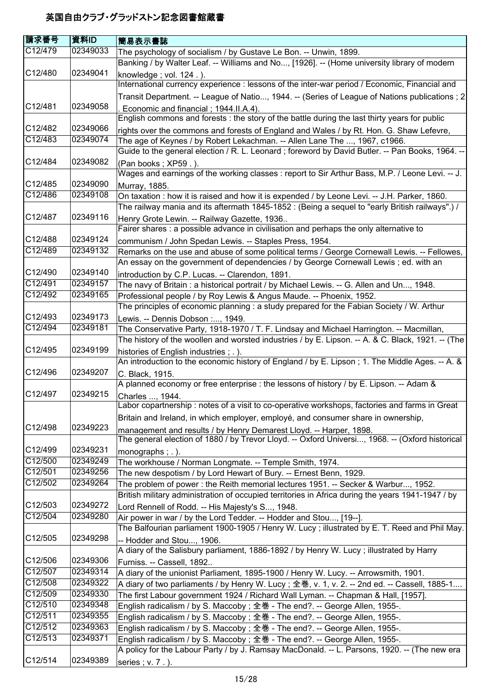| 請求番号               | 資料ID                 | 簡易表示書誌                                                                                                                                                                              |
|--------------------|----------------------|-------------------------------------------------------------------------------------------------------------------------------------------------------------------------------------|
| C12/479            | 02349033             | The psychology of socialism / by Gustave Le Bon. -- Unwin, 1899.                                                                                                                    |
|                    |                      | Banking / by Walter Leaf. -- Williams and No, [1926]. -- (Home university library of modern                                                                                         |
| C12/480            | 02349041             | knowledge; vol. 124.).                                                                                                                                                              |
|                    |                      | International currency experience : lessons of the inter-war period / Economic, Financial and                                                                                       |
|                    |                      | Transit Department. -- League of Natio, 1944. -- (Series of League of Nations publications ; 2                                                                                      |
| C12/481            | 02349058             | Economic and financial; 1944.II.A.4).                                                                                                                                               |
|                    |                      | English commons and forests : the story of the battle during the last thirty years for public                                                                                       |
| C12/482            | 02349066             | rights over the commons and forests of England and Wales / by Rt. Hon. G. Shaw Lefevre,                                                                                             |
| C12/483            | 02349074             | The age of Keynes / by Robert Lekachman. -- Allen Lane The , 1967, c1966.                                                                                                           |
|                    |                      | Guide to the general election / R. L. Leonard; foreword by David Butler. -- Pan Books, 1964. --                                                                                     |
| C12/484            | 02349082             | (Pan books; XP59.).                                                                                                                                                                 |
|                    |                      | Wages and earnings of the working classes : report to Sir Arthur Bass, M.P. / Leone Levi. -- J.                                                                                     |
| C12/485            | 02349090             | Murray, 1885.                                                                                                                                                                       |
| C12/486            | 02349108             | On taxation : how it is raised and how it is expended / by Leone Levi. -- J.H. Parker, 1860.                                                                                        |
|                    |                      | The railway mania and its aftermath 1845-1852 : (Being a sequel to "early British railways".) /                                                                                     |
| C12/487            | 02349116             | Henry Grote Lewin. -- Railway Gazette, 1936                                                                                                                                         |
| C12/488            | 02349124             | Fairer shares : a possible advance in civilisation and perhaps the only alternative to                                                                                              |
| C12/489            | 02349132             | communism / John Spedan Lewis. -- Staples Press, 1954.                                                                                                                              |
|                    |                      | Remarks on the use and abuse of some political terms / George Cornewall Lewis. -- Fellowes,<br>An essay on the government of dependencies / by George Cornewall Lewis ; ed. with an |
| C12/490            | 02349140             |                                                                                                                                                                                     |
| C12/491            | 02349157             | introduction by C.P. Lucas. -- Clarendon, 1891.<br>The navy of Britain: a historical portrait / by Michael Lewis. -- G. Allen and Un, 1948.                                         |
| C12/492            | 02349165             | Professional people / by Roy Lewis & Angus Maude. -- Phoenix, 1952.                                                                                                                 |
|                    |                      | The principles of economic planning : a study prepared for the Fabian Society / W. Arthur                                                                                           |
| C12/493            | 02349173             | Lewis. -- Dennis Dobson :, 1949.                                                                                                                                                    |
| C12/494            | 02349181             | The Conservative Party, 1918-1970 / T. F. Lindsay and Michael Harrington. -- Macmillan,                                                                                             |
|                    |                      | The history of the woollen and worsted industries / by E. Lipson. -- A. & C. Black, 1921. -- (The                                                                                   |
| C12/495            | 02349199             | histories of English industries; .).                                                                                                                                                |
|                    |                      | An introduction to the economic history of England / by E. Lipson; 1. The Middle Ages. -- A. &                                                                                      |
| C12/496            | 02349207             | C. Black, 1915.                                                                                                                                                                     |
|                    |                      | A planned economy or free enterprise : the lessons of history / by E. Lipson. -- Adam &                                                                                             |
| C12/497            | 02349215             | Charles , 1944.                                                                                                                                                                     |
|                    |                      | Labor copartnership: notes of a visit to co-operative workshops, factories and farms in Great                                                                                       |
|                    |                      | Britain and Ireland, in which employer, employé, and consumer share in ownership,                                                                                                   |
| C12/498            | 02349223             | management and results / by Henry Demarest Lloyd. -- Harper, 1898.                                                                                                                  |
|                    |                      | The general election of 1880 / by Trevor Lloyd. -- Oxford Universi, 1968. -- (Oxford historical                                                                                     |
| C12/499            | 02349231             | monographs $;$ $\ldots$ ).                                                                                                                                                          |
| C12/500            | 02349249             | The workhouse / Norman Longmate. -- Temple Smith, 1974.                                                                                                                             |
| C12/501            | 02349256             | The new despotism / by Lord Hewart of Bury. -- Ernest Benn, 1929.                                                                                                                   |
| C12/502            | 02349264             | The problem of power: the Reith memorial lectures 1951. -- Secker & Warbur, 1952.                                                                                                   |
|                    |                      | British military administration of occupied territories in Africa during the years 1941-1947 / by                                                                                   |
| C12/503            | 02349272             | Lord Rennell of Rodd. -- His Majesty's S, 1948.                                                                                                                                     |
| C12/504            | 02349280             | Air power in war / by the Lord Tedder. -- Hodder and Stou, [19--].                                                                                                                  |
|                    |                      | The Balfourian parliament 1900-1905 / Henry W. Lucy; illustrated by E. T. Reed and Phil May.                                                                                        |
| C12/505            | 02349298             | -- Hodder and Stou, 1906.                                                                                                                                                           |
|                    |                      | A diary of the Salisbury parliament, 1886-1892 / by Henry W. Lucy; illustrated by Harry                                                                                             |
| C12/506<br>C12/507 | 02349306<br>02349314 | Furniss. -- Cassell, 1892                                                                                                                                                           |
| C12/508            | 02349322             | A diary of the unionist Parliament, 1895-1900 / Henry W. Lucy. -- Arrowsmith, 1901.                                                                                                 |
| C12/509            | 02349330             | A diary of two parliaments / by Henry W. Lucy; 全巻, v. 1, v. 2. -- 2nd ed. -- Cassell, 1885-1                                                                                        |
| C12/510            | 02349348             | The first Labour government 1924 / Richard Wall Lyman. -- Chapman & Hall, [1957].                                                                                                   |
| C12/511            | 02349355             | English radicalism / by S. Maccoby; 全巻 - The end?. -- George Allen, 1955-.<br>English radicalism / by S. Maccoby; 全巻 - The end?. -- George Allen, 1955-.                            |
| C12/512            | 02349363             | English radicalism / by S. Maccoby; 全巻 - The end?. -- George Allen, 1955-.                                                                                                          |
| C12/513            | 02349371             | English radicalism / by S. Maccoby; 全巻 - The end?. -- George Allen, 1955-.                                                                                                          |
|                    |                      | A policy for the Labour Party / by J. Ramsay MacDonald. -- L. Parsons, 1920. -- (The new era                                                                                        |
| C12/514            | 02349389             | series; v. 7.).                                                                                                                                                                     |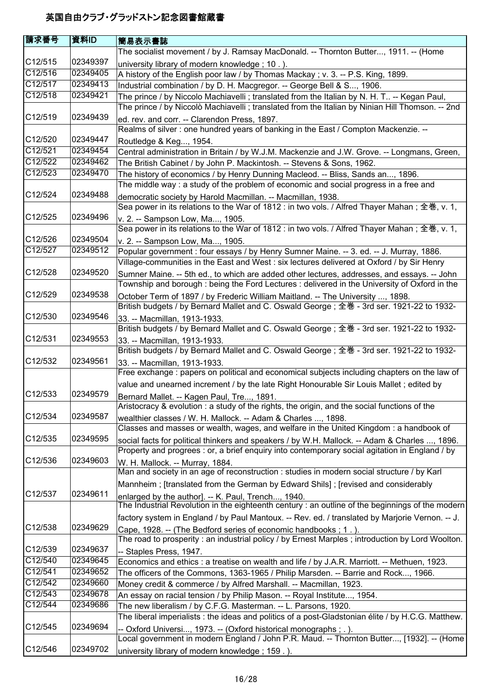| 請求番号                 | 資料ID     | 簡易表示書誌                                                                                             |
|----------------------|----------|----------------------------------------------------------------------------------------------------|
|                      |          | The socialist movement / by J. Ramsay MacDonald. -- Thornton Butter, 1911. -- (Home                |
| C12/515              | 02349397 | university library of modern knowledge; 10.).                                                      |
| C12/516              | 02349405 | A history of the English poor law / by Thomas Mackay ; v. 3. -- P.S. King, 1899.                   |
| C12/517              | 02349413 | Industrial combination / by D. H. Macgregor. -- George Bell & S, 1906.                             |
| C12/518              | 02349421 | The prince / by Niccolo Machiavelli ; translated from the Italian by N. H. T -- Kegan Paul,        |
|                      |          | The prince / by Niccolò Machiavelli ; translated from the Italian by Ninian Hill Thomson. -- 2nd   |
| C12/519              | 02349439 | ed. rev. and corr. -- Clarendon Press, 1897.                                                       |
|                      |          | Realms of silver : one hundred years of banking in the East / Compton Mackenzie. --                |
| C12/520              | 02349447 | Routledge & Keg, 1954.                                                                             |
| C12/521              | 02349454 | Central administration in Britain / by W.J.M. Mackenzie and J.W. Grove. -- Longmans, Green,        |
| C12/522              | 02349462 | The British Cabinet / by John P. Mackintosh. -- Stevens & Sons, 1962.                              |
| C12/523              | 02349470 | The history of economics / by Henry Dunning Macleod. -- Bliss, Sands an, 1896.                     |
|                      |          | The middle way: a study of the problem of economic and social progress in a free and               |
| C12/524              | 02349488 | democratic society by Harold Macmillan. -- Macmillan, 1938.                                        |
|                      |          | Sea power in its relations to the War of 1812 : in two vols. / Alfred Thayer Mahan; 全巻, v. 1,      |
| C12/525              | 02349496 | v. 2. -- Sampson Low, Ma, 1905.                                                                    |
|                      |          | Sea power in its relations to the War of 1812 : in two vols. / Alfred Thayer Mahan; 全巻, v. 1,      |
| C12/526              | 02349504 | v. 2. -- Sampson Low, Ma, 1905.                                                                    |
| C12/527              | 02349512 | Popular government : four essays / by Henry Sumner Maine. -- 3. ed. -- J. Murray, 1886.            |
|                      |          | Village-communities in the East and West : six lectures delivered at Oxford / by Sir Henry         |
| C12/528              | 02349520 | Sumner Maine. -- 5th ed., to which are added other lectures, addresses, and essays. -- John        |
|                      |          | Township and borough: being the Ford Lectures: delivered in the University of Oxford in the        |
| C12/529              | 02349538 | October Term of 1897 / by Frederic William Maitland. -- The University , 1898.                     |
|                      |          | British budgets / by Bernard Mallet and C. Oswald George; 全巻 - 3rd ser. 1921-22 to 1932-           |
| C12/530              | 02349546 | 33. -- Macmillan, 1913-1933.                                                                       |
|                      |          | British budgets / by Bernard Mallet and C. Oswald George; 全巻 - 3rd ser. 1921-22 to 1932-           |
| C12/531              | 02349553 | 33. -- Macmillan, 1913-1933.                                                                       |
|                      |          | British budgets / by Bernard Mallet and C. Oswald George; 全巻 - 3rd ser. 1921-22 to 1932-           |
| C12/532              | 02349561 | 33. -- Macmillan, 1913-1933.                                                                       |
|                      |          | Free exchange : papers on political and economical subjects including chapters on the law of       |
|                      |          | value and unearned increment / by the late Right Honourable Sir Louis Mallet; edited by            |
| C12/533              | 02349579 | Bernard Mallet. -- Kagen Paul, Tre, 1891.                                                          |
|                      |          | Aristocracy & evolution : a study of the rights, the origin, and the social functions of the       |
| C12/534              | 02349587 | wealthier classes / W. H. Mallock. -- Adam & Charles , 1898.                                       |
|                      |          | Classes and masses or wealth, wages, and welfare in the United Kingdom: a handbook of              |
| C12/535              | 02349595 | social facts for political thinkers and speakers / by W.H. Mallock. -- Adam & Charles , 1896.      |
|                      |          | Property and progrees : or, a brief enquiry into contemporary social agitation in England / by     |
| C <sub>12</sub> /536 | 02349603 | W. H. Mallock. -- Murray, 1884.                                                                    |
|                      |          | Man and society in an age of reconstruction : studies in modern social structure / by Karl         |
|                      |          | Mannheim; [translated from the German by Edward Shils]; [revised and considerably                  |
| C12/537              | 02349611 | enlarged by the author]. -- K. Paul, Trench, 1940.                                                 |
|                      |          | The Industrial Revolution in the eighteenth century : an outline of the beginnings of the modern   |
|                      |          | factory system in England / by Paul Mantoux. -- Rev. ed. / translated by Marjorie Vernon. -- J.    |
| C <sub>12</sub> /538 | 02349629 | Cape, 1928. -- (The Bedford series of economic handbooks; 1.).                                     |
|                      |          | The road to prosperity : an industrial policy / by Ernest Marples ; introduction by Lord Woolton.  |
| C12/539              | 02349637 | -- Staples Press, 1947.                                                                            |
| C12/540              | 02349645 | Economics and ethics : a treatise on wealth and life / by J.A.R. Marriott. -- Methuen, 1923.       |
| C12/541              | 02349652 | The officers of the Commons, 1363-1965 / Philip Marsden. -- Barrie and Rock, 1966.                 |
| C12/542              | 02349660 | Money credit & commerce / by Alfred Marshall. -- Macmillan, 1923.                                  |
| C12/543              | 02349678 | An essay on racial tension / by Philip Mason. -- Royal Institute, 1954.                            |
| C12/544              | 02349686 | The new liberalism / by C.F.G. Masterman. -- L. Parsons, 1920.                                     |
|                      |          | The liberal imperialists : the ideas and politics of a post-Gladstonian élite / by H.C.G. Matthew. |
| C12/545              | 02349694 | -- Oxford Universi, 1973. -- (Oxford historical monographs ; . ).                                  |
|                      |          | Local government in modern England / John P.R. Maud. -- Thornton Butter, [1932]. -- (Home          |
| C12/546              | 02349702 | university library of modern knowledge; 159.).                                                     |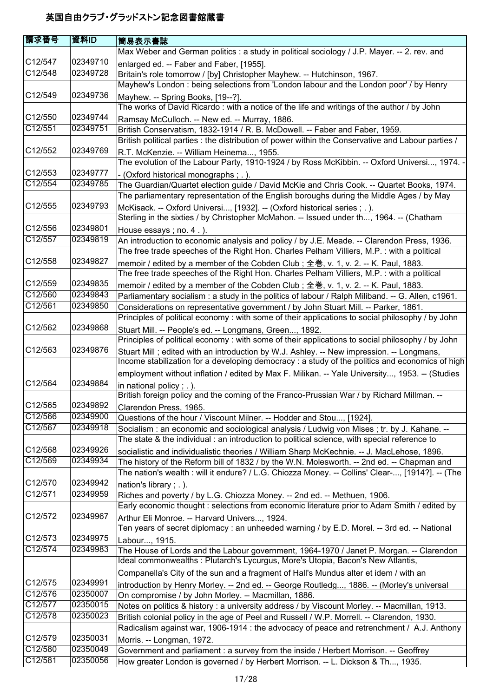| 請求番号                 | 資料ID     | 簡易表示書誌                                                                                             |
|----------------------|----------|----------------------------------------------------------------------------------------------------|
|                      |          | Max Weber and German politics : a study in political sociology / J.P. Mayer. -- 2. rev. and        |
| C12/547              | 02349710 | enlarged ed. -- Faber and Faber, [1955].                                                           |
| C12/548              | 02349728 | Britain's role tomorrow / [by] Christopher Mayhew. -- Hutchinson, 1967.                            |
|                      |          | Mayhew's London : being selections from 'London labour and the London poor' / by Henry             |
| C <sub>12</sub> /549 | 02349736 | Mayhew. -- Spring Books, [19--?].                                                                  |
|                      |          | The works of David Ricardo: with a notice of the life and writings of the author / by John         |
| C12/550              | 02349744 | Ramsay McCulloch. -- New ed. -- Murray, 1886.                                                      |
| C12/551              | 02349751 | British Conservatism, 1832-1914 / R. B. McDowell. -- Faber and Faber, 1959.                        |
|                      |          | British political parties : the distribution of power within the Conservative and Labour parties / |
| C12/552              | 02349769 | R.T. McKenzie. -- William Heinema, 1955.                                                           |
|                      |          | The evolution of the Labour Party, 1910-1924 / by Ross McKibbin. -- Oxford Universi, 1974. -       |
| C12/553              | 02349777 | - (Oxford historical monographs; .).                                                               |
| C12/554              | 02349785 | The Guardian/Quartet election guide / David McKie and Chris Cook. -- Quartet Books, 1974.          |
|                      |          | The parliamentary representation of the English boroughs during the Middle Ages / by May           |
| C12/555              | 02349793 | McKisack. -- Oxford Universi, [1932]. -- (Oxford historical series ; . ).                          |
|                      |          | Sterling in the sixties / by Christopher McMahon. -- Issued under th, 1964. -- (Chatham            |
| C12/556              | 02349801 | House essays; no. $4$ .).                                                                          |
| C12/557              | 02349819 | An introduction to economic analysis and policy / by J.E. Meade. -- Clarendon Press, 1936.         |
|                      |          | The free trade speeches of the Right Hon. Charles Pelham Villiers, M.P. : with a political         |
| C12/558              | 02349827 | memoir / edited by a member of the Cobden Club; 全巻, v. 1, v. 2. -- K. Paul, 1883.                  |
|                      |          | The free trade speeches of the Right Hon. Charles Pelham Villiers, M.P. : with a political         |
| C12/559              | 02349835 | memoir / edited by a member of the Cobden Club; 全巻, v. 1, v. 2. -- K. Paul, 1883.                  |
| C12/560              | 02349843 | Parliamentary socialism: a study in the politics of labour / Ralph Miliband. -- G. Allen, c1961.   |
| C12/561              | 02349850 | Considerations on representative government / by John Stuart Mill. -- Parker, 1861.                |
|                      |          | Principles of political economy : with some of their applications to social philosophy / by John   |
| C <sub>12</sub> /562 | 02349868 | Stuart Mill. -- People's ed. -- Longmans, Green, 1892.                                             |
|                      |          | Principles of political economy : with some of their applications to social philosophy / by John   |
| C <sub>12</sub> /563 | 02349876 | Stuart Mill; edited with an introduction by W.J. Ashley. -- New impression. -- Longmans,           |
|                      |          | Income stabilization for a developing democracy : a study of the politics and economics of high    |
|                      |          | employment without inflation / edited by Max F. Milikan. -- Yale University, 1953. -- (Studies     |
| C12/564              | 02349884 | in national policy $;$ $\ldots$ ).                                                                 |
|                      |          | British foreign policy and the coming of the Franco-Prussian War / by Richard Millman. --          |
| C12/565              | 02349892 | Clarendon Press, 1965.                                                                             |
| C12/566              | 02349900 | Questions of the hour / Viscount Milner. -- Hodder and Stou, [1924].                               |
| C12/567              | 02349918 | Socialism: an economic and sociological analysis / Ludwig von Mises; tr. by J. Kahane. --          |
|                      |          | The state & the individual: an introduction to political science, with special reference to        |
| C12/568              | 02349926 | socialistic and individualistic theories / William Sharp McKechnie. -- J. MacLehose, 1896.         |
| C12/569              | 02349934 | The history of the Reform bill of 1832 / by the W.N. Molesworth. -- 2nd ed. -- Chapman and         |
|                      |          | The nation's wealth : will it endure? / L.G. Chiozza Money. -- Collins' Clear-, [1914?]. -- (The   |
| C12/570              | 02349942 | nation's library; .).                                                                              |
| C12/571              | 02349959 | Riches and poverty / by L.G. Chiozza Money. -- 2nd ed. -- Methuen, 1906.                           |
|                      |          | Early economic thought : selections from economic literature prior to Adam Smith / edited by       |
| C12/572              | 02349967 | Arthur Eli Monroe. -- Harvard Univers, 1924.                                                       |
|                      |          | Ten years of secret diplomacy : an unheeded warning / by E.D. Morel. -- 3rd ed. -- National        |
| C12/573              | 02349975 | Labour, 1915.                                                                                      |
| C12/574              | 02349983 | The House of Lords and the Labour government, 1964-1970 / Janet P. Morgan. -- Clarendon            |
|                      |          | Ideal commonwealths: Plutarch's Lycurgus, More's Utopia, Bacon's New Atlantis,                     |
|                      |          | Companella's City of the sun and a fragment of Hall's Mundus alter et idem / with an               |
| C12/575              | 02349991 | introduction by Henry Morley. -- 2nd ed. -- George Routledg, 1886. -- (Morley's universal          |
| C12/576              | 02350007 | On compromise / by John Morley. -- Macmillan, 1886.                                                |
| C12/577              | 02350015 | Notes on politics & history : a university address / by Viscount Morley. -- Macmillan, 1913.       |
| C12/578              | 02350023 | British colonial policy in the age of Peel and Russell / W.P. Morrell. -- Clarendon, 1930.         |
|                      |          | Radicalism against war, 1906-1914 : the advocacy of peace and retrenchment / A.J. Anthony          |
| C12/579              | 02350031 | Morris. -- Longman, 1972.                                                                          |
| C12/580              | 02350049 | Government and parliament : a survey from the inside / Herbert Morrison. -- Geoffrey               |
| C12/581              | 02350056 | How greater London is governed / by Herbert Morrison. -- L. Dickson & Th, 1935.                    |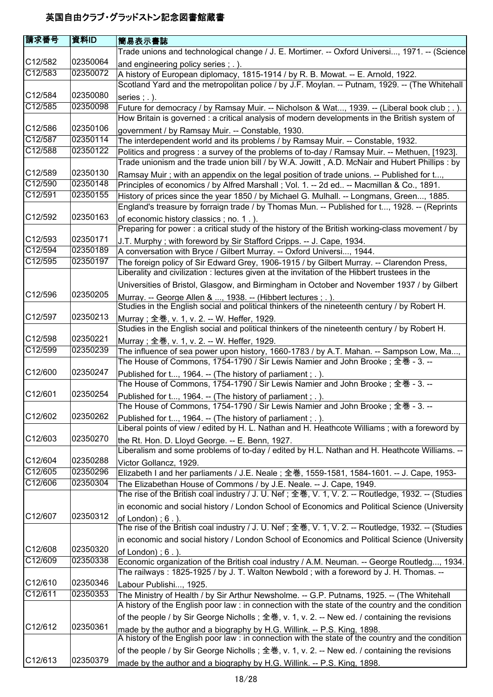| 請求番号    | 資料ID     | 簡易表示書誌                                                                                                                                                                                   |
|---------|----------|------------------------------------------------------------------------------------------------------------------------------------------------------------------------------------------|
|         |          | Trade unions and technological change / J. E. Mortimer. -- Oxford Universi, 1971. -- (Science                                                                                            |
| C12/582 | 02350064 | and engineering policy series; .).                                                                                                                                                       |
| C12/583 | 02350072 | A history of European diplomacy, 1815-1914 / by R. B. Mowat. -- E. Arnold, 1922.                                                                                                         |
|         |          | Scotland Yard and the metropolitan police / by J.F. Moylan. -- Putnam, 1929. -- (The Whitehall                                                                                           |
| C12/584 | 02350080 | series $;$ $\ldots$ ).                                                                                                                                                                   |
| C12/585 | 02350098 | Future for democracy / by Ramsay Muir. -- Nicholson & Wat, 1939. -- (Liberal book club; .).                                                                                              |
|         |          | How Britain is governed : a critical analysis of modern developments in the British system of                                                                                            |
| C12/586 | 02350106 | government / by Ramsay Muir. -- Constable, 1930.                                                                                                                                         |
| C12/587 | 02350114 | The interdependent world and its problems / by Ramsay Muir. -- Constable, 1932.                                                                                                          |
| C12/588 | 02350122 | Politics and progress : a survey of the problems of to-day / Ramsay Muir. -- Methuen, [1923].                                                                                            |
|         |          | Trade unionism and the trade union bill / by W.A. Jowitt, A.D. McNair and Hubert Phillips : by                                                                                           |
| C12/589 | 02350130 | Ramsay Muir; with an appendix on the legal position of trade unions. -- Published for t,                                                                                                 |
| C12/590 | 02350148 | Principles of economics / by Alfred Marshall ; Vol. 1. -- 2d ed -- Macmillan & Co., 1891.                                                                                                |
| C12/591 | 02350155 | History of prices since the year 1850 / by Michael G. Mulhall. -- Longmans, Green, 1885.<br>England's treasure by forraign trade / by Thomas Mun. -- Published for t, 1928. -- (Reprints |
| C12/592 | 02350163 | of economic history classics; no. 1.).                                                                                                                                                   |
|         |          | Preparing for power : a critical study of the history of the British working-class movement / by                                                                                         |
| C12/593 | 02350171 | J.T. Murphy; with foreword by Sir Stafford Cripps. -- J. Cape, 1934.                                                                                                                     |
| C12/594 | 02350189 | A conversation with Bryce / Gilbert Murray. -- Oxford Universi, 1944.                                                                                                                    |
| C12/595 | 02350197 | The foreign policy of Sir Edward Grey, 1906-1915 / by Gilbert Murray. -- Clarendon Press,                                                                                                |
|         |          | Liberality and civilization : lectures given at the invitation of the Hibbert trustees in the                                                                                            |
|         |          | Universities of Bristol, Glasgow, and Birmingham in October and November 1937 / by Gilbert                                                                                               |
| C12/596 | 02350205 | Murray. -- George Allen & , 1938. -- (Hibbert lectures ; . ).                                                                                                                            |
|         |          | Studies in the English social and political thinkers of the nineteenth century / by Robert H.                                                                                            |
| C12/597 | 02350213 | Murray; 全巻, v. 1, v. 2. -- W. Heffer, 1929.                                                                                                                                              |
|         |          | Studies in the English social and political thinkers of the nineteenth century / by Robert H.                                                                                            |
| C12/598 | 02350221 | Murray; 全巻, v. 1, v. 2. -- W. Heffer, 1929.                                                                                                                                              |
| C12/599 | 02350239 | The influence of sea power upon history, 1660-1783 / by A.T. Mahan. -- Sampson Low, Ma,                                                                                                  |
|         |          | The House of Commons, 1754-1790 / Sir Lewis Namier and John Brooke ; 全巻 - 3. --                                                                                                          |
| C12/600 | 02350247 | Published for t, 1964. -- (The history of parliament; .).                                                                                                                                |
| C12/601 | 02350254 | The House of Commons, 1754-1790 / Sir Lewis Namier and John Brooke; 全巻 - 3. --                                                                                                           |
|         |          | Published for t, 1964. -- (The history of parliament ; . ).<br>The House of Commons, 1754-1790 / Sir Lewis Namier and John Brooke; 全巻 - 3. --                                            |
| C12/602 | 02350262 |                                                                                                                                                                                          |
|         |          | Published for t, 1964. -- (The history of parliament; .).<br>Liberal points of view / edited by H. L. Nathan and H. Heathcote Williams; with a foreword by                               |
| C12/603 | 02350270 |                                                                                                                                                                                          |
|         |          | the Rt. Hon. D. Lloyd George. -- E. Benn, 1927.<br>Liberalism and some problems of to-day / edited by H.L. Nathan and H. Heathcote Williams. --                                          |
| C12/604 | 02350288 | Victor Gollancz, 1929.                                                                                                                                                                   |
| C12/605 | 02350296 | Elizabeth I and her parliaments / J.E. Neale; 全巻, 1559-1581, 1584-1601. -- J. Cape, 1953-                                                                                                |
| C12/606 | 02350304 | The Elizabethan House of Commons / by J.E. Neale. -- J. Cape, 1949.                                                                                                                      |
|         |          | The rise of the British coal industry / J. U. Nef; 全巻, V. 1, V. 2. -- Routledge, 1932. -- (Studies                                                                                       |
|         |          | in economic and social history / London School of Economics and Political Science (University                                                                                            |
| C12/607 | 02350312 | of London); $6$ .).                                                                                                                                                                      |
|         |          | The rise of the British coal industry / J. U. Nef; 全巻, V. 1, V. 2. -- Routledge, 1932. -- (Studies                                                                                       |
|         |          | in economic and social history / London School of Economics and Political Science (University                                                                                            |
| C12/608 | 02350320 | of London $)$ ; 6.                                                                                                                                                                       |
| C12/609 | 02350338 | Economic organization of the British coal industry / A.M. Neuman. -- George Routledg, 1934.                                                                                              |
|         |          | The railways: 1825-1925 / by J. T. Walton Newbold; with a foreword by J. H. Thomas. --                                                                                                   |
| C12/610 | 02350346 | Labour Publishi, 1925.                                                                                                                                                                   |
| C12/611 | 02350353 | The Ministry of Health / by Sir Arthur Newsholme. -- G.P. Putnams, 1925. -- (The Whitehall                                                                                               |
|         |          | A history of the English poor law : in connection with the state of the country and the condition                                                                                        |
|         |          | of the people / by Sir George Nicholls; 全巻, v. 1, v. 2. -- New ed. / containing the revisions                                                                                            |
| C12/612 | 02350361 | made by the author and a biography by H.G. Willink. -- P.S. King, 1898.                                                                                                                  |
|         |          | A history of the English poor law : in connection with the state of the country and the condition                                                                                        |
|         |          | of the people / by Sir George Nicholls; 全巻, v. 1, v. 2. -- New ed. / containing the revisions                                                                                            |
| C12/613 | 02350379 | made by the author and a biography by H.G. Willink. -- P.S. King, 1898.                                                                                                                  |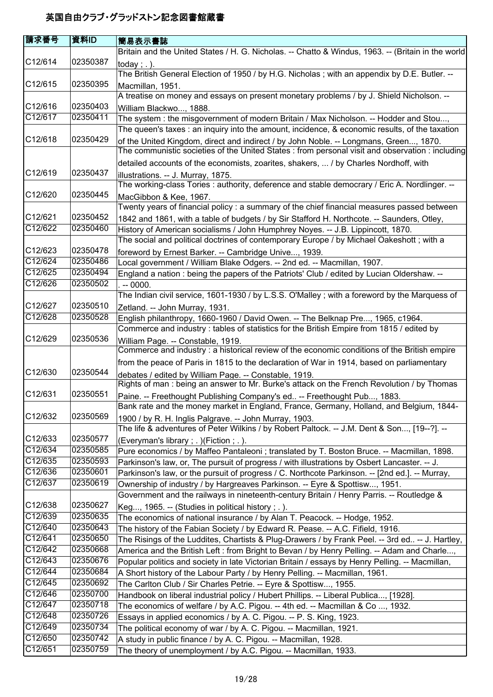| 請求番号                 | 資料ID     | 簡易表示書誌                                                                                                                                                             |
|----------------------|----------|--------------------------------------------------------------------------------------------------------------------------------------------------------------------|
|                      |          | Britain and the United States / H. G. Nicholas. -- Chatto & Windus, 1963. -- (Britain in the world                                                                 |
| C12/614              | 02350387 | today; $.$ ).                                                                                                                                                      |
|                      |          | The British General Election of 1950 / by H.G. Nicholas; with an appendix by D.E. Butler. --                                                                       |
| C12/615              | 02350395 | Macmillan, 1951.                                                                                                                                                   |
|                      |          | A treatise on money and essays on present monetary problems / by J. Shield Nicholson. --                                                                           |
| C12/616              | 02350403 | William Blackwo, 1888.                                                                                                                                             |
| C12/617              | 02350411 | The system: the misgovernment of modern Britain / Max Nicholson. -- Hodder and Stou,                                                                               |
|                      |          | The queen's taxes : an inquiry into the amount, incidence, & economic results, of the taxation                                                                     |
| C12/618              | 02350429 | of the United Kingdom, direct and indirect / by John Noble. -- Longmans, Green, 1870.                                                                              |
|                      |          | The communistic societies of the United States : from personal visit and observation : including                                                                   |
|                      |          | detailed accounts of the economists, zoarites, shakers,  / by Charles Nordhoff, with                                                                               |
| C12/619              | 02350437 | illustrations. -- J. Murray, 1875.                                                                                                                                 |
|                      |          | The working-class Tories : authority, deference and stable democrary / Eric A. Nordlinger. --                                                                      |
| C12/620              | 02350445 | MacGibbon & Kee, 1967.                                                                                                                                             |
|                      |          | Twenty years of financial policy: a summary of the chief financial measures passed between                                                                         |
| C12/621              | 02350452 | 1842 and 1861, with a table of budgets / by Sir Stafford H. Northcote. -- Saunders, Otley,                                                                         |
| C12/622              | 02350460 | History of American socialisms / John Humphrey Noyes. -- J.B. Lippincott, 1870.                                                                                    |
|                      |          | The social and political doctrines of contemporary Europe / by Michael Oakeshott; with a                                                                           |
| C <sub>12</sub> /623 | 02350478 | foreword by Ernest Barker. -- Cambridge Unive, 1939.                                                                                                               |
| C12/624              | 02350486 | Local government / William Blake Odgers. -- 2nd ed. -- Macmillan, 1907.                                                                                            |
| C12/625              | 02350494 | England a nation : being the papers of the Patriots' Club / edited by Lucian Oldershaw. --                                                                         |
| C12/626              | 02350502 | $. -0000.$                                                                                                                                                         |
|                      |          | The Indian civil service, 1601-1930 / by L.S.S. O'Malley ; with a foreword by the Marquess of                                                                      |
| C12/627              | 02350510 | Zetland. -- John Murray, 1931.                                                                                                                                     |
| C12/628              | 02350528 | English philanthropy, 1660-1960 / David Owen. -- The Belknap Pre, 1965, c1964.                                                                                     |
|                      |          | Commerce and industry: tables of statistics for the British Empire from 1815 / edited by                                                                           |
| C12/629              | 02350536 | William Page. -- Constable, 1919.                                                                                                                                  |
|                      |          | Commerce and industry : a historical review of the economic conditions of the British empire                                                                       |
| C12/630              | 02350544 | from the peace of Paris in 1815 to the declaration of War in 1914, based on parliamentary                                                                          |
|                      |          | debates / edited by William Page. -- Constable, 1919.<br>Rights of man: being an answer to Mr. Burke's attack on the French Revolution / by Thomas                 |
| C12/631              | 02350551 |                                                                                                                                                                    |
|                      |          | Paine. -- Freethought Publishing Company's ed -- Freethought Pub, 1883.<br>Bank rate and the money market in England, France, Germany, Holland, and Belgium, 1844- |
| C12/632              | 02350569 | 1900 / by R. H. Inglis Palgrave. -- John Murray, 1903.                                                                                                             |
|                      |          | The life & adventures of Peter Wilkins / by Robert Paltock. -- J.M. Dent & Son, [19--?]. --                                                                        |
| C12/633              | 02350577 | (Everyman's library; .) (Fiction; .).                                                                                                                              |
| C12/634              | 02350585 | Pure economics / by Maffeo Pantaleoni ; translated by T. Boston Bruce. -- Macmillan, 1898.                                                                         |
| C12/635              | 02350593 | Parkinson's law, or, The pursuit of progress / with illustrations by Osbert Lancaster. -- J.                                                                       |
| C12/636              | 02350601 | Parkinson's law, or the pursuit of progress / C. Northcote Parkinson. -- [2nd ed.]. -- Murray,                                                                     |
| C12/637              | 02350619 | Ownership of industry / by Hargreaves Parkinson. -- Eyre & Spottisw, 1951.                                                                                         |
|                      |          | Government and the railways in nineteenth-century Britain / Henry Parris. -- Routledge &                                                                           |
| C12/638              | 02350627 | Keg, 1965. -- (Studies in political history; $\ldots$ ).                                                                                                           |
| C12/639              | 02350635 | The economics of national insurance / by Alan T. Peacock. -- Hodge, 1952.                                                                                          |
| C12/640              | 02350643 | The history of the Fabian Society / by Edward R. Pease. -- A.C. Fifield, 1916.                                                                                     |
| C12/641              | 02350650 | The Risings of the Luddites, Chartists & Plug-Drawers / by Frank Peel. -- 3rd ed -- J. Hartley,                                                                    |
| C12/642              | 02350668 | America and the British Left : from Bright to Bevan / by Henry Pelling. -- Adam and Charle,                                                                        |
| C12/643              | 02350676 | Popular politics and society in late Victorian Britain / essays by Henry Pelling. -- Macmillan,                                                                    |
| C12/644              | 02350684 | A Short history of the Labour Party / by Henry Pelling. -- Macmillan, 1961.                                                                                        |
| C12/645              | 02350692 | The Carlton Club / Sir Charles Petrie. -- Eyre & Spottisw, 1955.                                                                                                   |
| C12/646              | 02350700 | Handbook on liberal industrial policy / Hubert Phillips. -- Liberal Publica, [1928].                                                                               |
| C12/647              | 02350718 | The economics of welfare / by A.C. Pigou. -- 4th ed. -- Macmillan & Co , 1932.                                                                                     |
| C12/648              | 02350726 | Essays in applied economics / by A. C. Pigou. -- P. S. King, 1923.                                                                                                 |
| C12/649              | 02350734 | The political economy of war / by A. C. Pigou. -- Macmillan, 1921.                                                                                                 |
| C12/650              | 02350742 | A study in public finance / by A. C. Pigou. -- Macmillan, 1928.                                                                                                    |
| C12/651              | 02350759 | The theory of unemployment / by A.C. Pigou. -- Macmillan, 1933.                                                                                                    |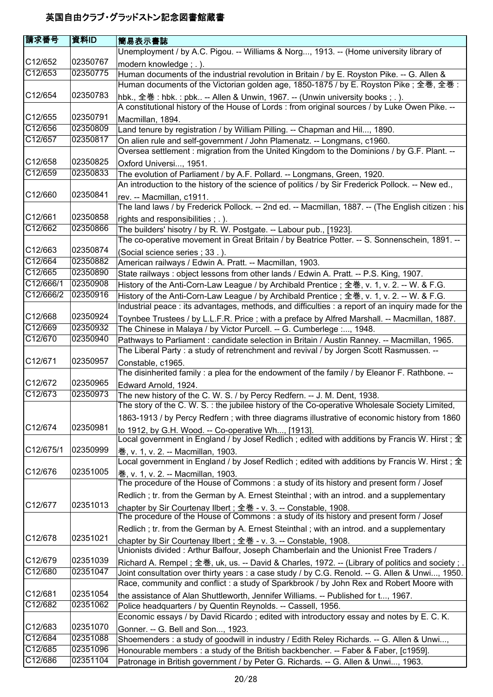| 請求番号                 | 資料ID     | 簡易表示書誌                                                                                             |
|----------------------|----------|----------------------------------------------------------------------------------------------------|
|                      |          | Unemployment / by A.C. Pigou. -- Williams & Norg, 1913. -- (Home university library of             |
| C12/652              | 02350767 | modern knowledge; .).                                                                              |
| C12/653              | 02350775 | Human documents of the industrial revolution in Britain / by E. Royston Pike. -- G. Allen &        |
|                      |          | Human documents of the Victorian golden age, 1850-1875 / by E. Royston Pike ; 全巻, 全巻 :             |
| C12/654              | 02350783 | hbk., 全巻: hbk.: pbk -- Allen & Unwin, 1967. -- (Unwin university books;.).                         |
|                      |          | A constitutional history of the House of Lords : from original sources / by Luke Owen Pike. --     |
| C12/655              | 02350791 | Macmillan, 1894.                                                                                   |
| C12/656              | 02350809 | Land tenure by registration / by William Pilling. -- Chapman and Hil, 1890.                        |
| C12/657              | 02350817 | On alien rule and self-government / John Plamenatz. -- Longmans, c1960.                            |
|                      |          | Oversea settlement : migration from the United Kingdom to the Dominions / by G.F. Plant. --        |
| C12/658              | 02350825 | Oxford Universi, 1951.                                                                             |
| C12/659              | 02350833 | The evolution of Parliament / by A.F. Pollard. -- Longmans, Green, 1920.                           |
|                      |          | An introduction to the history of the science of politics / by Sir Frederick Pollock. -- New ed.,  |
| C12/660              | 02350841 | rev. -- Macmillan, c1911.                                                                          |
|                      |          | The land laws / by Frederick Pollock. -- 2nd ed. -- Macmillan, 1887. -- (The English citizen : his |
| C12/661              | 02350858 | rights and responsibilities; .).                                                                   |
| C12/662              | 02350866 | The builders' hisotry / by R. W. Postgate. -- Labour pub., [1923].                                 |
|                      |          | The co-operative movement in Great Britain / by Beatrice Potter. -- S. Sonnenschein, 1891. --      |
| C12/663              | 02350874 | (Social science series; 33.).                                                                      |
| C12/664              | 02350882 | American railways / Edwin A. Pratt. -- Macmillan, 1903.                                            |
| C12/665              | 02350890 | State railways: object lessons from other lands / Edwin A. Pratt. -- P.S. King, 1907.              |
| C12/666/1            | 02350908 | History of the Anti-Corn-Law League / by Archibald Prentice ; 全巻, v. 1, v. 2. -- W. & F.G.         |
| C12/666/2            | 02350916 | History of the Anti-Corn-Law League / by Archibald Prentice ; 全巻, v. 1, v. 2. -- W. & F.G.         |
|                      |          | Industrial peace : its advantages, methods, and difficulties : a report of an inquiry made for the |
| C12/668              | 02350924 | Toynbee Trustees / by L.L.F.R. Price ; with a preface by Alfred Marshall. -- Macmillan, 1887.      |
| C12/669              | 02350932 | The Chinese in Malaya / by Victor Purcell. -- G. Cumberlege :, 1948.                               |
| C12/670              | 02350940 | Pathways to Parliament : candidate selection in Britain / Austin Ranney. -- Macmillan, 1965.       |
|                      |          | The Liberal Party: a study of retrenchment and revival / by Jorgen Scott Rasmussen. --             |
| C12/671              | 02350957 | Constable, c1965.                                                                                  |
|                      |          | The disinherited family: a plea for the endowment of the family / by Eleanor F. Rathbone. --       |
| C12/672              | 02350965 | Edward Arnold, 1924.                                                                               |
| C12/673              | 02350973 | The new history of the C. W. S. / by Percy Redfern. -- J. M. Dent, 1938.                           |
|                      |          | The story of the C. W. S. : the jubilee history of the Co-operative Wholesale Society Limited,     |
|                      |          | 1863-1913 / by Percy Redfern; with three diagrams illustrative of economic history from 1860       |
| C12/674              | 02350981 | to 1912, by G.H. Wood. -- Co-operative Wh, [1913].                                                 |
|                      |          | Local government in England / by Josef Redlich; edited with additions by Francis W. Hirst; $\pm$   |
| C12/675/1            | 02350999 | 卷, v. 1, v. 2. -- Macmillan, 1903.                                                                 |
|                      |          | Local government in England / by Josef Redlich; edited with additions by Francis W. Hirst; 全       |
| C <sub>12</sub> /676 | 02351005 | 卷, v. 1, v. 2. -- Macmillan, 1903.                                                                 |
|                      |          | The procedure of the House of Commons: a study of its history and present form / Josef             |
|                      |          | Redlich; tr. from the German by A. Ernest Steinthal; with an introd. and a supplementary           |
| C12/677              | 02351013 | chapter by Sir Courtenay Ilbert; 全巻 - v. 3. -- Constable, 1908.                                    |
|                      |          | The procedure of the House of Commons: a study of its history and present form / Josef             |
|                      |          | Redlich; tr. from the German by A. Ernest Steinthal; with an introd. and a supplementary           |
| C <sub>12</sub> /678 | 02351021 | chapter by Sir Courtenay Ilbert ; 全巻 - v. 3. -- Constable, 1908.                                   |
|                      |          | Unionists divided: Arthur Balfour, Joseph Chamberlain and the Unionist Free Traders /              |
| C12/679              | 02351039 | Richard A. Rempel;全巻, uk, us. -- David & Charles, 1972. -- (Library of politics and society ; .    |
| C12/680              | 02351047 | Joint consultation over thirty years : a case study / by C.G. Renold. -- G. Allen & Unwi, 1950.    |
|                      |          | Race, community and conflict: a study of Sparkbrook / by John Rex and Robert Moore with            |
| C12/681              | 02351054 | the assistance of Alan Shuttleworth, Jennifer Williams. -- Published for t, 1967.                  |
| C12/682              | 02351062 | Police headquarters / by Quentin Reynolds. -- Cassell, 1956.                                       |
|                      |          | Economic essays / by David Ricardo; edited with introductory essay and notes by E. C. K.           |
| C12/683              | 02351070 | Gonner. -- G. Bell and Son, 1923.                                                                  |
| C12/684              | 02351088 | Shoemenders : a study of goodwill in industry / Edith Reley Richards. -- G. Allen & Unwi,          |
| C12/685              | 02351096 | Honourable members : a study of the British backbencher. -- Faber & Faber, [c1959].                |
| C12/686              | 02351104 | Patronage in British government / by Peter G. Richards. -- G. Allen & Unwi, 1963.                  |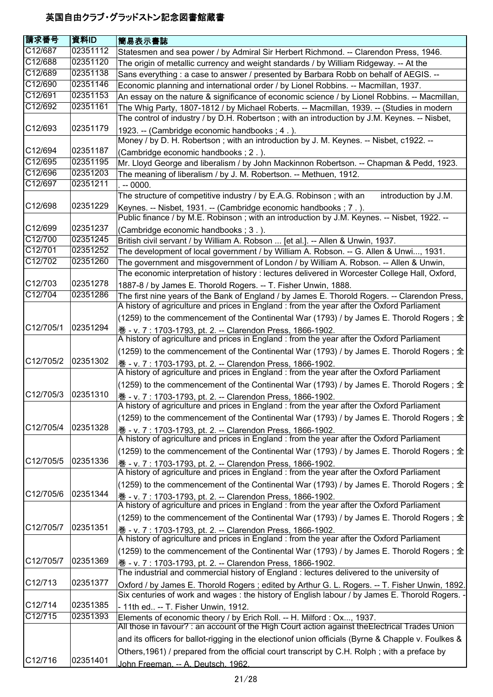| 請求番号                 | 資料ID     | 簡易表示書誌                                                                                                                                                                                      |
|----------------------|----------|---------------------------------------------------------------------------------------------------------------------------------------------------------------------------------------------|
| C12/687              | 02351112 | Statesmen and sea power / by Admiral Sir Herbert Richmond. -- Clarendon Press, 1946.                                                                                                        |
| C12/688              | 02351120 | The origin of metallic currency and weight standards / by William Ridgeway. -- At the                                                                                                       |
| C12/689              | 02351138 | Sans everything : a case to answer / presented by Barbara Robb on behalf of AEGIS. --                                                                                                       |
| C12/690              | 02351146 | Economic planning and international order / by Lionel Robbins. -- Macmillan, 1937.                                                                                                          |
| C12/691              | 02351153 | An essay on the nature & significance of economic science / by Lionel Robbins. -- Macmillan,                                                                                                |
| C12/692              | 02351161 | The Whig Party, 1807-1812 / by Michael Roberts. -- Macmillan, 1939. -- (Studies in modern                                                                                                   |
|                      |          | The control of industry / by D.H. Robertson; with an introduction by J.M. Keynes. -- Nisbet,                                                                                                |
| C12/693              | 02351179 | 1923. -- (Cambridge economic handbooks; 4.).                                                                                                                                                |
|                      |          | Money / by D. H. Robertson; with an introduction by J. M. Keynes. -- Nisbet, c1922. --                                                                                                      |
| C12/694              | 02351187 | (Cambridge economic handbooks; 2.).                                                                                                                                                         |
| C12/695              | 02351195 | Mr. Lloyd George and liberalism / by John Mackinnon Robertson. -- Chapman & Pedd, 1923.                                                                                                     |
| C12/696              | 02351203 | The meaning of liberalism / by J. M. Robertson. -- Methuen, 1912.                                                                                                                           |
| C12/697              | 02351211 | $-0000.$                                                                                                                                                                                    |
|                      |          | The structure of competitive industry / by E.A.G. Robinson; with an<br>introduction by J.M.                                                                                                 |
| C12/698              | 02351229 | Keynes. -- Nisbet, 1931. -- (Cambridge economic handbooks; 7.).                                                                                                                             |
|                      |          | Public finance / by M.E. Robinson; with an introduction by J.M. Keynes. -- Nisbet, 1922. --                                                                                                 |
| C12/699              | 02351237 | (Cambridge economic handbooks; 3.).                                                                                                                                                         |
| C12/700              | 02351245 | British civil servant / by William A. Robson  [et al.]. -- Allen & Unwin, 1937.                                                                                                             |
| C12/701              | 02351252 | The development of local government / by William A. Robson. -- G. Allen & Unwi, 1931.                                                                                                       |
| C12/702              | 02351260 | The government and misgovernment of London / by William A. Robson. -- Allen & Unwin,                                                                                                        |
| C12/703              | 02351278 | The economic interpretation of history : lectures delivered in Worcester College Hall, Oxford,                                                                                              |
| C12/704              | 02351286 | 1887-8 / by James E. Thorold Rogers. -- T. Fisher Unwin, 1888.                                                                                                                              |
|                      |          | The first nine years of the Bank of England / by James E. Thorold Rogers. -- Clarendon Press,<br>A history of agriculture and prices in England : from the year after the Oxford Parliament |
|                      |          |                                                                                                                                                                                             |
| C12/705/1            | 02351294 | (1259) to the commencement of the Continental War (1793) / by James E. Thorold Rogers; 全                                                                                                    |
|                      |          | 卷 - v. 7 : 1703-1793, pt. 2. -- Clarendon Press, 1866-1902.<br>A history of agriculture and prices in England : from the year after the Oxford Parliament                                   |
|                      |          |                                                                                                                                                                                             |
| C12/705/2            | 02351302 | (1259) to the commencement of the Continental War (1793) / by James E. Thorold Rogers ; 全                                                                                                   |
|                      |          | <u> 巻 - v. 7 : 1703-1793, pt. 2. -- Clarendon Press, 1866-1902.</u><br>A history of agriculture and prices in England : from the year after the Oxford Parliament                           |
|                      |          | (1259) to the commencement of the Continental War (1793) / by James E. Thorold Rogers ; 全                                                                                                   |
| C12/705/3            | 02351310 | 卷 - v. 7 : 1703-1793, pt. 2. -- Clarendon Press, 1866-1902.                                                                                                                                 |
|                      |          | A history of agriculture and prices in England : from the year after the Oxford Parliament                                                                                                  |
|                      |          | (1259) to the commencement of the Continental War (1793) / by James E. Thorold Rogers ; 全                                                                                                   |
| C12/705/4            | 02351328 | 卷 - v. 7 : 1703-1793, pt. 2. -- Clarendon Press, 1866-1902.<br>A history of agriculture and prices in England : from the year after the Oxford Parliament                                   |
|                      |          | (1259) to the commencement of the Continental War (1793) / by James E. Thorold Rogers; $\hat{\pm}$                                                                                          |
| C12/705/5            | 02351336 | 卷 - v. 7: 1703-1793, pt. 2. -- Clarendon Press, 1866-1902.                                                                                                                                  |
|                      |          | A history of agriculture and prices in England : from the year after the Oxford Parliament                                                                                                  |
|                      |          | (1259) to the commencement of the Continental War (1793) / by James E. Thorold Rogers ; 全                                                                                                   |
| C12/705/6            | 02351344 | 卷 - v. 7 : 1703-1793, pt. 2. -- Clarendon Press, 1866-1902.                                                                                                                                 |
|                      |          | A history of agriculture and prices in England : from the year after the Oxford Parliament                                                                                                  |
|                      |          | (1259) to the commencement of the Continental War (1793) / by James E. Thorold Rogers ; 全                                                                                                   |
| C12/705/7            | 02351351 | <u> 巻 - v. 7 : 1703-1793, pt. 2. -- Clarendon Press, 1866-1902.</u>                                                                                                                         |
|                      |          | A history of agriculture and prices in England : from the year after the Oxford Parliament                                                                                                  |
|                      |          | (1259) to the commencement of the Continental War (1793) / by James E. Thorold Rogers ; 全                                                                                                   |
| C12/705/7            | 02351369 | 巻 - v. 7: 1703-1793, pt. 2. -- Clarendon Press, 1866-1902.                                                                                                                                  |
|                      |          | The industrial and commercial history of England : lectures delivered to the university of                                                                                                  |
| C <sub>12</sub> /713 | 02351377 | Oxford / by James E. Thorold Rogers ; edited by Arthur G. L. Rogers. -- T. Fisher Unwin, 1892.                                                                                              |
|                      |          | Six centuries of work and wages: the history of English labour / by James E. Thorold Rogers.                                                                                                |
| C12/714              | 02351385 | - 11th ed -- T. Fisher Unwin, 1912.                                                                                                                                                         |
| C12/715              | 02351393 | Elements of economic theory / by Erich Roll. -- H. Milford: Ox, 1937.                                                                                                                       |
|                      |          | All those in favour? : an account of the High Court action against the Electrical Trades Union                                                                                              |
|                      |          | and its officers for ballot-rigging in the electionof union officials (Byrne & Chapple v. Foulkes &                                                                                         |
|                      |          | Others, 1961) / prepared from the official court transcript by C.H. Rolph; with a preface by                                                                                                |
| C12/716              | 02351401 | John Freeman. -- A. Deutsch. 1962.                                                                                                                                                          |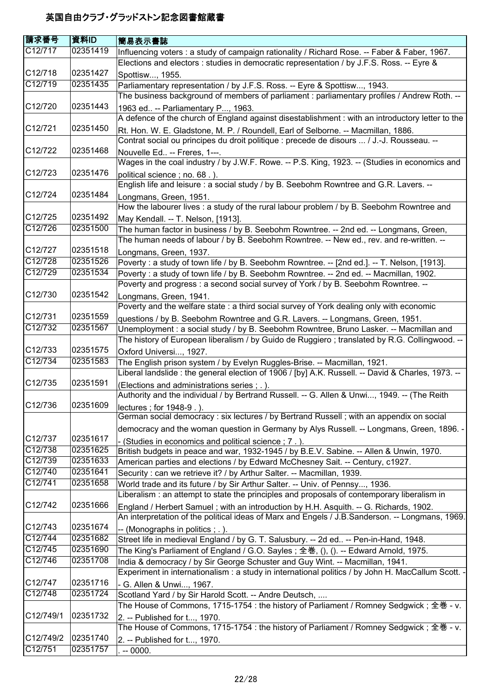| 請求番号                 | 資料ID     | <b> 簡易表示書誌</b>                                                                                     |
|----------------------|----------|----------------------------------------------------------------------------------------------------|
| C12/717              | 02351419 | Influencing voters : a study of campaign rationality / Richard Rose. -- Faber & Faber, 1967.       |
|                      |          | Elections and electors : studies in democratic representation / by J.F.S. Ross. -- Eyre &          |
| C12/718              | 02351427 | Spottisw, 1955.                                                                                    |
| C12/719              | 02351435 | Parliamentary representation / by J.F.S. Ross. -- Eyre & Spottisw, 1943.                           |
|                      |          | The business background of members of parliament : parliamentary profiles / Andrew Roth. --        |
| C12/720              | 02351443 | 1963 ed -- Parliamentary P, 1963.                                                                  |
|                      |          | A defence of the church of England against disestablishment : with an introductory letter to the   |
| C12/721              | 02351450 | Rt. Hon. W. E. Gladstone, M. P. / Roundell, Earl of Selborne. -- Macmillan, 1886.                  |
|                      |          | Contrat social ou principes du droit politique : precede de disours  / J.-J. Rousseau. --          |
| C <sub>12</sub> /722 | 02351468 | Nouvelle Ed -- Freres, 1---.                                                                       |
|                      |          | Wages in the coal industry / by J.W.F. Rowe. -- P.S. King, 1923. -- (Studies in economics and      |
| C12/723              | 02351476 | political science; no. 68.).                                                                       |
|                      |          | English life and leisure : a social study / by B. Seebohm Rowntree and G.R. Lavers. --             |
| C12/724              | 02351484 | Longmans, Green, 1951.                                                                             |
|                      |          | How the labourer lives : a study of the rural labour problem / by B. Seebohm Rowntree and          |
| C12/725              | 02351492 | May Kendall. -- T. Nelson, [1913].                                                                 |
| C12/726              | 02351500 | The human factor in business / by B. Seebohm Rowntree. -- 2nd ed. -- Longmans, Green,              |
|                      |          | The human needs of labour / by B. Seebohm Rowntree. -- New ed., rev. and re-written. --            |
| C12/727              | 02351518 | Longmans, Green, 1937.                                                                             |
| C12/728              | 02351526 | Poverty : a study of town life / by B. Seebohm Rowntree. -- [2nd ed.]. -- T. Nelson, [1913].       |
| C12/729              | 02351534 | Poverty : a study of town life / by B. Seebohm Rowntree. -- 2nd ed. -- Macmillan, 1902.            |
|                      |          | Poverty and progress : a second social survey of York / by B. Seebohm Rowntree. --                 |
| C12/730              | 02351542 | Longmans, Green, 1941.                                                                             |
|                      |          | Poverty and the welfare state : a third social survey of York dealing only with economic           |
| C12/731              | 02351559 | questions / by B. Seebohm Rowntree and G.R. Lavers. -- Longmans, Green, 1951.                      |
| C12/732              | 02351567 | Unemployment : a social study / by B. Seebohm Rowntree, Bruno Lasker. -- Macmillan and             |
|                      |          | The history of European liberalism / by Guido de Ruggiero; translated by R.G. Collingwood. --      |
| C12/733              | 02351575 | Oxford Universi, 1927.                                                                             |
| C12/734              | 02351583 | The English prison system / by Evelyn Ruggles-Brise. -- Macmillan, 1921.                           |
|                      |          | Liberal landslide : the general election of 1906 / [by] A.K. Russell. -- David & Charles, 1973. -- |
| C12/735              | 02351591 | (Elections and administrations series ; .).                                                        |
|                      |          | Authority and the individual / by Bertrand Russell. -- G. Allen & Unwi, 1949. -- (The Reith        |
| C12/736              | 02351609 | lectures; for 1948-9.).                                                                            |
|                      |          | German social democracy : six lectures / by Bertrand Russell ; with an appendix on social          |
|                      |          | democracy and the woman question in Germany by Alys Russell. -- Longmans, Green, 1896. -           |
| C12/737              | 02351617 | - (Studies in economics and political science; 7.).                                                |
| C12/738              | 02351625 | British budgets in peace and war, 1932-1945 / by B.E.V. Sabine. -- Allen & Unwin, 1970.            |
| C12/739              | 02351633 | American parties and elections / by Edward McChesney Sait. -- Century, c1927.                      |
| C12/740              | 02351641 | Security: can we retrieve it? / by Arthur Salter. -- Macmillan, 1939.                              |
| C12/741              | 02351658 | World trade and its future / by Sir Arthur Salter. -- Univ. of Pennsy, 1936.                       |
|                      |          | Liberalism: an attempt to state the principles and proposals of contemporary liberalism in         |
| C12/742              | 02351666 | England / Herbert Samuel; with an introduction by H.H. Asquith. -- G. Richards, 1902.              |
|                      |          | An interpretation of the political ideas of Marx and Engels / J.B.Sanderson. -- Longmans, 1969.    |
| C12/743              | 02351674 | -- (Monographs in politics ; .).                                                                   |
| C12/744              | 02351682 | Street life in medieval England / by G. T. Salusbury. -- 2d ed -- Pen-in-Hand, 1948.               |
| C12/745              | 02351690 | The King's Parliament of England / G.O. Sayles; 全巻, (), (). -- Edward Arnold, 1975.                |
| C12/746              | 02351708 | India & democracy / by Sir George Schuster and Guy Wint. -- Macmillan, 1941.                       |
|                      |          | Experiment in internationalism : a study in international politics / by John H. MacCallum Scott.   |
| C12/747              | 02351716 | - G. Allen & Unwi, 1967.                                                                           |
| C12/748              | 02351724 | Scotland Yard / by Sir Harold Scott. -- Andre Deutsch,                                             |
|                      |          | The House of Commons, 1715-1754 : the history of Parliament / Romney Sedgwick ; 全巻 - v.            |
| C12/749/1            | 02351732 | 2. -- Published for t, 1970.                                                                       |
|                      |          | The House of Commons, 1715-1754 : the history of Parliament / Romney Sedgwick ; 全巻 - v.            |
| C12/749/2            | 02351740 | 2. -- Published for t, 1970.                                                                       |
| C12/751              | 02351757 | $-0000.$                                                                                           |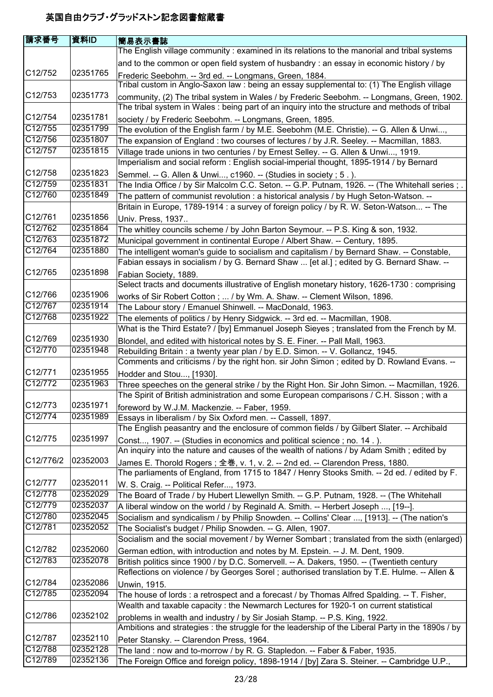| 請求番号                 | 資料ID                 | <b> 簡易表示書誌</b>                                                                                                                                                                               |
|----------------------|----------------------|----------------------------------------------------------------------------------------------------------------------------------------------------------------------------------------------|
|                      |                      | The English village community: examined in its relations to the manorial and tribal systems                                                                                                  |
|                      |                      | and to the common or open field system of husbandry: an essay in economic history / by                                                                                                       |
| C <sub>12</sub> /752 | 02351765             |                                                                                                                                                                                              |
|                      |                      | Frederic Seebohm. -- 3rd ed. -- Longmans, Green, 1884.<br>Tribal custom in Anglo-Saxon law : being an essay supplemental to: (1) The English village                                         |
| C <sub>12</sub> /753 | 02351773             |                                                                                                                                                                                              |
|                      |                      | community, (2) The tribal system in Wales / by Frederic Seebohm. -- Longmans, Green, 1902.<br>The tribal system in Wales : being part of an inquiry into the structure and methods of tribal |
| C12/754              | 02351781             |                                                                                                                                                                                              |
| C12/755              | 02351799             | society / by Frederic Seebohm. -- Longmans, Green, 1895.                                                                                                                                     |
| C12/756              | 02351807             | The evolution of the English farm / by M.E. Seebohm (M.E. Christie). -- G. Allen & Unwi,                                                                                                     |
| C12/757              | 02351815             | The expansion of England: two courses of lectures / by J.R. Seeley. -- Macmillan, 1883.                                                                                                      |
|                      |                      | Village trade unions in two centuries / by Ernest Selley. -- G. Allen & Unwi, 1919.                                                                                                          |
| C12/758              | 02351823             | Imperialism and social reform : English social-imperial thought, 1895-1914 / by Bernard                                                                                                      |
| C12/759              | 02351831             | Semmel. -- G. Allen & Unwi, c1960. -- (Studies in society ; 5.).                                                                                                                             |
| C12/760              | 02351849             | The India Office / by Sir Malcolm C.C. Seton. -- G.P. Putnam, 1926. -- (The Whitehall series ; .                                                                                             |
|                      |                      | The pattern of communist revolution: a historical analysis / by Hugh Seton-Watson. --                                                                                                        |
| C <sub>12</sub> /761 | 02351856             | Britain in Europe, 1789-1914 : a survey of foreign policy / by R. W. Seton-Watson -- The                                                                                                     |
| C12/762              |                      | Univ. Press, 1937                                                                                                                                                                            |
| C12/763              | 02351864<br>02351872 | The whitley councils scheme / by John Barton Seymour. -- P.S. King & son, 1932.                                                                                                              |
| C12/764              | 02351880             | Municipal government in continental Europe / Albert Shaw. -- Century, 1895.                                                                                                                  |
|                      |                      | The intelligent woman's guide to socialism and capitalism / by Bernard Shaw. -- Constable,                                                                                                   |
|                      |                      | Fabian essays in socialism / by G. Bernard Shaw  [et al.]; edited by G. Bernard Shaw. --                                                                                                     |
| C12/765              | 02351898             | Fabian Society, 1889.                                                                                                                                                                        |
|                      |                      | Select tracts and documents illustrative of English monetary history, 1626-1730 : comprising                                                                                                 |
| C12/766              | 02351906             | works of Sir Robert Cotton;  / by Wm. A. Shaw. -- Clement Wilson, 1896.                                                                                                                      |
| C12/767              | 02351914             | The Labour story / Emanuel Shinwell. -- MacDonald, 1963.                                                                                                                                     |
| C12/768              | 02351922             | The elements of politics / by Henry Sidgwick. -- 3rd ed. -- Macmillan, 1908.                                                                                                                 |
|                      |                      | What is the Third Estate? / [by] Emmanuel Joseph Sieyes ; translated from the French by M.                                                                                                   |
| C12/769              | 02351930             | Blondel, and edited with historical notes by S. E. Finer. -- Pall Mall, 1963.                                                                                                                |
| C12/770              | 02351948             | Rebuilding Britain: a twenty year plan / by E.D. Simon. -- V. Gollancz, 1945.                                                                                                                |
|                      |                      | Comments and criticisms / by the right hon. sir John Simon; edited by D. Rowland Evans. --                                                                                                   |
| C12/771              | 02351955             | Hodder and Stou, [1930].                                                                                                                                                                     |
| C12/772              | 02351963             | Three speeches on the general strike / by the Right Hon. Sir John Simon. -- Macmillan, 1926.                                                                                                 |
|                      |                      | The Spirit of British administration and some European comparisons / C.H. Sisson; with a                                                                                                     |
| C12/773              | 02351971             | foreword by W.J.M. Mackenzie. -- Faber, 1959.                                                                                                                                                |
| C12/774              | 02351989             | Essays in liberalism / by Six Oxford men. -- Cassell, 1897.                                                                                                                                  |
|                      |                      | The English peasantry and the enclosure of common fields / by Gilbert Slater. -- Archibald                                                                                                   |
| C12/775              | 02351997             | Const, 1907. -- (Studies in economics and political science; no. 14.).                                                                                                                       |
|                      |                      | An inquiry into the nature and causes of the wealth of nations / by Adam Smith; edited by                                                                                                    |
| C12/776/2            | 02352003             | James E. Thorold Rogers; 全巻, v. 1, v. 2. -- 2nd ed. -- Clarendon Press, 1880.                                                                                                                |
|                      |                      | The parliaments of England, from 1715 to 1847 / Henry Stooks Smith. -- 2d ed. / edited by F.                                                                                                 |
| C12/777              | 02352011             | W. S. Craig. -- Political Refer, 1973.                                                                                                                                                       |
| C12/778              | 02352029             | The Board of Trade / by Hubert Llewellyn Smith. -- G.P. Putnam, 1928. -- (The Whitehall                                                                                                      |
| C12/779              | 02352037             | A liberal window on the world / by Reginald A. Smith. -- Herbert Joseph , [19--].                                                                                                            |
| C12/780              | 02352045             | Socialism and syndicalism / by Philip Snowden. -- Collins' Clear , [1913]. -- (The nation's                                                                                                  |
| C12/781              | 02352052             | The Socialist's budget / Philip Snowden. -- G. Allen, 1907.                                                                                                                                  |
|                      |                      | Socialism and the social movement / by Werner Sombart ; translated from the sixth (enlarged)                                                                                                 |
| C12/782              | 02352060             | German edtion, with introduction and notes by M. Epstein. -- J. M. Dent, 1909.                                                                                                               |
| C12/783              | 02352078             | British politics since 1900 / by D.C. Somervell. -- A. Dakers, 1950. -- (Twentieth century                                                                                                   |
|                      |                      | Reflections on violence / by Georges Sorel ; authorised translation by T.E. Hulme. -- Allen &                                                                                                |
| C12/784              | 02352086             | Unwin, 1915.                                                                                                                                                                                 |
| C12/785              | 02352094             | The house of lords : a retrospect and a forecast / by Thomas Alfred Spalding. -- T. Fisher,                                                                                                  |
|                      |                      | Wealth and taxable capacity: the Newmarch Lectures for 1920-1 on current statistical                                                                                                         |
| C12/786              | 02352102             | problems in wealth and industry / by Sir Josiah Stamp. -- P.S. King, 1922.                                                                                                                   |
|                      |                      | Ambitions and strategies : the struggle for the leadership of the Liberal Party in the 1890s / by                                                                                            |
| C12/787              | 02352110             | Peter Stansky. -- Clarendon Press, 1964.                                                                                                                                                     |
| C12/788              | 02352128             | The land: now and to-morrow / by R. G. Stapledon. -- Faber & Faber, 1935.                                                                                                                    |
| C12/789              | 02352136             | The Foreign Office and foreign policy, 1898-1914 / [by] Zara S. Steiner. -- Cambridge U.P.,                                                                                                  |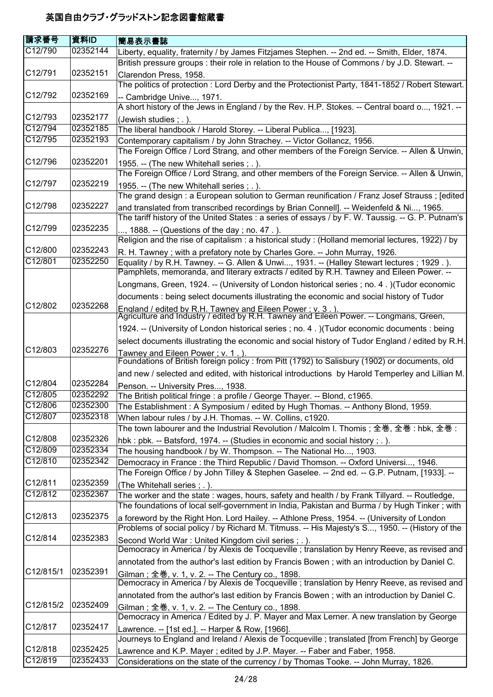| 請求番号                            | 資料ID                 | 簡易表示書誌                                                                                                                                                                                        |
|---------------------------------|----------------------|-----------------------------------------------------------------------------------------------------------------------------------------------------------------------------------------------|
| C12/790                         | 02352144             | Liberty, equality, fraternity / by James Fitzjames Stephen. -- 2nd ed. -- Smith, Elder, 1874.                                                                                                 |
|                                 |                      | British pressure groups : their role in relation to the House of Commons / by J.D. Stewart. --                                                                                                |
| C12/791                         | 02352151             | Clarendon Press, 1958.                                                                                                                                                                        |
|                                 |                      | The politics of protection: Lord Derby and the Protectionist Party, 1841-1852 / Robert Stewart.                                                                                               |
| C <sub>12</sub> /792            | 02352169             | -- Cambridge Unive, 1971.                                                                                                                                                                     |
|                                 |                      | A short history of the Jews in England / by the Rev. H.P. Stokes. -- Central board o, 1921. --                                                                                                |
| C12/793                         | 02352177             | (Jewish studies; .).                                                                                                                                                                          |
| C12/794                         | 02352185             | The liberal handbook / Harold Storey. -- Liberal Publica, [1923].                                                                                                                             |
| C12/795                         | 02352193             | Contemporary capitalism / by John Strachey. -- Victor Gollancz, 1956.                                                                                                                         |
|                                 |                      | The Foreign Office / Lord Strang, and other members of the Foreign Service. -- Allen & Unwin,                                                                                                 |
| C12/796                         | 02352201             | 1955. -- (The new Whitehall series; .).                                                                                                                                                       |
|                                 |                      | The Foreign Office / Lord Strang, and other members of the Foreign Service. -- Allen & Unwin,                                                                                                 |
| C <sub>12</sub> /797            | 02352219             | 1955. -- (The new Whitehall series; .).                                                                                                                                                       |
|                                 |                      | The grand design : a European solution to German reunification / Franz Josef Strauss ; [edited                                                                                                |
| C12/798                         | 02352227             | and translated from transcribed recordings by Brian Connell]. -- Weidenfeld & Ni, 1965.                                                                                                       |
|                                 |                      | The tariff history of the United States : a series of essays / by F. W. Taussig. -- G. P. Putnam's                                                                                            |
| C12/799                         | 02352235             | , 1888. -- (Questions of the day; no. 47.).                                                                                                                                                   |
|                                 |                      | Religion and the rise of capitalism: a historical study: (Holland memorial lectures, 1922) / by                                                                                               |
| C12/800                         | 02352243             | R. H. Tawney; with a prefatory note by Charles Gore. -- John Murray, 1926.                                                                                                                    |
| C12/801                         | 02352250             | Equality / by R.H. Tawney. -- G. Allen & Unwi, 1931. -- (Halley Stewart lectures; 1929.).                                                                                                     |
|                                 |                      | Pamphlets, memoranda, and literary extracts / edited by R.H. Tawney and Eileen Power. --                                                                                                      |
|                                 |                      | Longmans, Green, 1924. -- (University of London historical series ; no. 4.) (Tudor economic                                                                                                   |
|                                 |                      | documents : being select documents illustrating the economic and social history of Tudor                                                                                                      |
| C12/802                         | 02352268             | England / edited by R.H. Tawney and Eileen Power ; v. 3.).<br>Agriculture and Industry / edited by R.H. Tawney and Eileen Power. -- Longmans, Green,                                          |
|                                 |                      |                                                                                                                                                                                               |
|                                 |                      | 1924. -- (University of London historical series ; no. 4.) (Tudor economic documents : being                                                                                                  |
|                                 |                      | select documents illustrating the economic and social history of Tudor England / edited by R.H.                                                                                               |
| C12/803                         | 02352276             | Tawney and Eileen Power : v. 1.                                                                                                                                                               |
|                                 |                      | Foundations of British foreign policy : from Pitt (1792) to Salisbury (1902) or documents, old                                                                                                |
|                                 |                      | and new / selected and edited, with historical introductions by Harold Temperley and Lillian M.                                                                                               |
| C12/804                         | 02352284             | Penson. -- University Pres, 1938.                                                                                                                                                             |
| C12/805                         | 02352292             | The British political fringe : a profile / George Thayer. -- Blond, c1965.                                                                                                                    |
| C12/806<br>$\overline{C12}/807$ | 02352300<br>02352318 | The Establishment: A Symposium / edited by Hugh Thomas. -- Anthony Blond, 1959.                                                                                                               |
|                                 |                      | When labour rules / by J.H. Thomas. -- W. Collins, c1920.                                                                                                                                     |
| C12/808                         | 02352326             | The town labourer and the Industrial Revolution / Malcolm I. Thomis ; 全巻, 全巻 : hbk, 全巻 :                                                                                                      |
| C12/809                         | 02352334             | hbk: pbk. -- Batsford, 1974. -- (Studies in economic and social history; .).                                                                                                                  |
| C12/810                         | 02352342             | The housing handbook / by W. Thompson. -- The National Ho, 1903.                                                                                                                              |
|                                 |                      | Democracy in France: the Third Republic / David Thomson. -- Oxford Universi, 1946.<br>The Foreign Office / by John Tilley & Stephen Gaselee. -- 2nd ed. -- G.P. Putnam, [1933]. --            |
| C12/811                         | 02352359             |                                                                                                                                                                                               |
| C12/812                         | 02352367             | (The Whitehall series ; .).                                                                                                                                                                   |
|                                 |                      | The worker and the state : wages, hours, safety and health / by Frank Tillyard. -- Routledge,<br>The foundations of local self-government in India, Pakistan and Burma / by Hugh Tinker; with |
| C12/813                         | 02352375             |                                                                                                                                                                                               |
|                                 |                      | a foreword by the Right Hon. Lord Hailey. -- Athlone Press, 1954. -- (University of London<br>Problems of social policy / by Richard M. Titmuss. -- His Majesty's S, 1950. -- (History of the |
| C12/814                         | 02352383             |                                                                                                                                                                                               |
|                                 |                      | Second World War: United Kingdom civil series; .).<br>Democracy in America / by Alexis de Tocqueville ; translation by Henry Reeve, as revised and                                            |
|                                 |                      | annotated from the author's last edition by Francis Bowen; with an introduction by Daniel C.                                                                                                  |
| C12/815/1                       | 02352391             |                                                                                                                                                                                               |
|                                 |                      | Gilman; 全巻, v. 1, v. 2. -- The Century co., 1898.<br>Democracy in America / by Alexis de Tocqueville ; translation by Henry Reeve, as revised and                                             |
|                                 |                      | annotated from the author's last edition by Francis Bowen; with an introduction by Daniel C.                                                                                                  |
| C12/815/2                       | 02352409             |                                                                                                                                                                                               |
|                                 |                      | Gilman; 全巻, v. 1, v. 2. -- The Century co., 1898.<br>Democracy in America / Edited by J. P. Mayer and Max Lerner. A new translation by George                                                 |
| C <sub>12</sub> /817            | 02352417             |                                                                                                                                                                                               |
|                                 |                      | Lawrence. -- [1st ed.]. -- Harper & Row, [1966].<br>Journeys to England and Ireland / Alexis de Tocqueville ; translated [from French] by George                                              |
| C12/818                         | 02352425             |                                                                                                                                                                                               |
| C12/819                         | 02352433             | Lawrence and K.P. Mayer; edited by J.P. Mayer. -- Faber and Faber, 1958.<br>Considerations on the state of the currency / by Thomas Tooke. -- John Murray, 1826.                              |
|                                 |                      |                                                                                                                                                                                               |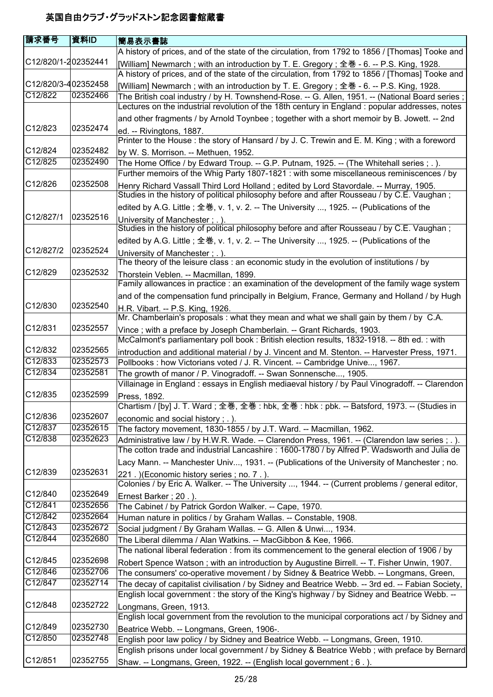| 請求番号                 | 資料ID     | 簡易表示書誌                                                                                             |
|----------------------|----------|----------------------------------------------------------------------------------------------------|
|                      |          | A history of prices, and of the state of the circulation, from 1792 to 1856 / [Thomas] Tooke and   |
| C12/820/1-202352441  |          | [William] Newmarch ; with an introduction by T. E. Gregory ; 全巻 - 6. -- P.S. King, 1928.           |
|                      |          | A history of prices, and of the state of the circulation, from 1792 to 1856 / [Thomas] Tooke and   |
| C12/820/3-402352458  |          | [William] Newmarch; with an introduction by T. E. Gregory; 全巻 - 6. -- P.S. King, 1928.             |
| C12/822              | 02352466 | [ Space Sritish coal industry / by H. Townshend-Rose. -- G. Allen, 1951. -- (National Board series |
|                      |          | Lectures on the industrial revolution of the 18th century in England : popular addresses, notes    |
|                      |          | and other fragments / by Arnold Toynbee ; together with a short memoir by B. Jowett. -- 2nd        |
| C <sub>12</sub> /823 | 02352474 | ed. -- Rivingtons, 1887.                                                                           |
|                      |          | Printer to the House : the story of Hansard / by J. C. Trewin and E. M. King ; with a foreword     |
| C12/824              | 02352482 | by W. S. Morrison. -- Methuen, 1952.                                                               |
| C12/825              | 02352490 | The Home Office / by Edward Troup. -- G.P. Putnam, 1925. -- (The Whitehall series ; . ).           |
|                      |          | Further memoirs of the Whig Party 1807-1821 : with some miscellaneous reminiscences / by           |
| C12/826              | 02352508 | Henry Richard Vassall Third Lord Holland; edited by Lord Stavordale. -- Murray, 1905.              |
|                      |          | Studies in the history of political philosophy before and after Rousseau / by C.E. Vaughan;        |
|                      |          | edited by A.G. Little; 全巻, v. 1, v. 2. -- The University , 1925. -- (Publications of the           |
| C12/827/1            | 02352516 | University of Manchester : . ).                                                                    |
|                      |          | Studies in the history of political philosophy before and after Rousseau / by C.E. Vaughan;        |
|                      |          | edited by A.G. Little; 全巻, v. 1, v. 2. -- The University , 1925. -- (Publications of the           |
| C12/827/2            | 02352524 | University of Manchester ; . ).                                                                    |
|                      |          | The theory of the leisure class : an economic study in the evolution of institutions / by          |
| C <sub>12</sub> /829 | 02352532 | Thorstein Veblen. -- Macmillan, 1899.                                                              |
|                      |          | Family allowances in practice : an examination of the development of the family wage system        |
|                      |          | and of the compensation fund principally in Belgium, France, Germany and Holland / by Hugh         |
| C12/830              | 02352540 | H.R. Vibart. -- P.S. King, 1926.                                                                   |
|                      |          | Mr. Chamberlain's proposals : what they mean and what we shall gain by them / by C.A.              |
| C <sub>12</sub> /831 | 02352557 | Vince; with a preface by Joseph Chamberlain. -- Grant Richards, 1903.                              |
|                      |          | McCalmont's parliamentary poll book : British election results, 1832-1918. -- 8th ed. : with       |
| C12/832              | 02352565 | introduction and additional material / by J. Vincent and M. Stenton. -- Harvester Press, 1971.     |
| C12/833              | 02352573 | Pollbooks : how Victorians voted / J. R. Vincent. -- Cambridge Unive, 1967.                        |
| C12/834              | 02352581 | The growth of manor / P. Vinogradoff. -- Swan Sonnensche, 1905.                                    |
|                      |          | Villainage in England : essays in English mediaeval history / by Paul Vinogradoff. -- Clarendon    |
| C12/835              | 02352599 | Press, 1892.                                                                                       |
|                      |          | Chartism / [by] J. T. Ward ; 全巻, 全巻 : hbk, 全巻 : hbk : pbk. -- Batsford, 1973. -- (Studies in       |
| C12/836              | 02352607 | economic and social history; .).                                                                   |
| C12/837              | 02352615 | The factory movement, 1830-1855 / by J.T. Ward. -- Macmillan, 1962.                                |
| C12/838              | 02352623 | Administrative law / by H.W.R. Wade. -- Clarendon Press, 1961. -- (Clarendon law series ; . ).     |
|                      |          | The cotton trade and industrial Lancashire : 1600-1780 / by Alfred P. Wadsworth and Julia de       |
|                      |          | Lacy Mann. -- Manchester Univ, 1931. -- (Publications of the University of Manchester; no.         |
| C12/839              | 02352631 | 221. ) (Economic history series; no. 7.).                                                          |
|                      |          | Colonies / by Eric A. Walker. -- The University , 1944. -- (Current problems / general editor,     |
| C12/840              | 02352649 | Ernest Barker; 20.).                                                                               |
| C12/841              | 02352656 | The Cabinet / by Patrick Gordon Walker. -- Cape, 1970.                                             |
| C12/842              | 02352664 | Human nature in politics / by Graham Wallas. -- Constable, 1908.                                   |
| C12/843              | 02352672 | Social judgment / By Graham Wallas. -- G. Allen & Unwi, 1934.                                      |
| C12/844              | 02352680 | The Liberal dilemma / Alan Watkins. -- MacGibbon & Kee, 1966.                                      |
|                      |          | The national liberal federation: from its commencement to the general election of 1906 / by        |
| C12/845              | 02352698 | Robert Spence Watson; with an introduction by Augustine Birrell. -- T. Fisher Unwin, 1907.         |
| C12/846              | 02352706 | The consumers' co-operative movement / by Sidney & Beatrice Webb. -- Longmans, Green,              |
| C12/847              | 02352714 | The decay of capitalist civilisation / by Sidney and Beatrice Webb. -- 3rd ed. -- Fabian Society,  |
|                      |          | English local government : the story of the King's highway / by Sidney and Beatrice Webb. --       |
| C12/848              | 02352722 | Longmans, Green, 1913.                                                                             |
|                      |          | English local government from the revolution to the municipal corporations act / by Sidney and     |
| C12/849              | 02352730 | Beatrice Webb. -- Longmans, Green, 1906-.                                                          |
| C12/850              | 02352748 | English poor law policy / by Sidney and Beatrice Webb. -- Longmans, Green, 1910.                   |
|                      |          | English prisons under local government / by Sidney & Beatrice Webb; with preface by Bernard        |
| C12/851              | 02352755 | Shaw. -- Longmans, Green, 1922. -- (English local government; 6.).                                 |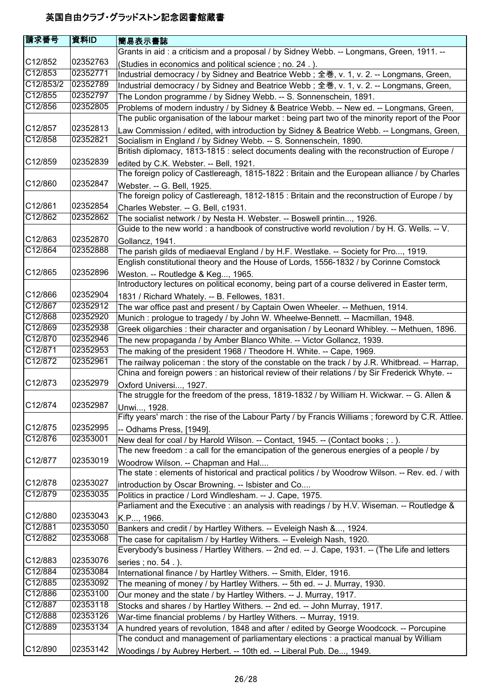| 請求番号      | 資料ID     | 簡易表示書誌                                                                                            |
|-----------|----------|---------------------------------------------------------------------------------------------------|
|           |          | Grants in aid: a criticism and a proposal / by Sidney Webb. -- Longmans, Green, 1911. --          |
| C12/852   | 02352763 | (Studies in economics and political science; no. 24.).                                            |
| C12/853   | 02352771 | Industrial democracy / by Sidney and Beatrice Webb; 全巻, v. 1, v. 2. -- Longmans, Green,           |
| C12/853/2 | 02352789 | Industrial democracy / by Sidney and Beatrice Webb; 全巻, v. 1, v. 2. -- Longmans, Green,           |
| C12/855   | 02352797 | The London programme / by Sidney Webb. -- S. Sonnenschein, 1891.                                  |
| C12/856   | 02352805 | Problems of modern industry / by Sidney & Beatrice Webb. -- New ed. -- Longmans, Green,           |
|           |          | The public organisation of the labour market : being part two of the minority report of the Poor  |
| C12/857   | 02352813 | Law Commission / edited, with introduction by Sidney & Beatrice Webb. -- Longmans, Green,         |
| C12/858   | 02352821 | Socialism in England / by Sidney Webb. -- S. Sonnenschein, 1890.                                  |
|           |          | British diplomacy, 1813-1815 : select documents dealing with the reconstruction of Europe /       |
| C12/859   | 02352839 | edited by C.K. Webster. -- Bell, 1921.                                                            |
|           |          | The foreign policy of Castlereagh, 1815-1822 : Britain and the European alliance / by Charles     |
| C12/860   | 02352847 | Webster. -- G. Bell, 1925.                                                                        |
|           |          | The foreign policy of Castlereagh, 1812-1815 : Britain and the reconstruction of Europe / by      |
| C12/861   | 02352854 | Charles Webster. -- G. Bell, c1931.                                                               |
| C12/862   | 02352862 | The socialist network / by Nesta H. Webster. -- Boswell printin, 1926.                            |
|           |          | Guide to the new world : a handbook of constructive world revolution / by H. G. Wells. -- V.      |
| C12/863   | 02352870 | Gollancz, 1941.                                                                                   |
| C12/864   | 02352888 | The parish gilds of mediaeval England / by H.F. Westlake. -- Society for Pro, 1919.               |
|           |          | English constitutional theory and the House of Lords, 1556-1832 / by Corinne Comstock             |
| C12/865   | 02352896 | Weston. -- Routledge & Keg, 1965.                                                                 |
|           |          | Introductory lectures on political economy, being part of a course delivered in Easter term,      |
| C12/866   | 02352904 | 1831 / Richard Whately. -- B. Fellowes, 1831.                                                     |
| C12/867   | 02352912 | The war office past and present / by Captain Owen Wheeler. -- Methuen, 1914.                      |
| C12/868   | 02352920 | Munich: prologue to tragedy / by John W. Wheelwe-Bennett. -- Macmillan, 1948.                     |
| C12/869   | 02352938 | Greek oligarchies : their character and organisation / by Leonard Whibley. -- Methuen, 1896.      |
| C12/870   | 02352946 | The new propaganda / by Amber Blanco White. -- Victor Gollancz, 1939.                             |
| C12/871   | 02352953 | The making of the president 1968 / Theodore H. White. -- Cape, 1969.                              |
| C12/872   | 02352961 | The railway policeman: the story of the constable on the track / by J.R. Whitbread. -- Harrap,    |
|           |          | China and foreign powers : an historical review of their relations / by Sir Frederick Whyte. --   |
| C12/873   | 02352979 | Oxford Universi, 1927.                                                                            |
|           |          | The struggle for the freedom of the press, 1819-1832 / by William H. Wickwar. -- G. Allen &       |
| C12/874   | 02352987 | Unwi, 1928.                                                                                       |
|           |          | Fifty years' march : the rise of the Labour Party / by Francis Williams; foreword by C.R. Attlee. |
| C12/875   | 02352995 | -- Odhams Press, [1949].                                                                          |
| C12/876   | 02353001 | New deal for coal / by Harold Wilson. -- Contact, 1945. -- (Contact books; .).                    |
|           |          | The new freedom: a call for the emancipation of the generous energies of a people / by            |
| C12/877   | 02353019 | Woodrow Wilson. -- Chapman and Hal                                                                |
|           |          | The state: elements of historical and practical politics / by Woodrow Wilson. -- Rev. ed. / with  |
| C12/878   | 02353027 | introduction by Oscar Browning. -- Isbister and Co                                                |
| C12/879   | 02353035 | Politics in practice / Lord Windlesham. -- J. Cape, 1975.                                         |
|           |          | Parliament and the Executive : an analysis with readings / by H.V. Wiseman. -- Routledge &        |
| C12/880   | 02353043 | K.P, 1966.                                                                                        |
| C12/881   | 02353050 | Bankers and credit / by Hartley Withers. -- Eveleigh Nash &, 1924.                                |
| C12/882   | 02353068 | The case for capitalism / by Hartley Withers. -- Eveleigh Nash, 1920.                             |
|           |          | Everybody's business / Hartley Withers. -- 2nd ed. -- J. Cape, 1931. -- (The Life and letters     |
| C12/883   | 02353076 | series ; no. 54.).                                                                                |
| C12/884   | 02353084 | International finance / by Hartley Withers. -- Smith, Elder, 1916.                                |
| C12/885   | 02353092 | The meaning of money / by Hartley Withers. -- 5th ed. -- J. Murray, 1930.                         |
| C12/886   | 02353100 | Our money and the state / by Hartley Withers. -- J. Murray, 1917.                                 |
| C12/887   | 02353118 | Stocks and shares / by Hartley Withers. -- 2nd ed. -- John Murray, 1917.                          |
| C12/888   | 02353126 | War-time financial problems / by Hartley Withers. -- Murray, 1919.                                |
| C12/889   | 02353134 | A hundred years of revolution, 1848 and after / edited by George Woodcock. -- Porcupine           |
|           |          | The conduct and management of parliamentary elections : a practical manual by William             |
| C12/890   | 02353142 | Woodings / by Aubrey Herbert. -- 10th ed. -- Liberal Pub. De, 1949.                               |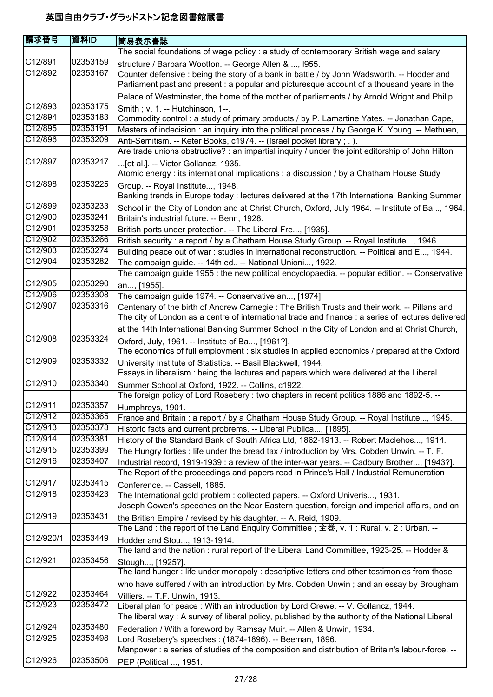| 請求番号                 | 資料ID     | <b> 簡易表示書誌</b>                                                                                                                                               |
|----------------------|----------|--------------------------------------------------------------------------------------------------------------------------------------------------------------|
|                      |          | The social foundations of wage policy : a study of contemporary British wage and salary                                                                      |
| C12/891              | 02353159 | structure / Barbara Wootton. -- George Allen & , 1955.                                                                                                       |
| C12/892              | 02353167 | Counter defensive : being the story of a bank in battle / by John Wadsworth. -- Hodder and                                                                   |
|                      |          | Parliament past and present : a popular and picturesque account of a thousand years in the                                                                   |
|                      |          | Palace of Westminster, the home of the mother of parliaments / by Arnold Wright and Philip                                                                   |
| C12/893              | 02353175 | Smith; v. 1. -- Hutchinson, 1--.                                                                                                                             |
| C12/894              | 02353183 | Commodity control: a study of primary products / by P. Lamartine Yates. -- Jonathan Cape,                                                                    |
| C12/895              | 02353191 | Masters of indecision : an inquiry into the political process / by George K. Young. -- Methuen,                                                              |
| C12/896              | 02353209 | Anti-Semitism. -- Keter Books, c1974. -- (Israel pocket library; .).                                                                                         |
|                      |          | Are trade unions obstructive? : an impartial inquiry / under the joint editorship of John Hilton                                                             |
| C12/897              | 02353217 | [et al.]. -- Victor Gollancz, 1935.                                                                                                                          |
|                      |          | Atomic energy : its international implications : a discussion / by a Chatham House Study                                                                     |
| C12/898              | 02353225 | Group. -- Royal Institute, 1948.                                                                                                                             |
|                      |          | Banking trends in Europe today : lectures delivered at the 17th International Banking Summer                                                                 |
| C12/899              | 02353233 | School in the City of London and at Christ Church, Oxford, July 1964. -- Institute of Ba, 1964.                                                              |
| C12/900              | 02353241 | Britain's industrial future. -- Benn, 1928.                                                                                                                  |
| C12/901              | 02353258 | British ports under protection. -- The Liberal Fre, [1935].                                                                                                  |
| C12/902              | 02353266 | British security : a report / by a Chatham House Study Group. -- Royal Institute, 1946.                                                                      |
| C12/903              | 02353274 | Building peace out of war: studies in international reconstruction. -- Political and E, 1944.                                                                |
| C12/904              | 02353282 | The campaign guide. -- 14th ed -- National Unioni, 1922.                                                                                                     |
|                      |          | The campaign guide 1955 : the new political encyclopaedia. -- popular edition. -- Conservative                                                               |
| C12/905              | 02353290 | an, [1955].                                                                                                                                                  |
| C12/906              | 02353308 | The campaign guide 1974. -- Conservative an, [1974].                                                                                                         |
| C12/907              | 02353316 | Centenary of the birth of Andrew Carnegie : The British Trusts and their work. -- Pillans and                                                                |
|                      |          | The city of London as a centre of international trade and finance : a series of lectures delivered                                                           |
|                      |          | at the 14th International Banking Summer School in the City of London and at Christ Church,                                                                  |
| C12/908              | 02353324 | Oxford, July, 1961. -- Institute of Ba, [1961?].                                                                                                             |
| C12/909              |          | The economics of full employment : six studies in applied economics / prepared at the Oxford                                                                 |
|                      | 02353332 | University Institute of Statistics. -- Basil Blackwell, 1944.                                                                                                |
| C12/910              | 02353340 | Essays in liberalism : being the lectures and papers which were delivered at the Liberal                                                                     |
|                      |          | Summer School at Oxford, 1922. -- Collins, c1922.<br>The foreign policy of Lord Rosebery : two chapters in recent politics 1886 and 1892-5. --               |
| C12/911              | 02353357 |                                                                                                                                                              |
| C12/912              | 02353365 | Humphreys, 1901.                                                                                                                                             |
| C12/913              | 02353373 | France and Britain: a report / by a Chatham House Study Group. -- Royal Institute, 1945.<br>Historic facts and current probrems. -- Liberal Publica, [1895]. |
| C12/914              | 02353381 | History of the Standard Bank of South Africa Ltd, 1862-1913. -- Robert Maclehos, 1914.                                                                       |
| C12/915              | 02353399 | The Hungry forties : life under the bread tax / introduction by Mrs. Cobden Unwin. -- T. F.                                                                  |
| C12/916              | 02353407 | Industrial record, 1919-1939 : a review of the inter-war years. -- Cadbury Brother, [1943?].                                                                 |
|                      |          | The Report of the proceedings and papers read in Prince's Hall / Industrial Remuneration                                                                     |
| C12/917              | 02353415 | Conference. -- Cassell, 1885.                                                                                                                                |
| C12/918              | 02353423 | The International gold problem : collected papers. -- Oxford Univeris, 1931.                                                                                 |
|                      |          | Joseph Cowen's speeches on the Near Eastern question, foreign and imperial affairs, and on                                                                   |
| C12/919              | 02353431 | the British Empire / revised by his daughter. -- A. Reid, 1909.                                                                                              |
|                      |          | The Land : the report of the Land Enquiry Committee ; 全巻, v. 1 : Rural, v. 2 : Urban. --                                                                     |
| C12/920/1            | 02353449 | Hodder and Stou, 1913-1914.                                                                                                                                  |
|                      |          | The land and the nation : rural report of the Liberal Land Committee, 1923-25. -- Hodder &                                                                   |
| C <sub>12</sub> /921 | 02353456 | Stough, [1925?].                                                                                                                                             |
|                      |          | The land hunger: life under monopoly : descriptive letters and other testimonies from those                                                                  |
|                      |          | who have suffered / with an introduction by Mrs. Cobden Unwin ; and an essay by Brougham                                                                     |
| C12/922              | 02353464 | Villiers. -- T.F. Unwin, 1913.                                                                                                                               |
| C12/923              | 02353472 | Liberal plan for peace : With an introduction by Lord Crewe. -- V. Gollancz, 1944.                                                                           |
|                      |          | The liberal way: A survey of liberal policy, published by the authority of the National Liberal                                                              |
| C12/924              | 02353480 | Federation / With a foreword by Ramsay Muir. -- Allen & Unwin, 1934.                                                                                         |
| C12/925              | 02353498 | Lord Rosebery's speeches : (1874-1896). -- Beeman, 1896.                                                                                                     |
|                      |          | Manpower : a series of studies of the composition and distribution of Britain's labour-force. --                                                             |
| C12/926              | 02353506 | PEP (Political , 1951.                                                                                                                                       |